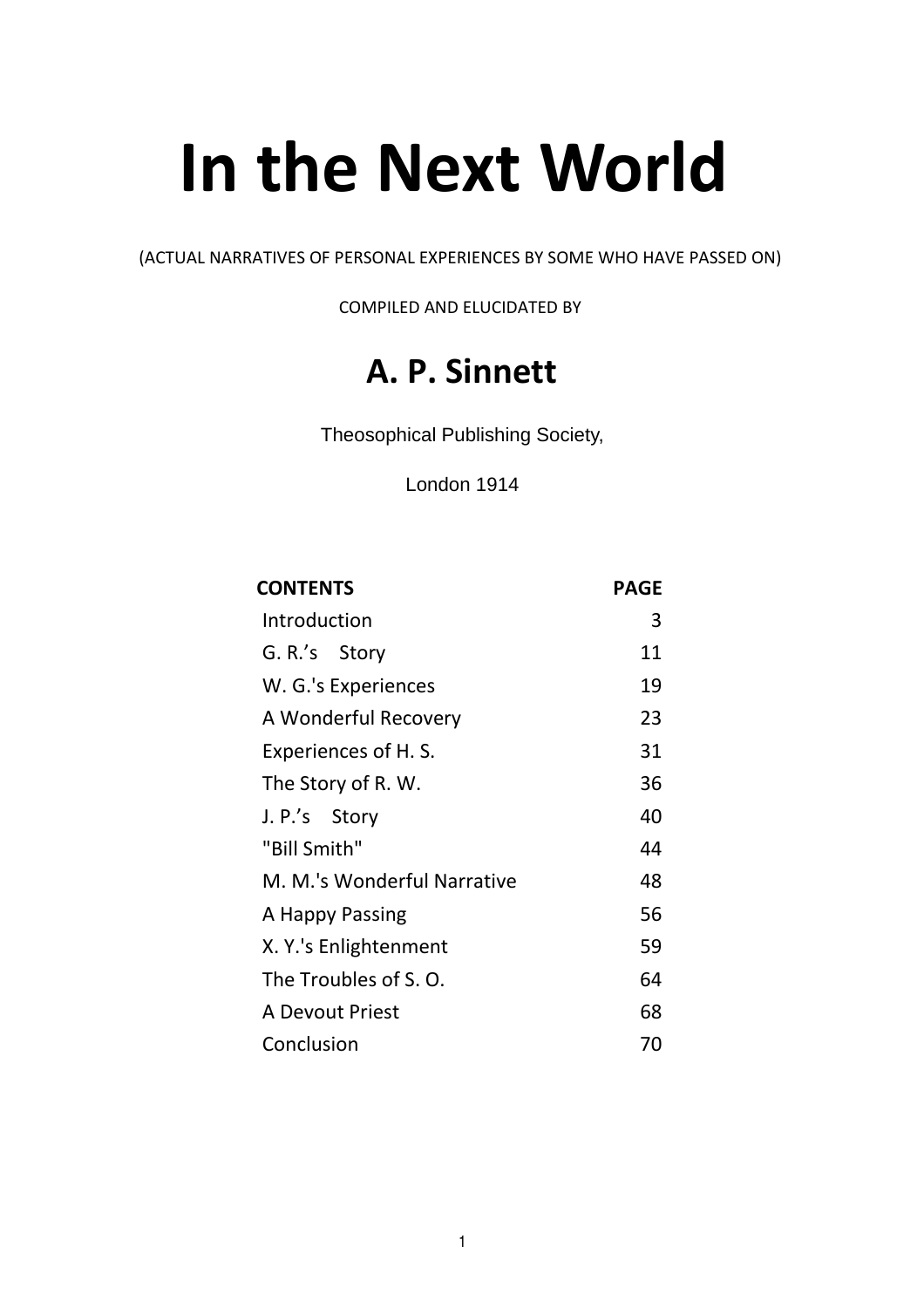# **In the Next World**

(ACTUAL NARRATIVES OF PERSONAL EXPERIENCES BY SOME WHO HAVE PASSED ON)

COMPILED AND ELUCIDATED BY

## **A. P. Sinnett**

Theosophical Publishing Society,

London 1914

| <b>CONTENTS</b>             | <b>PAGE</b> |
|-----------------------------|-------------|
| Introduction                | 3           |
| G. R.'s Story               | 11          |
| W. G.'s Experiences         | 19          |
| A Wonderful Recovery        | 23          |
| Experiences of H. S.        | 31          |
| The Story of R. W.          | 36          |
| J. P.'s Story               | 40          |
| "Bill Smith"                | 44          |
| M. M.'s Wonderful Narrative | 48          |
| A Happy Passing             | 56          |
| X. Y.'s Enlightenment       | 59          |
| The Troubles of S.O.        | 64          |
| A Devout Priest             | 68          |
| Conclusion                  | 70          |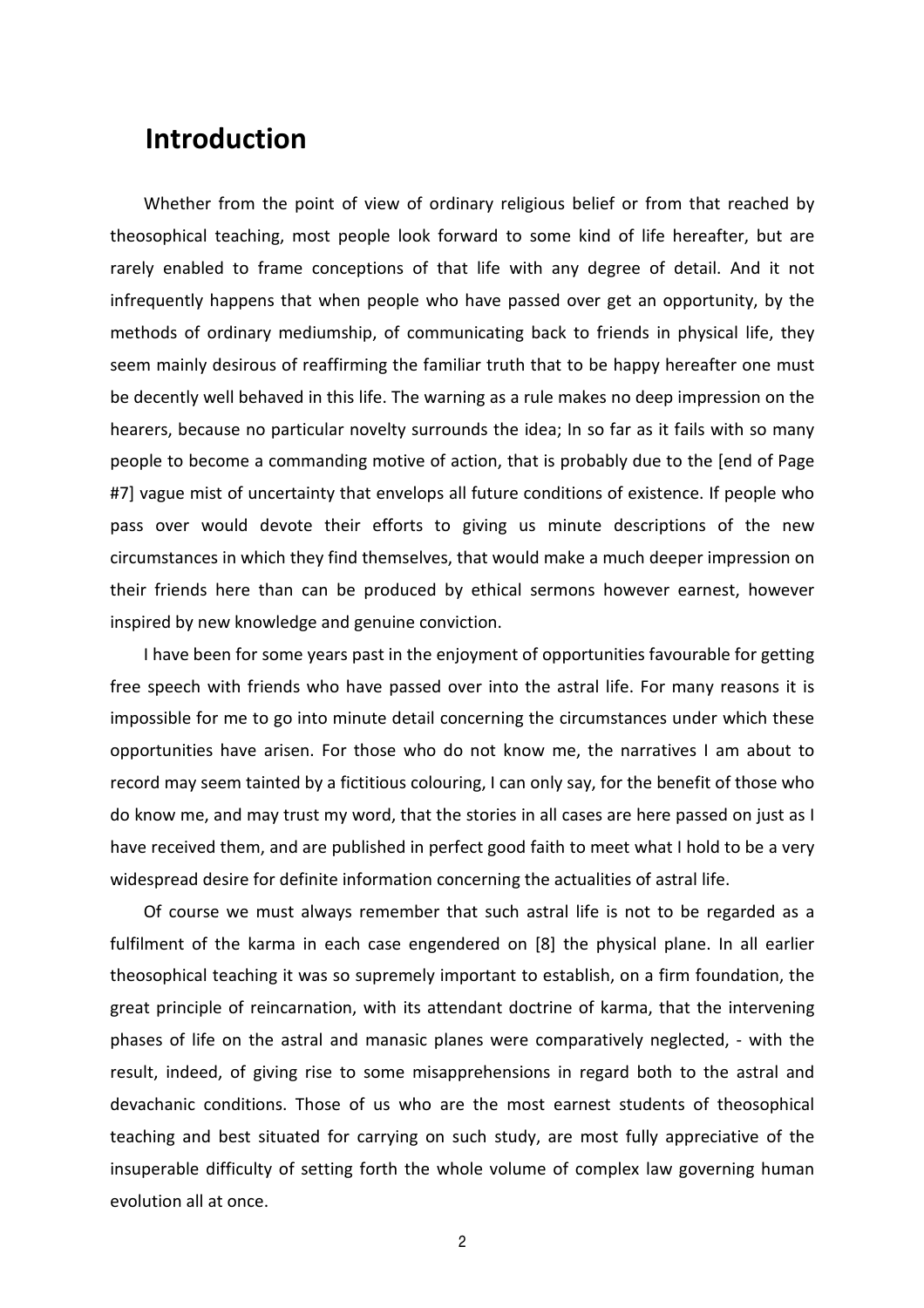### **Introduction**

Whether from the point of view of ordinary religious belief or from that reached by theosophical teaching, most people look forward to some kind of life hereafter, but are rarely enabled to frame conceptions of that life with any degree of detail. And it not infrequently happens that when people who have passed over get an opportunity, by the methods of ordinary mediumship, of communicating back to friends in physical life, they seem mainly desirous of reaffirming the familiar truth that to be happy hereafter one must be decently well behaved in this life. The warning as a rule makes no deep impression on the hearers, because no particular novelty surrounds the idea; In so far as it fails with so many people to become a commanding motive of action, that is probably due to the [end of Page #7] vague mist of uncertainty that envelops all future conditions of existence. If people who pass over would devote their efforts to giving us minute descriptions of the new circumstances in which they find themselves, that would make a much deeper impression on their friends here than can be produced by ethical sermons however earnest, however inspired by new knowledge and genuine conviction.

I have been for some years past in the enjoyment of opportunities favourable for getting free speech with friends who have passed over into the astral life. For many reasons it is impossible for me to go into minute detail concerning the circumstances under which these opportunities have arisen. For those who do not know me, the narratives I am about to record may seem tainted by a fictitious colouring, I can only say, for the benefit of those who do know me, and may trust my word, that the stories in all cases are here passed on just as I have received them, and are published in perfect good faith to meet what I hold to be a very widespread desire for definite information concerning the actualities of astral life.

Of course we must always remember that such astral life is not to be regarded as a fulfilment of the karma in each case engendered on [8] the physical plane. In all earlier theosophical teaching it was so supremely important to establish, on a firm foundation, the great principle of reincarnation, with its attendant doctrine of karma, that the intervening phases of life on the astral and manasic planes were comparatively neglected, - with the result, indeed, of giving rise to some misapprehensions in regard both to the astral and devachanic conditions. Those of us who are the most earnest students of theosophical teaching and best situated for carrying on such study, are most fully appreciative of the insuperable difficulty of setting forth the whole volume of complex law governing human evolution all at once.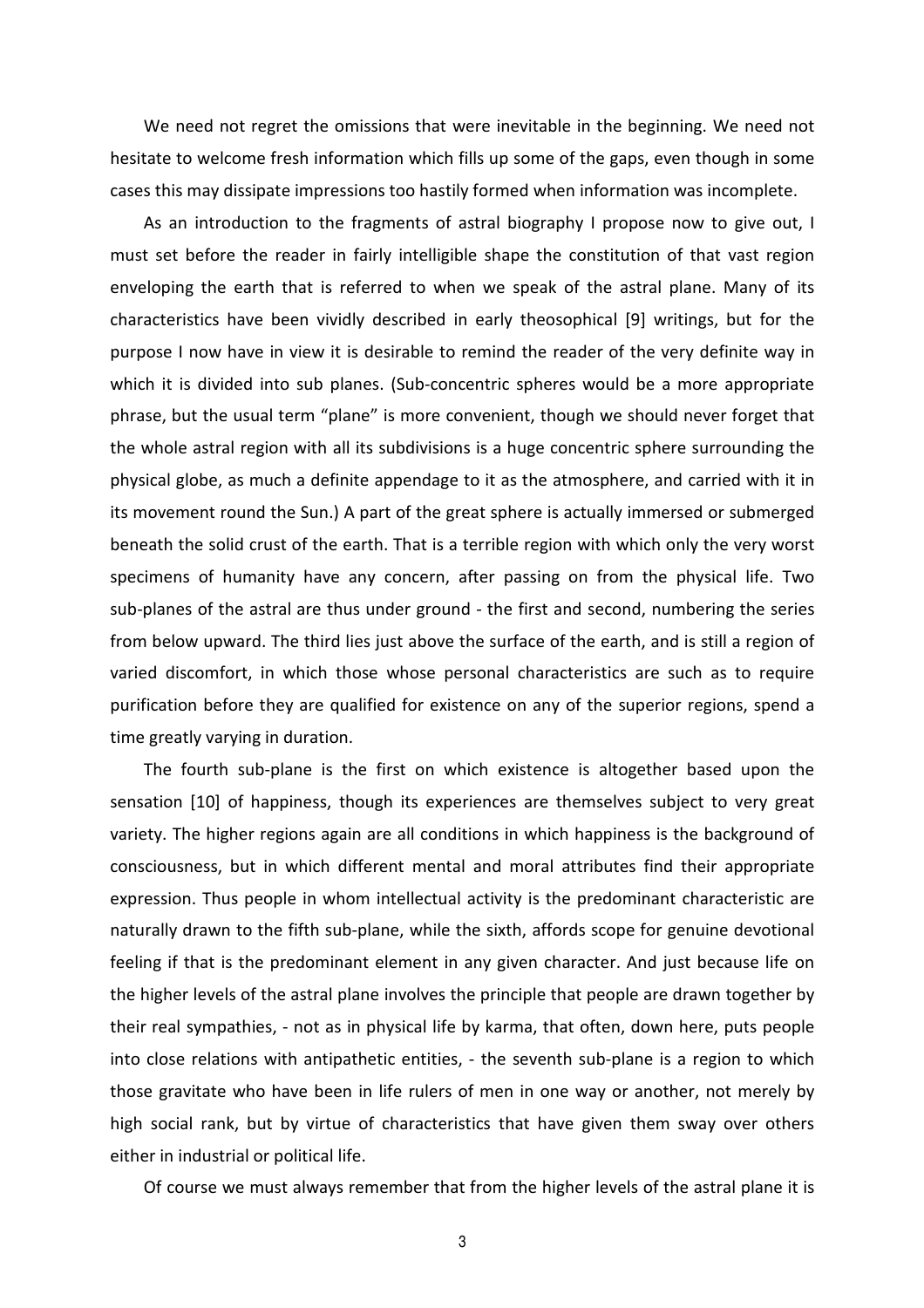We need not regret the omissions that were inevitable in the beginning. We need not hesitate to welcome fresh information which fills up some of the gaps, even though in some cases this may dissipate impressions too hastily formed when information was incomplete.

As an introduction to the fragments of astral biography I propose now to give out, I must set before the reader in fairly intelligible shape the constitution of that vast region enveloping the earth that is referred to when we speak of the astral plane. Many of its characteristics have been vividly described in early theosophical [9] writings, but for the purpose I now have in view it is desirable to remind the reader of the very definite way in which it is divided into sub planes. (Sub-concentric spheres would be a more appropriate phrase, but the usual term "plane" is more convenient, though we should never forget that the whole astral region with all its subdivisions is a huge concentric sphere surrounding the physical globe, as much a definite appendage to it as the atmosphere, and carried with it in its movement round the Sun.) A part of the great sphere is actually immersed or submerged beneath the solid crust of the earth. That is a terrible region with which only the very worst specimens of humanity have any concern, after passing on from the physical life. Two sub-planes of the astral are thus under ground - the first and second, numbering the series from below upward. The third lies just above the surface of the earth, and is still a region of varied discomfort, in which those whose personal characteristics are such as to require purification before they are qualified for existence on any of the superior regions, spend a time greatly varying in duration.

The fourth sub-plane is the first on which existence is altogether based upon the sensation [10] of happiness, though its experiences are themselves subject to very great variety. The higher regions again are all conditions in which happiness is the background of consciousness, but in which different mental and moral attributes find their appropriate expression. Thus people in whom intellectual activity is the predominant characteristic are naturally drawn to the fifth sub-plane, while the sixth, affords scope for genuine devotional feeling if that is the predominant element in any given character. And just because life on the higher levels of the astral plane involves the principle that people are drawn together by their real sympathies, - not as in physical life by karma, that often, down here, puts people into close relations with antipathetic entities, - the seventh sub-plane is a region to which those gravitate who have been in life rulers of men in one way or another, not merely by high social rank, but by virtue of characteristics that have given them sway over others either in industrial or political life.

Of course we must always remember that from the higher levels of the astral plane it is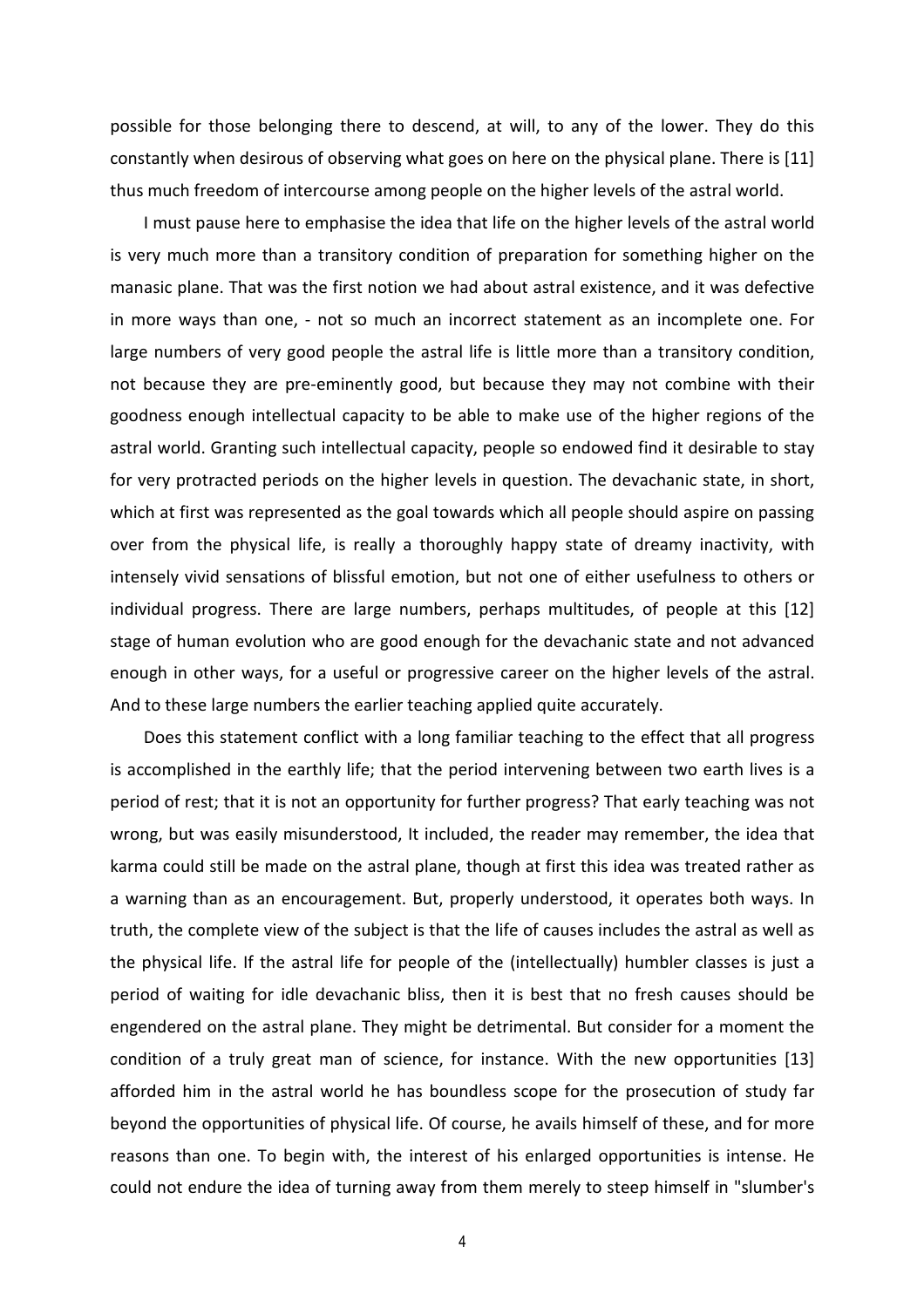possible for those belonging there to descend, at will, to any of the lower. They do this constantly when desirous of observing what goes on here on the physical plane. There is [11] thus much freedom of intercourse among people on the higher levels of the astral world.

I must pause here to emphasise the idea that life on the higher levels of the astral world is very much more than a transitory condition of preparation for something higher on the manasic plane. That was the first notion we had about astral existence, and it was defective in more ways than one, - not so much an incorrect statement as an incomplete one. For large numbers of very good people the astral life is little more than a transitory condition, not because they are pre-eminently good, but because they may not combine with their goodness enough intellectual capacity to be able to make use of the higher regions of the astral world. Granting such intellectual capacity, people so endowed find it desirable to stay for very protracted periods on the higher levels in question. The devachanic state, in short, which at first was represented as the goal towards which all people should aspire on passing over from the physical life, is really a thoroughly happy state of dreamy inactivity, with intensely vivid sensations of blissful emotion, but not one of either usefulness to others or individual progress. There are large numbers, perhaps multitudes, of people at this [12] stage of human evolution who are good enough for the devachanic state and not advanced enough in other ways, for a useful or progressive career on the higher levels of the astral. And to these large numbers the earlier teaching applied quite accurately.

Does this statement conflict with a long familiar teaching to the effect that all progress is accomplished in the earthly life; that the period intervening between two earth lives is a period of rest; that it is not an opportunity for further progress? That early teaching was not wrong, but was easily misunderstood, It included, the reader may remember, the idea that karma could still be made on the astral plane, though at first this idea was treated rather as a warning than as an encouragement. But, properly understood, it operates both ways. In truth, the complete view of the subject is that the life of causes includes the astral as well as the physical life. If the astral life for people of the (intellectually) humbler classes is just a period of waiting for idle devachanic bliss, then it is best that no fresh causes should be engendered on the astral plane. They might be detrimental. But consider for a moment the condition of a truly great man of science, for instance. With the new opportunities [13] afforded him in the astral world he has boundless scope for the prosecution of study far beyond the opportunities of physical life. Of course, he avails himself of these, and for more reasons than one. To begin with, the interest of his enlarged opportunities is intense. He could not endure the idea of turning away from them merely to steep himself in "slumber's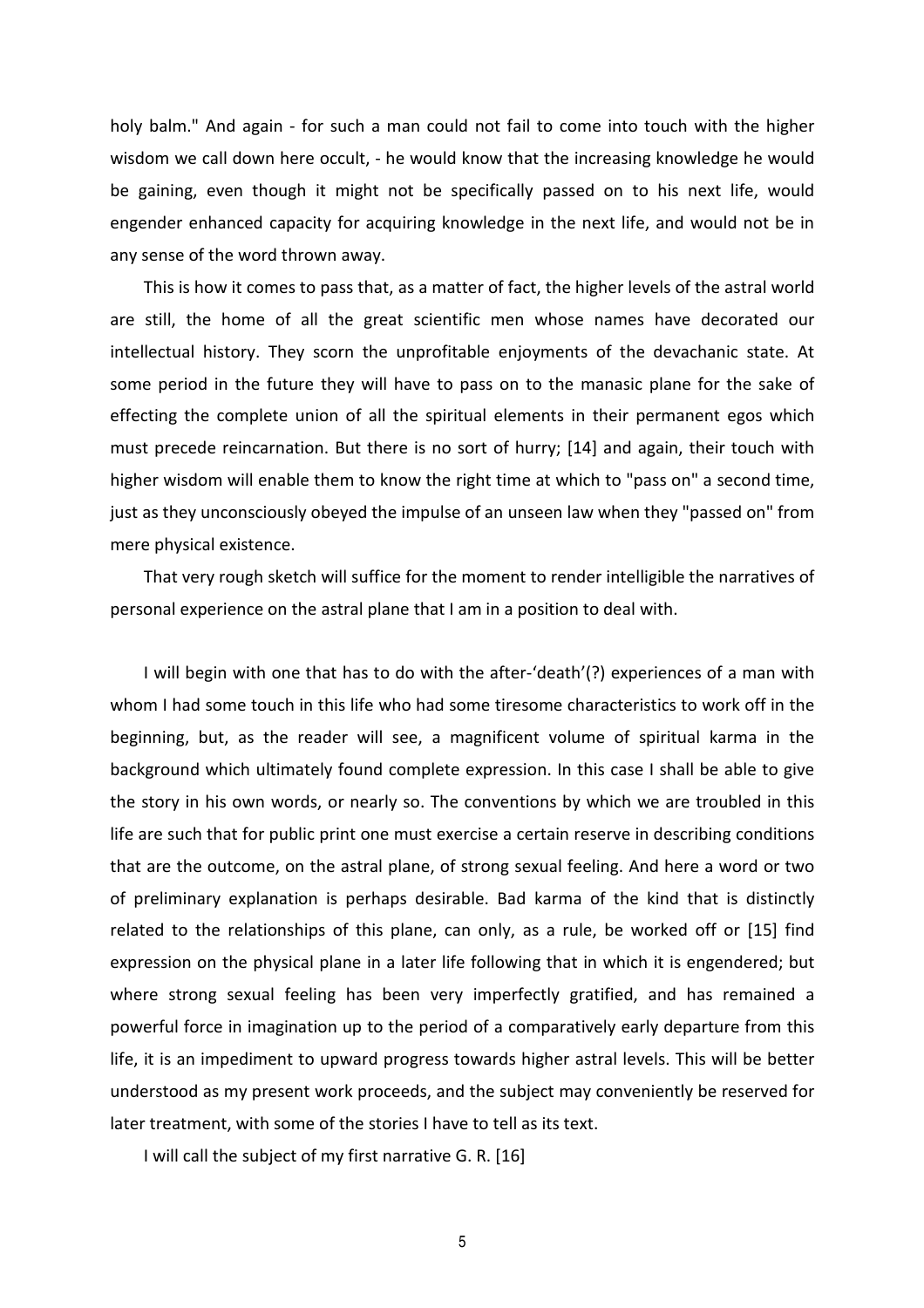holy balm." And again - for such a man could not fail to come into touch with the higher wisdom we call down here occult, - he would know that the increasing knowledge he would be gaining, even though it might not be specifically passed on to his next life, would engender enhanced capacity for acquiring knowledge in the next life, and would not be in any sense of the word thrown away.

This is how it comes to pass that, as a matter of fact, the higher levels of the astral world are still, the home of all the great scientific men whose names have decorated our intellectual history. They scorn the unprofitable enjoyments of the devachanic state. At some period in the future they will have to pass on to the manasic plane for the sake of effecting the complete union of all the spiritual elements in their permanent egos which must precede reincarnation. But there is no sort of hurry; [14] and again, their touch with higher wisdom will enable them to know the right time at which to "pass on" a second time, just as they unconsciously obeyed the impulse of an unseen law when they "passed on" from mere physical existence.

That very rough sketch will suffice for the moment to render intelligible the narratives of personal experience on the astral plane that I am in a position to deal with.

I will begin with one that has to do with the after-'death'(?) experiences of a man with whom I had some touch in this life who had some tiresome characteristics to work off in the beginning, but, as the reader will see, a magnificent volume of spiritual karma in the background which ultimately found complete expression. In this case I shall be able to give the story in his own words, or nearly so. The conventions by which we are troubled in this life are such that for public print one must exercise a certain reserve in describing conditions that are the outcome, on the astral plane, of strong sexual feeling. And here a word or two of preliminary explanation is perhaps desirable. Bad karma of the kind that is distinctly related to the relationships of this plane, can only, as a rule, be worked off or [15] find expression on the physical plane in a later life following that in which it is engendered; but where strong sexual feeling has been very imperfectly gratified, and has remained a powerful force in imagination up to the period of a comparatively early departure from this life, it is an impediment to upward progress towards higher astral levels. This will be better understood as my present work proceeds, and the subject may conveniently be reserved for later treatment, with some of the stories I have to tell as its text.

I will call the subject of my first narrative G. R. [16]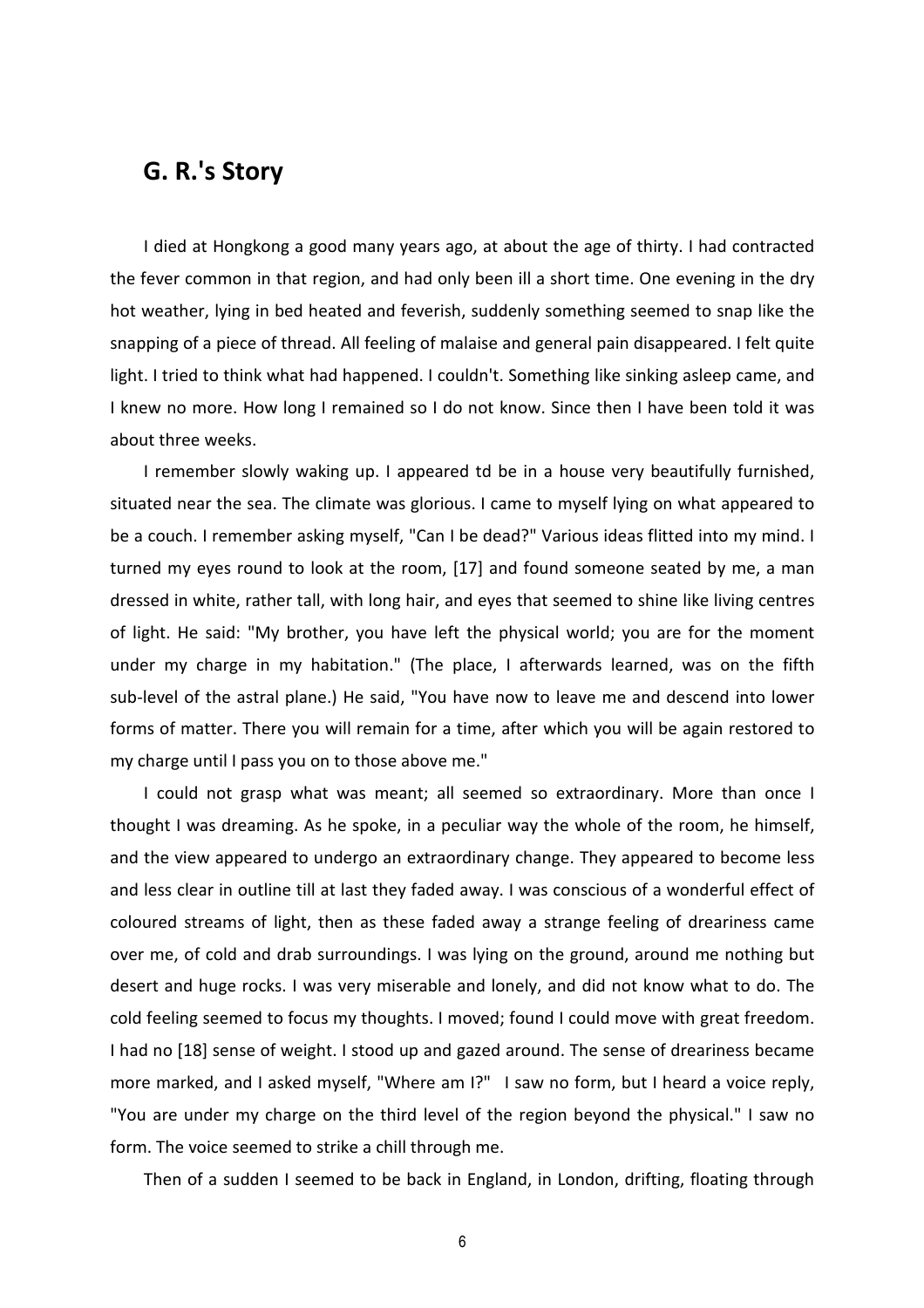#### **G. R.'s Story**

I died at Hongkong a good many years ago, at about the age of thirty. I had contracted the fever common in that region, and had only been ill a short time. One evening in the dry hot weather, lying in bed heated and feverish, suddenly something seemed to snap like the snapping of a piece of thread. All feeling of malaise and general pain disappeared. I felt quite light. I tried to think what had happened. I couldn't. Something like sinking asleep came, and I knew no more. How long I remained so I do not know. Since then I have been told it was about three weeks.

I remember slowly waking up. I appeared td be in a house very beautifully furnished, situated near the sea. The climate was glorious. I came to myself lying on what appeared to be a couch. I remember asking myself, "Can I be dead?" Various ideas flitted into my mind. I turned my eyes round to look at the room, [17] and found someone seated by me, a man dressed in white, rather tall, with long hair, and eyes that seemed to shine like living centres of light. He said: "My brother, you have left the physical world; you are for the moment under my charge in my habitation." (The place, I afterwards learned, was on the fifth sub-level of the astral plane.) He said, "You have now to leave me and descend into lower forms of matter. There you will remain for a time, after which you will be again restored to my charge until I pass you on to those above me."

I could not grasp what was meant; all seemed so extraordinary. More than once I thought I was dreaming. As he spoke, in a peculiar way the whole of the room, he himself, and the view appeared to undergo an extraordinary change. They appeared to become less and less clear in outline till at last they faded away. I was conscious of a wonderful effect of coloured streams of light, then as these faded away a strange feeling of dreariness came over me, of cold and drab surroundings. I was lying on the ground, around me nothing but desert and huge rocks. I was very miserable and lonely, and did not know what to do. The cold feeling seemed to focus my thoughts. I moved; found I could move with great freedom. I had no [18] sense of weight. I stood up and gazed around. The sense of dreariness became more marked, and I asked myself, "Where am I?" I saw no form, but I heard a voice reply, "You are under my charge on the third level of the region beyond the physical." I saw no form. The voice seemed to strike a chill through me.

Then of a sudden I seemed to be back in England, in London, drifting, floating through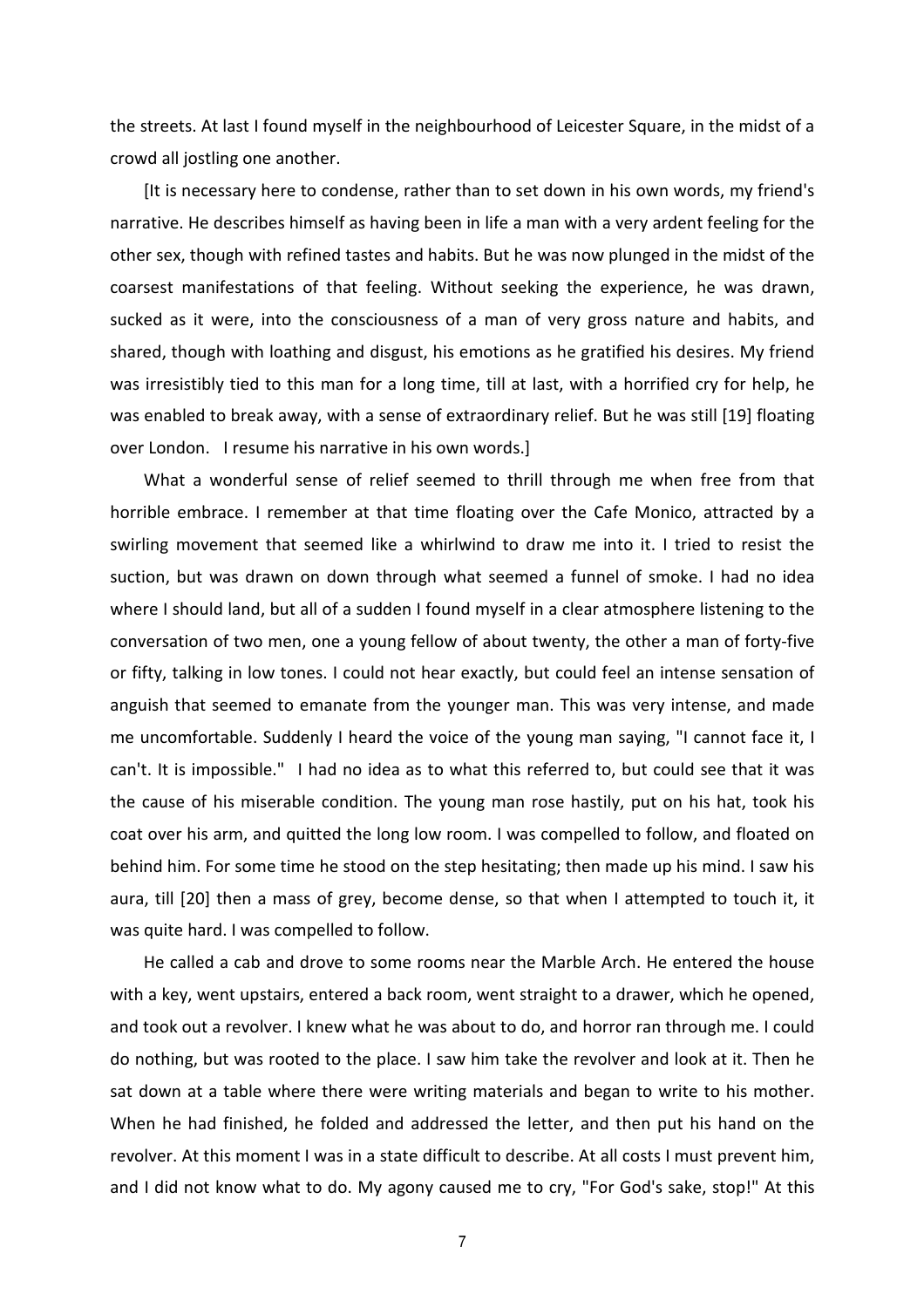the streets. At last I found myself in the neighbourhood of Leicester Square, in the midst of a crowd all jostling one another.

[It is necessary here to condense, rather than to set down in his own words, my friend's narrative. He describes himself as having been in life a man with a very ardent feeling for the other sex, though with refined tastes and habits. But he was now plunged in the midst of the coarsest manifestations of that feeling. Without seeking the experience, he was drawn, sucked as it were, into the consciousness of a man of very gross nature and habits, and shared, though with loathing and disgust, his emotions as he gratified his desires. My friend was irresistibly tied to this man for a long time, till at last, with a horrified cry for help, he was enabled to break away, with a sense of extraordinary relief. But he was still [19] floating over London. I resume his narrative in his own words.]

What a wonderful sense of relief seemed to thrill through me when free from that horrible embrace. I remember at that time floating over the Cafe Monico, attracted by a swirling movement that seemed like a whirlwind to draw me into it. I tried to resist the suction, but was drawn on down through what seemed a funnel of smoke. I had no idea where I should land, but all of a sudden I found myself in a clear atmosphere listening to the conversation of two men, one a young fellow of about twenty, the other a man of forty-five or fifty, talking in low tones. I could not hear exactly, but could feel an intense sensation of anguish that seemed to emanate from the younger man. This was very intense, and made me uncomfortable. Suddenly I heard the voice of the young man saying, "I cannot face it, I can't. It is impossible." I had no idea as to what this referred to, but could see that it was the cause of his miserable condition. The young man rose hastily, put on his hat, took his coat over his arm, and quitted the long low room. I was compelled to follow, and floated on behind him. For some time he stood on the step hesitating; then made up his mind. I saw his aura, till [20] then a mass of grey, become dense, so that when I attempted to touch it, it was quite hard. I was compelled to follow.

He called a cab and drove to some rooms near the Marble Arch. He entered the house with a key, went upstairs, entered a back room, went straight to a drawer, which he opened, and took out a revolver. I knew what he was about to do, and horror ran through me. I could do nothing, but was rooted to the place. I saw him take the revolver and look at it. Then he sat down at a table where there were writing materials and began to write to his mother. When he had finished, he folded and addressed the letter, and then put his hand on the revolver. At this moment I was in a state difficult to describe. At all costs I must prevent him, and I did not know what to do. My agony caused me to cry, "For God's sake, stop!" At this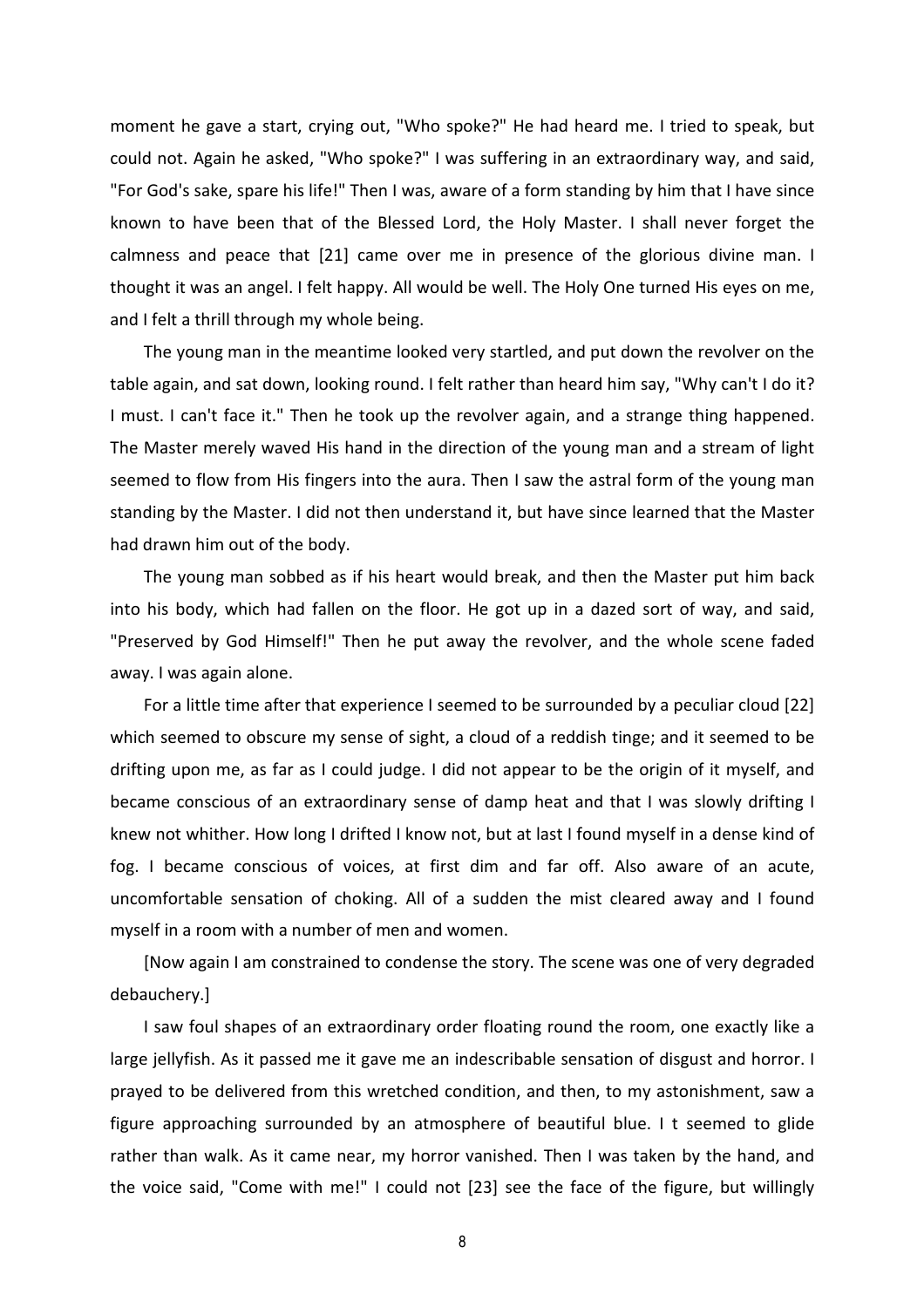moment he gave a start, crying out, "Who spoke?" He had heard me. I tried to speak, but could not. Again he asked, "Who spoke?" I was suffering in an extraordinary way, and said, "For God's sake, spare his life!" Then I was, aware of a form standing by him that I have since known to have been that of the Blessed Lord, the Holy Master. I shall never forget the calmness and peace that [21] came over me in presence of the glorious divine man. I thought it was an angel. I felt happy. All would be well. The Holy One turned His eyes on me, and I felt a thrill through my whole being.

The young man in the meantime looked very startled, and put down the revolver on the table again, and sat down, looking round. I felt rather than heard him say, "Why can't I do it? I must. I can't face it." Then he took up the revolver again, and a strange thing happened. The Master merely waved His hand in the direction of the young man and a stream of light seemed to flow from His fingers into the aura. Then I saw the astral form of the young man standing by the Master. I did not then understand it, but have since learned that the Master had drawn him out of the body.

The young man sobbed as if his heart would break, and then the Master put him back into his body, which had fallen on the floor. He got up in a dazed sort of way, and said, "Preserved by God Himself!" Then he put away the revolver, and the whole scene faded away. I was again alone.

For a little time after that experience I seemed to be surrounded by a peculiar cloud [22] which seemed to obscure my sense of sight, a cloud of a reddish tinge; and it seemed to be drifting upon me, as far as I could judge. I did not appear to be the origin of it myself, and became conscious of an extraordinary sense of damp heat and that I was slowly drifting I knew not whither. How long I drifted I know not, but at last I found myself in a dense kind of fog. I became conscious of voices, at first dim and far off. Also aware of an acute, uncomfortable sensation of choking. All of a sudden the mist cleared away and I found myself in a room with a number of men and women.

[Now again I am constrained to condense the story. The scene was one of very degraded debauchery.]

I saw foul shapes of an extraordinary order floating round the room, one exactly like a large jellyfish. As it passed me it gave me an indescribable sensation of disgust and horror. I prayed to be delivered from this wretched condition, and then, to my astonishment, saw a figure approaching surrounded by an atmosphere of beautiful blue. I t seemed to glide rather than walk. As it came near, my horror vanished. Then I was taken by the hand, and the voice said, "Come with me!" I could not [23] see the face of the figure, but willingly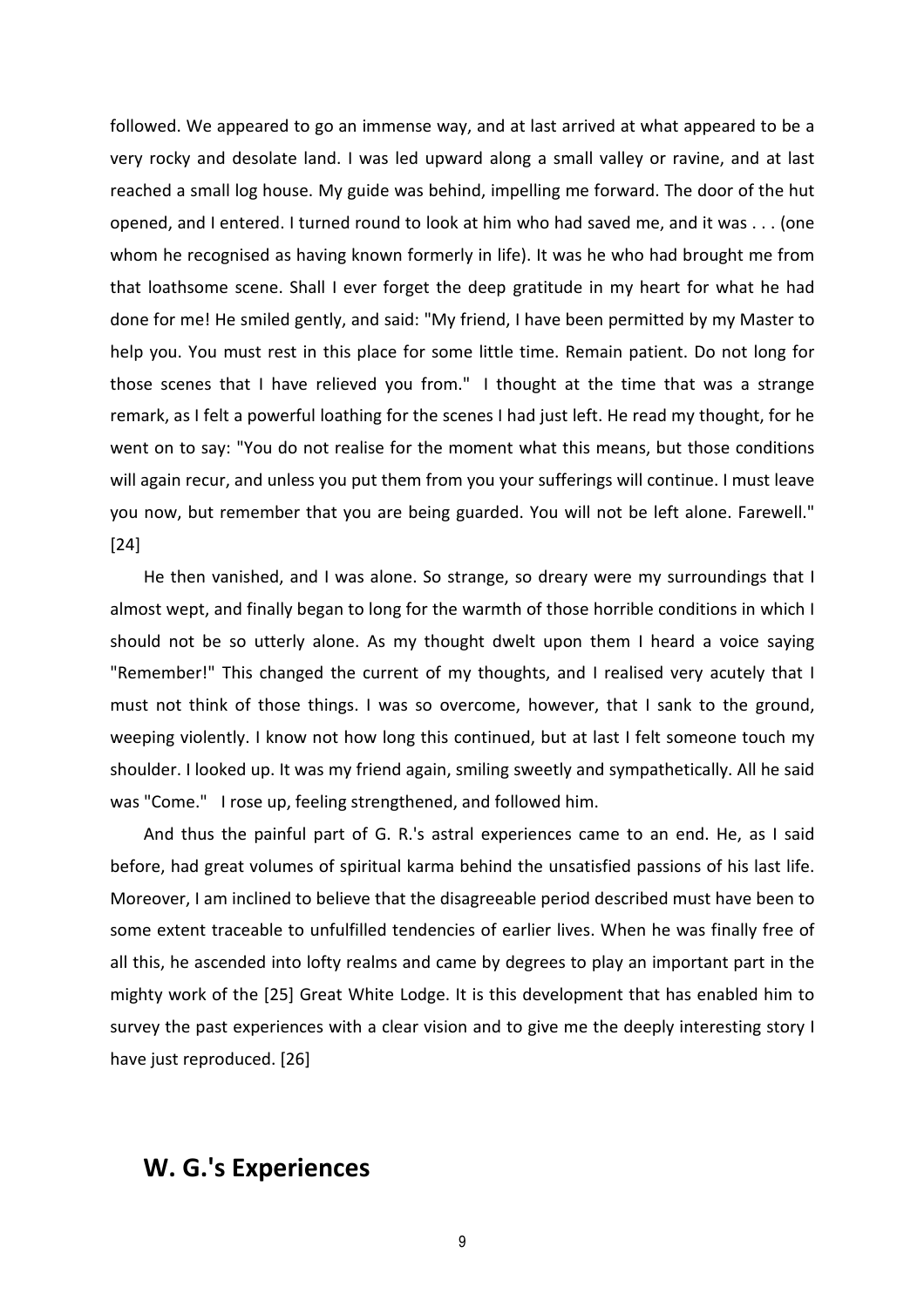followed. We appeared to go an immense way, and at last arrived at what appeared to be a very rocky and desolate land. I was led upward along a small valley or ravine, and at last reached a small log house. My guide was behind, impelling me forward. The door of the hut opened, and I entered. I turned round to look at him who had saved me, and it was . . . (one whom he recognised as having known formerly in life). It was he who had brought me from that loathsome scene. Shall I ever forget the deep gratitude in my heart for what he had done for me! He smiled gently, and said: "My friend, I have been permitted by my Master to help you. You must rest in this place for some little time. Remain patient. Do not long for those scenes that I have relieved you from." I thought at the time that was a strange remark, as I felt a powerful loathing for the scenes I had just left. He read my thought, for he went on to say: "You do not realise for the moment what this means, but those conditions will again recur, and unless you put them from you your sufferings will continue. I must leave you now, but remember that you are being guarded. You will not be left alone. Farewell." [24]

He then vanished, and I was alone. So strange, so dreary were my surroundings that I almost wept, and finally began to long for the warmth of those horrible conditions in which I should not be so utterly alone. As my thought dwelt upon them I heard a voice saying "Remember!" This changed the current of my thoughts, and I realised very acutely that I must not think of those things. I was so overcome, however, that I sank to the ground, weeping violently. I know not how long this continued, but at last I felt someone touch my shoulder. I looked up. It was my friend again, smiling sweetly and sympathetically. All he said was "Come." I rose up, feeling strengthened, and followed him.

And thus the painful part of G. R.'s astral experiences came to an end. He, as I said before, had great volumes of spiritual karma behind the unsatisfied passions of his last life. Moreover, I am inclined to believe that the disagreeable period described must have been to some extent traceable to unfulfilled tendencies of earlier lives. When he was finally free of all this, he ascended into lofty realms and came by degrees to play an important part in the mighty work of the [25] Great White Lodge. It is this development that has enabled him to survey the past experiences with a clear vision and to give me the deeply interesting story I have just reproduced. [26]

#### **W. G.'s Experiences**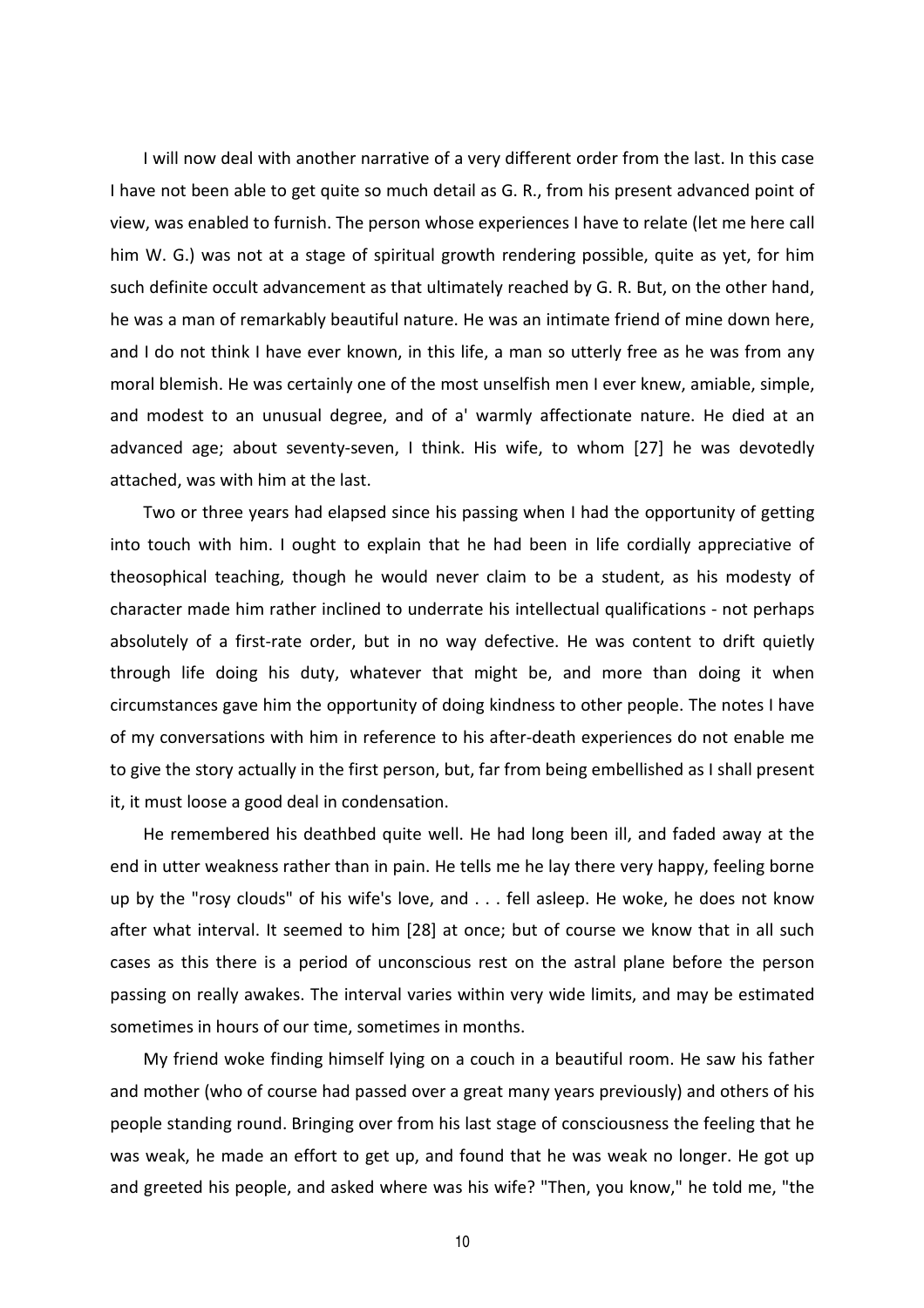I will now deal with another narrative of a very different order from the last. In this case I have not been able to get quite so much detail as G. R., from his present advanced point of view, was enabled to furnish. The person whose experiences I have to relate (let me here call him W. G.) was not at a stage of spiritual growth rendering possible, quite as yet, for him such definite occult advancement as that ultimately reached by G. R. But, on the other hand, he was a man of remarkably beautiful nature. He was an intimate friend of mine down here, and I do not think I have ever known, in this life, a man so utterly free as he was from any moral blemish. He was certainly one of the most unselfish men I ever knew, amiable, simple, and modest to an unusual degree, and of a' warmly affectionate nature. He died at an advanced age; about seventy-seven, I think. His wife, to whom [27] he was devotedly attached, was with him at the last.

Two or three years had elapsed since his passing when I had the opportunity of getting into touch with him. I ought to explain that he had been in life cordially appreciative of theosophical teaching, though he would never claim to be a student, as his modesty of character made him rather inclined to underrate his intellectual qualifications - not perhaps absolutely of a first-rate order, but in no way defective. He was content to drift quietly through life doing his duty, whatever that might be, and more than doing it when circumstances gave him the opportunity of doing kindness to other people. The notes I have of my conversations with him in reference to his after-death experiences do not enable me to give the story actually in the first person, but, far from being embellished as I shall present it, it must loose a good deal in condensation.

He remembered his deathbed quite well. He had long been ill, and faded away at the end in utter weakness rather than in pain. He tells me he lay there very happy, feeling borne up by the "rosy clouds" of his wife's love, and . . . fell asleep. He woke, he does not know after what interval. It seemed to him [28] at once; but of course we know that in all such cases as this there is a period of unconscious rest on the astral plane before the person passing on really awakes. The interval varies within very wide limits, and may be estimated sometimes in hours of our time, sometimes in months.

My friend woke finding himself lying on a couch in a beautiful room. He saw his father and mother (who of course had passed over a great many years previously) and others of his people standing round. Bringing over from his last stage of consciousness the feeling that he was weak, he made an effort to get up, and found that he was weak no longer. He got up and greeted his people, and asked where was his wife? "Then, you know," he told me, "the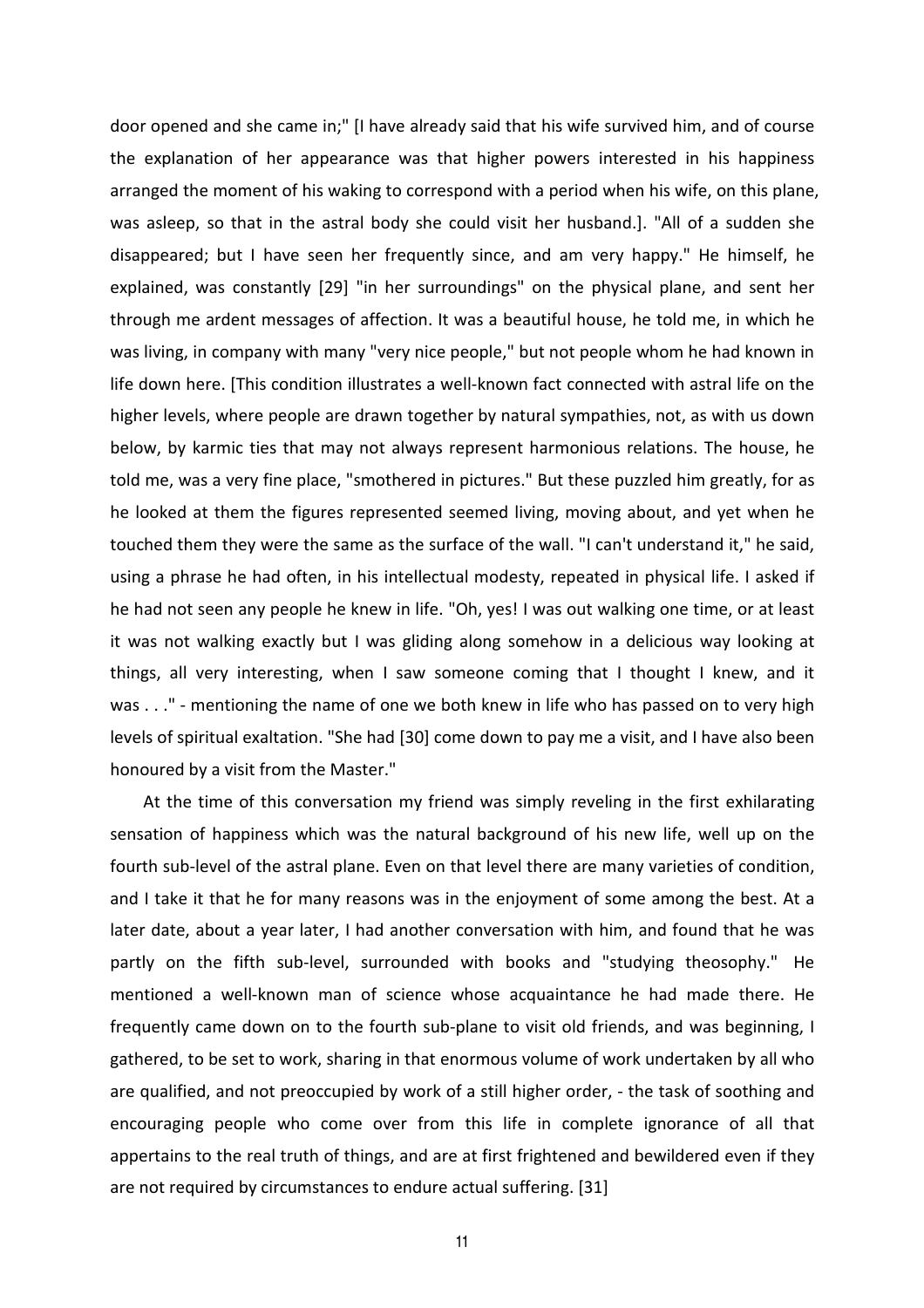door opened and she came in;" [I have already said that his wife survived him, and of course the explanation of her appearance was that higher powers interested in his happiness arranged the moment of his waking to correspond with a period when his wife, on this plane, was asleep, so that in the astral body she could visit her husband.]. "All of a sudden she disappeared; but I have seen her frequently since, and am very happy." He himself, he explained, was constantly [29] "in her surroundings" on the physical plane, and sent her through me ardent messages of affection. It was a beautiful house, he told me, in which he was living, in company with many "very nice people," but not people whom he had known in life down here. [This condition illustrates a well-known fact connected with astral life on the higher levels, where people are drawn together by natural sympathies, not, as with us down below, by karmic ties that may not always represent harmonious relations. The house, he told me, was a very fine place, "smothered in pictures." But these puzzled him greatly, for as he looked at them the figures represented seemed living, moving about, and yet when he touched them they were the same as the surface of the wall. "I can't understand it," he said, using a phrase he had often, in his intellectual modesty, repeated in physical life. I asked if he had not seen any people he knew in life. "Oh, yes! I was out walking one time, or at least it was not walking exactly but I was gliding along somehow in a delicious way looking at things, all very interesting, when I saw someone coming that I thought I knew, and it was . . ." - mentioning the name of one we both knew in life who has passed on to very high levels of spiritual exaltation. "She had [30] come down to pay me a visit, and I have also been honoured by a visit from the Master."

At the time of this conversation my friend was simply reveling in the first exhilarating sensation of happiness which was the natural background of his new life, well up on the fourth sub-level of the astral plane. Even on that level there are many varieties of condition, and I take it that he for many reasons was in the enjoyment of some among the best. At a later date, about a year later, I had another conversation with him, and found that he was partly on the fifth sub-level, surrounded with books and "studying theosophy." He mentioned a well-known man of science whose acquaintance he had made there. He frequently came down on to the fourth sub-plane to visit old friends, and was beginning, I gathered, to be set to work, sharing in that enormous volume of work undertaken by all who are qualified, and not preoccupied by work of a still higher order, - the task of soothing and encouraging people who come over from this life in complete ignorance of all that appertains to the real truth of things, and are at first frightened and bewildered even if they are not required by circumstances to endure actual suffering. [31]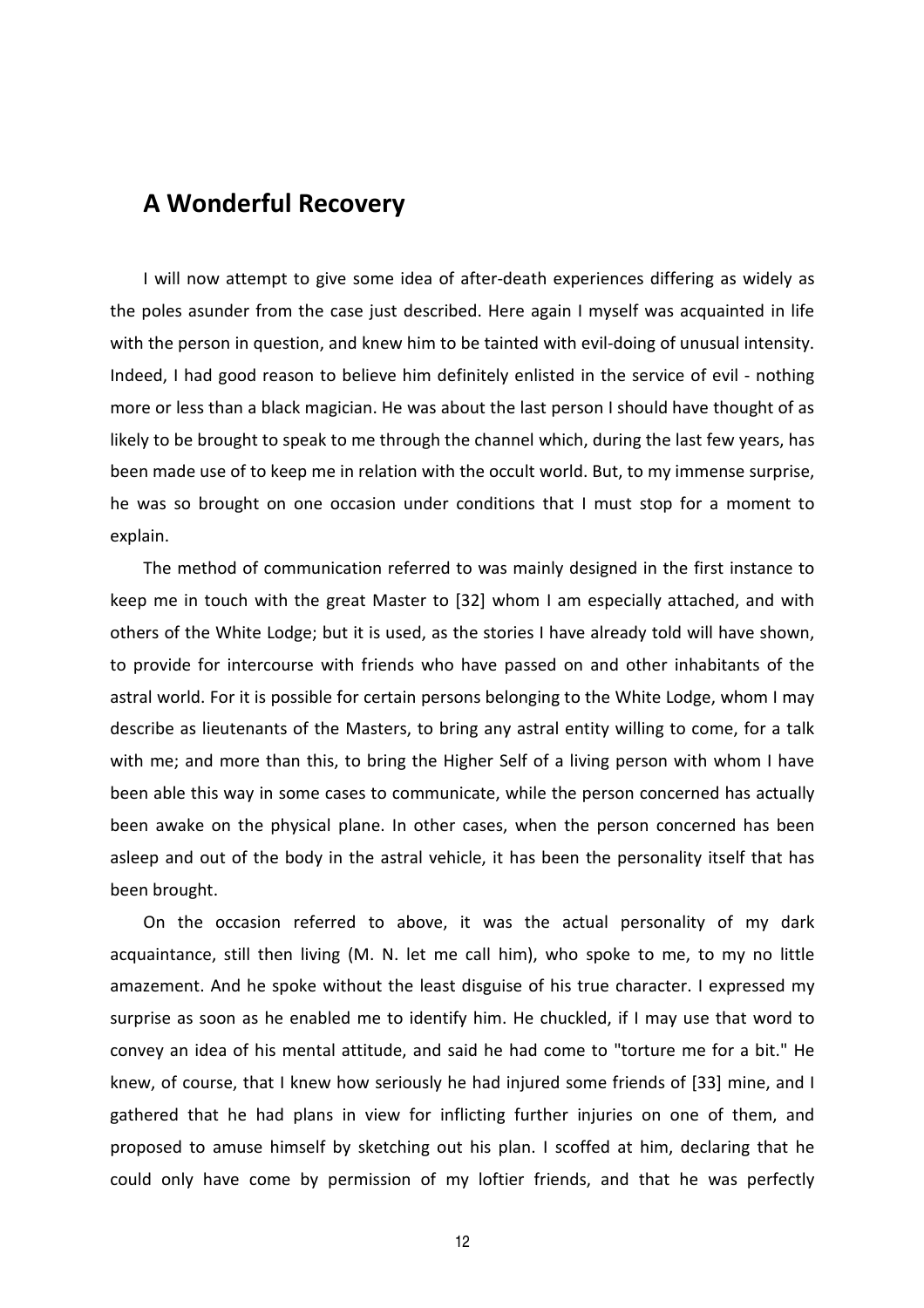#### **A Wonderful Recovery**

I will now attempt to give some idea of after-death experiences differing as widely as the poles asunder from the case just described. Here again I myself was acquainted in life with the person in question, and knew him to be tainted with evil-doing of unusual intensity. Indeed, I had good reason to believe him definitely enlisted in the service of evil - nothing more or less than a black magician. He was about the last person I should have thought of as likely to be brought to speak to me through the channel which, during the last few years, has been made use of to keep me in relation with the occult world. But, to my immense surprise, he was so brought on one occasion under conditions that I must stop for a moment to explain.

The method of communication referred to was mainly designed in the first instance to keep me in touch with the great Master to [32] whom I am especially attached, and with others of the White Lodge; but it is used, as the stories I have already told will have shown, to provide for intercourse with friends who have passed on and other inhabitants of the astral world. For it is possible for certain persons belonging to the White Lodge, whom I may describe as lieutenants of the Masters, to bring any astral entity willing to come, for a talk with me; and more than this, to bring the Higher Self of a living person with whom I have been able this way in some cases to communicate, while the person concerned has actually been awake on the physical plane. In other cases, when the person concerned has been asleep and out of the body in the astral vehicle, it has been the personality itself that has been brought.

On the occasion referred to above, it was the actual personality of my dark acquaintance, still then living (M. N. let me call him), who spoke to me, to my no little amazement. And he spoke without the least disguise of his true character. I expressed my surprise as soon as he enabled me to identify him. He chuckled, if I may use that word to convey an idea of his mental attitude, and said he had come to "torture me for a bit." He knew, of course, that I knew how seriously he had injured some friends of [33] mine, and I gathered that he had plans in view for inflicting further injuries on one of them, and proposed to amuse himself by sketching out his plan. I scoffed at him, declaring that he could only have come by permission of my loftier friends, and that he was perfectly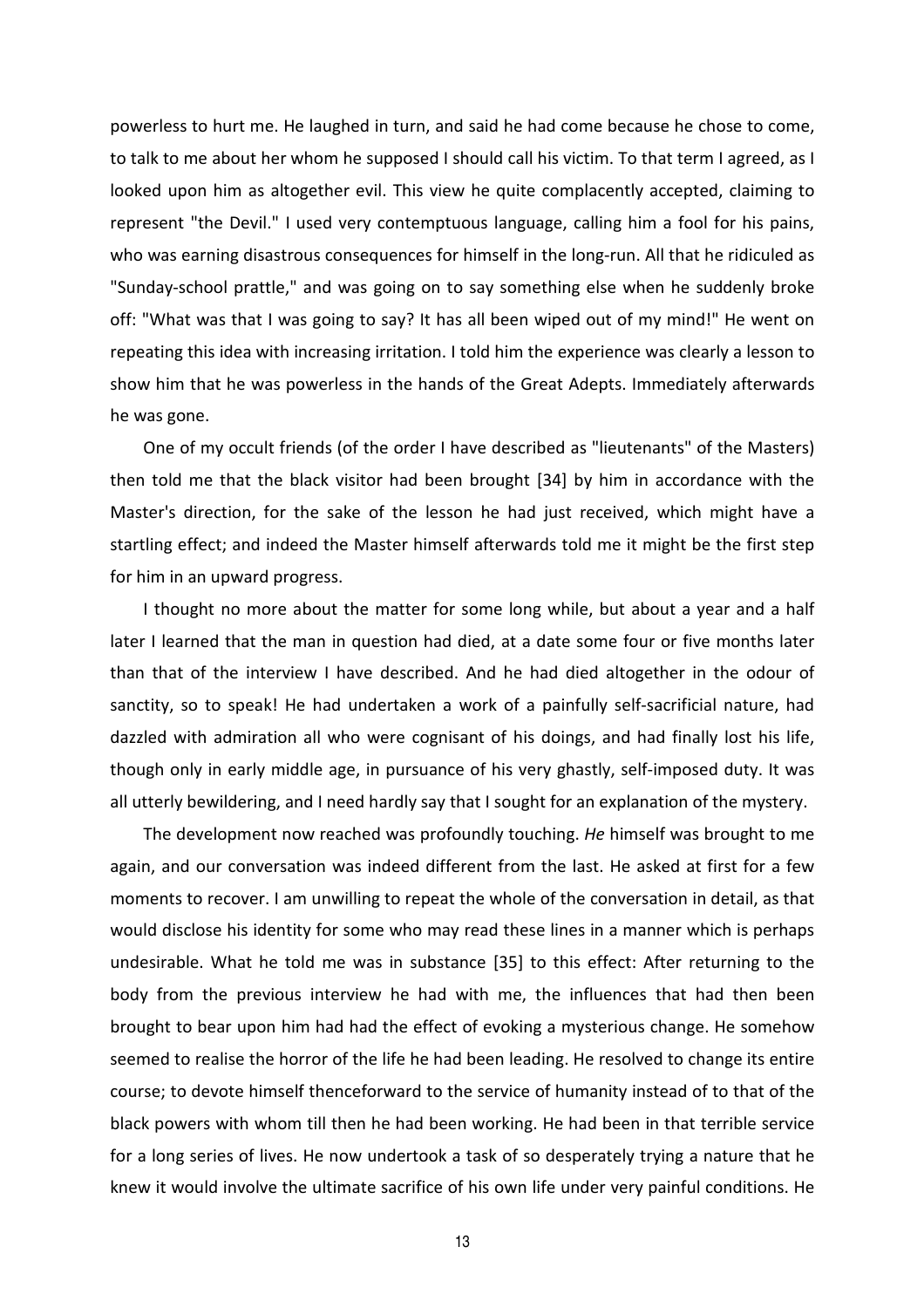powerless to hurt me. He laughed in turn, and said he had come because he chose to come, to talk to me about her whom he supposed I should call his victim. To that term I agreed, as I looked upon him as altogether evil. This view he quite complacently accepted, claiming to represent "the Devil." I used very contemptuous language, calling him a fool for his pains, who was earning disastrous consequences for himself in the long-run. All that he ridiculed as "Sunday-school prattle," and was going on to say something else when he suddenly broke off: "What was that I was going to say? It has all been wiped out of my mind!" He went on repeating this idea with increasing irritation. I told him the experience was clearly a lesson to show him that he was powerless in the hands of the Great Adepts. Immediately afterwards he was gone.

One of my occult friends (of the order I have described as "lieutenants" of the Masters) then told me that the black visitor had been brought [34] by him in accordance with the Master's direction, for the sake of the lesson he had just received, which might have a startling effect; and indeed the Master himself afterwards told me it might be the first step for him in an upward progress.

I thought no more about the matter for some long while, but about a year and a half later I learned that the man in question had died, at a date some four or five months later than that of the interview I have described. And he had died altogether in the odour of sanctity, so to speak! He had undertaken a work of a painfully self-sacrificial nature, had dazzled with admiration all who were cognisant of his doings, and had finally lost his life, though only in early middle age, in pursuance of his very ghastly, self-imposed duty. It was all utterly bewildering, and I need hardly say that I sought for an explanation of the mystery.

The development now reached was profoundly touching. *He* himself was brought to me again, and our conversation was indeed different from the last. He asked at first for a few moments to recover. I am unwilling to repeat the whole of the conversation in detail, as that would disclose his identity for some who may read these lines in a manner which is perhaps undesirable. What he told me was in substance [35] to this effect: After returning to the body from the previous interview he had with me, the influences that had then been brought to bear upon him had had the effect of evoking a mysterious change. He somehow seemed to realise the horror of the life he had been leading. He resolved to change its entire course; to devote himself thenceforward to the service of humanity instead of to that of the black powers with whom till then he had been working. He had been in that terrible service for a long series of lives. He now undertook a task of so desperately trying a nature that he knew it would involve the ultimate sacrifice of his own life under very painful conditions. He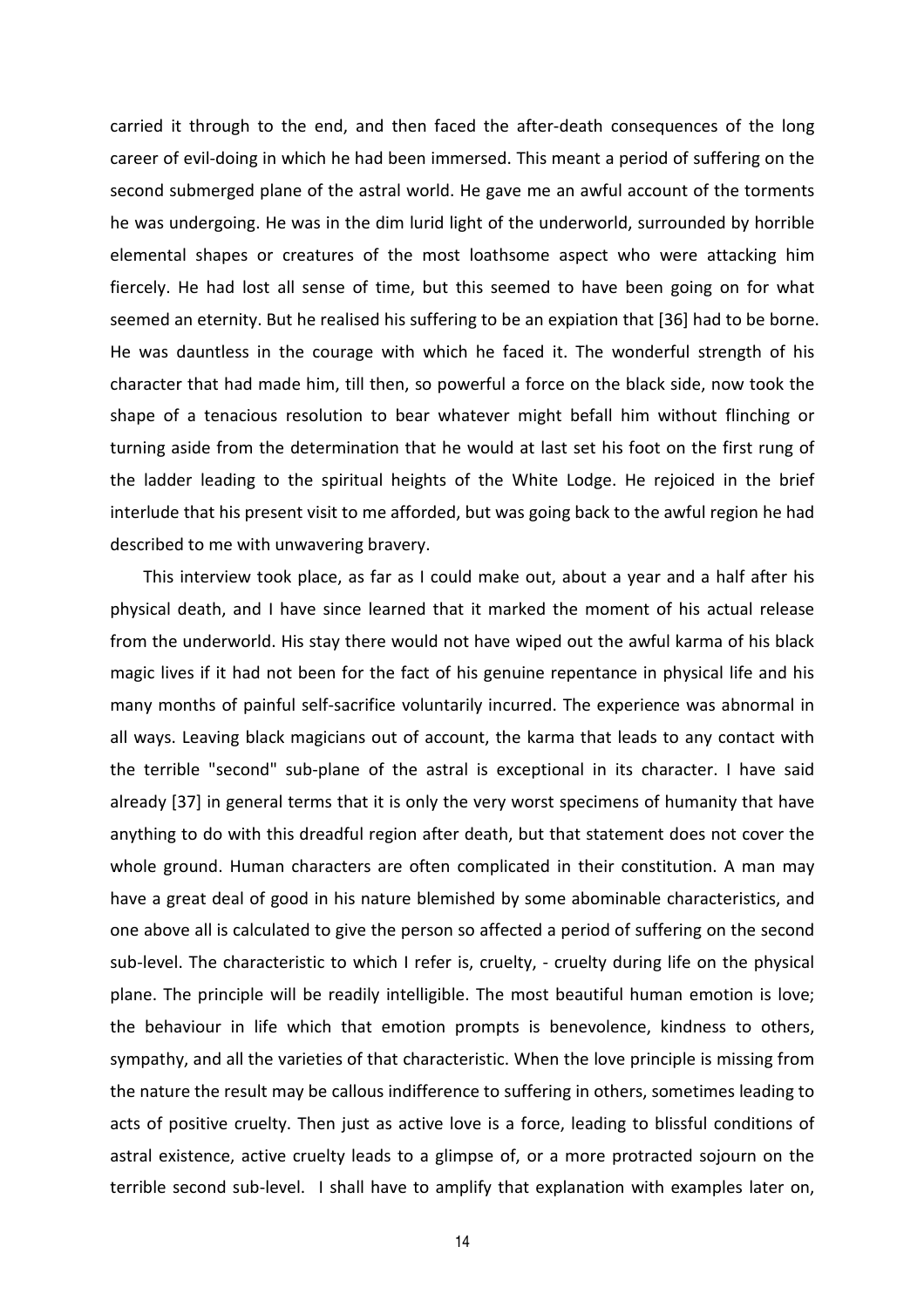carried it through to the end, and then faced the after-death consequences of the long career of evil-doing in which he had been immersed. This meant a period of suffering on the second submerged plane of the astral world. He gave me an awful account of the torments he was undergoing. He was in the dim lurid light of the underworld, surrounded by horrible elemental shapes or creatures of the most loathsome aspect who were attacking him fiercely. He had lost all sense of time, but this seemed to have been going on for what seemed an eternity. But he realised his suffering to be an expiation that [36] had to be borne. He was dauntless in the courage with which he faced it. The wonderful strength of his character that had made him, till then, so powerful a force on the black side, now took the shape of a tenacious resolution to bear whatever might befall him without flinching or turning aside from the determination that he would at last set his foot on the first rung of the ladder leading to the spiritual heights of the White Lodge. He rejoiced in the brief interlude that his present visit to me afforded, but was going back to the awful region he had described to me with unwavering bravery.

This interview took place, as far as I could make out, about a year and a half after his physical death, and I have since learned that it marked the moment of his actual release from the underworld. His stay there would not have wiped out the awful karma of his black magic lives if it had not been for the fact of his genuine repentance in physical life and his many months of painful self-sacrifice voluntarily incurred. The experience was abnormal in all ways. Leaving black magicians out of account, the karma that leads to any contact with the terrible "second" sub-plane of the astral is exceptional in its character. I have said already [37] in general terms that it is only the very worst specimens of humanity that have anything to do with this dreadful region after death, but that statement does not cover the whole ground. Human characters are often complicated in their constitution. A man may have a great deal of good in his nature blemished by some abominable characteristics, and one above all is calculated to give the person so affected a period of suffering on the second sub-level. The characteristic to which I refer is, cruelty, - cruelty during life on the physical plane. The principle will be readily intelligible. The most beautiful human emotion is love; the behaviour in life which that emotion prompts is benevolence, kindness to others, sympathy, and all the varieties of that characteristic. When the love principle is missing from the nature the result may be callous indifference to suffering in others, sometimes leading to acts of positive cruelty. Then just as active love is a force, leading to blissful conditions of astral existence, active cruelty leads to a glimpse of, or a more protracted sojourn on the terrible second sub-level. I shall have to amplify that explanation with examples later on,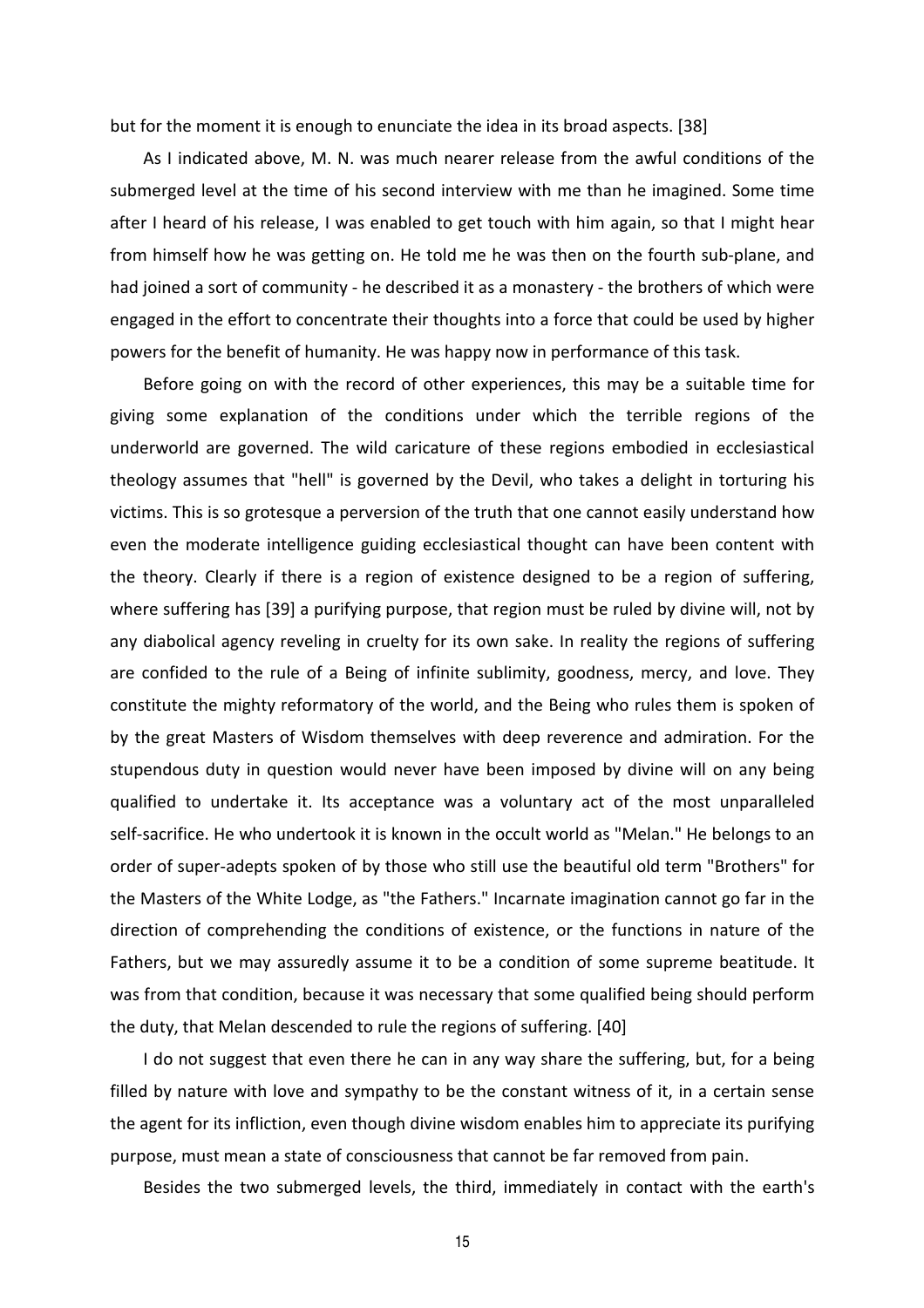but for the moment it is enough to enunciate the idea in its broad aspects. [38]

As I indicated above, M. N. was much nearer release from the awful conditions of the submerged level at the time of his second interview with me than he imagined. Some time after I heard of his release, I was enabled to get touch with him again, so that I might hear from himself how he was getting on. He told me he was then on the fourth sub-plane, and had joined a sort of community - he described it as a monastery - the brothers of which were engaged in the effort to concentrate their thoughts into a force that could be used by higher powers for the benefit of humanity. He was happy now in performance of this task.

Before going on with the record of other experiences, this may be a suitable time for giving some explanation of the conditions under which the terrible regions of the underworld are governed. The wild caricature of these regions embodied in ecclesiastical theology assumes that "hell" is governed by the Devil, who takes a delight in torturing his victims. This is so grotesque a perversion of the truth that one cannot easily understand how even the moderate intelligence guiding ecclesiastical thought can have been content with the theory. Clearly if there is a region of existence designed to be a region of suffering, where suffering has [39] a purifying purpose, that region must be ruled by divine will, not by any diabolical agency reveling in cruelty for its own sake. In reality the regions of suffering are confided to the rule of a Being of infinite sublimity, goodness, mercy, and love. They constitute the mighty reformatory of the world, and the Being who rules them is spoken of by the great Masters of Wisdom themselves with deep reverence and admiration. For the stupendous duty in question would never have been imposed by divine will on any being qualified to undertake it. Its acceptance was a voluntary act of the most unparalleled self-sacrifice. He who undertook it is known in the occult world as "Melan." He belongs to an order of super-adepts spoken of by those who still use the beautiful old term "Brothers" for the Masters of the White Lodge, as "the Fathers." Incarnate imagination cannot go far in the direction of comprehending the conditions of existence, or the functions in nature of the Fathers, but we may assuredly assume it to be a condition of some supreme beatitude. It was from that condition, because it was necessary that some qualified being should perform the duty, that Melan descended to rule the regions of suffering. [40]

I do not suggest that even there he can in any way share the suffering, but, for a being filled by nature with love and sympathy to be the constant witness of it, in a certain sense the agent for its infliction, even though divine wisdom enables him to appreciate its purifying purpose, must mean a state of consciousness that cannot be far removed from pain.

Besides the two submerged levels, the third, immediately in contact with the earth's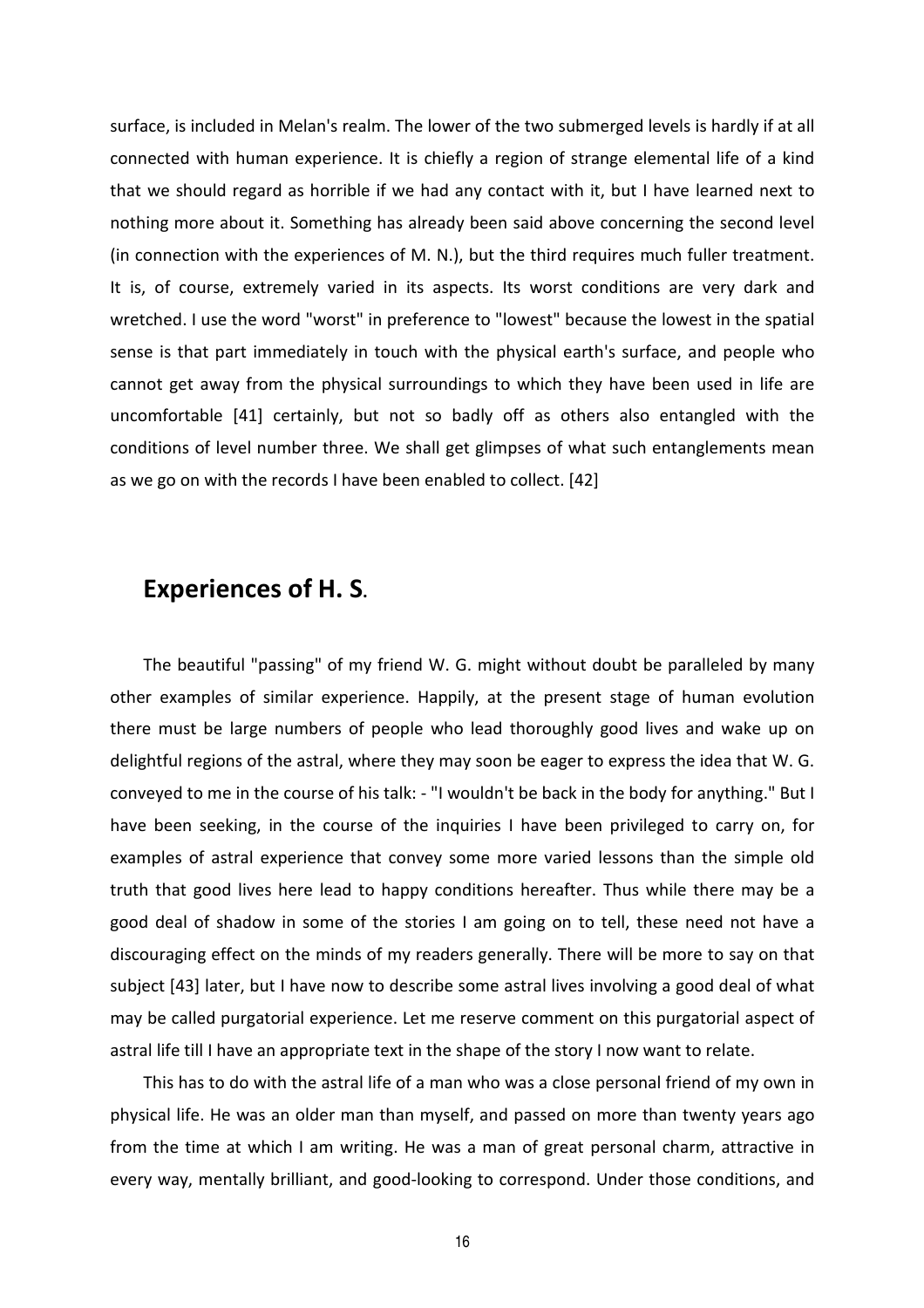surface, is included in Melan's realm. The lower of the two submerged levels is hardly if at all connected with human experience. It is chiefly a region of strange elemental life of a kind that we should regard as horrible if we had any contact with it, but I have learned next to nothing more about it. Something has already been said above concerning the second level (in connection with the experiences of M. N.), but the third requires much fuller treatment. It is, of course, extremely varied in its aspects. Its worst conditions are very dark and wretched. I use the word "worst" in preference to "lowest" because the lowest in the spatial sense is that part immediately in touch with the physical earth's surface, and people who cannot get away from the physical surroundings to which they have been used in life are uncomfortable [41] certainly, but not so badly off as others also entangled with the conditions of level number three. We shall get glimpses of what such entanglements mean as we go on with the records I have been enabled to collect. [42]

#### **Experiences of H. S.**

The beautiful "passing" of my friend W. G. might without doubt be paralleled by many other examples of similar experience. Happily, at the present stage of human evolution there must be large numbers of people who lead thoroughly good lives and wake up on delightful regions of the astral, where they may soon be eager to express the idea that W. G. conveyed to me in the course of his talk: - "I wouldn't be back in the body for anything." But I have been seeking, in the course of the inquiries I have been privileged to carry on, for examples of astral experience that convey some more varied lessons than the simple old truth that good lives here lead to happy conditions hereafter. Thus while there may be a good deal of shadow in some of the stories I am going on to tell, these need not have a discouraging effect on the minds of my readers generally. There will be more to say on that subject [43] later, but I have now to describe some astral lives involving a good deal of what may be called purgatorial experience. Let me reserve comment on this purgatorial aspect of astral life till I have an appropriate text in the shape of the story I now want to relate.

This has to do with the astral life of a man who was a close personal friend of my own in physical life. He was an older man than myself, and passed on more than twenty years ago from the time at which I am writing. He was a man of great personal charm, attractive in every way, mentally brilliant, and good-looking to correspond. Under those conditions, and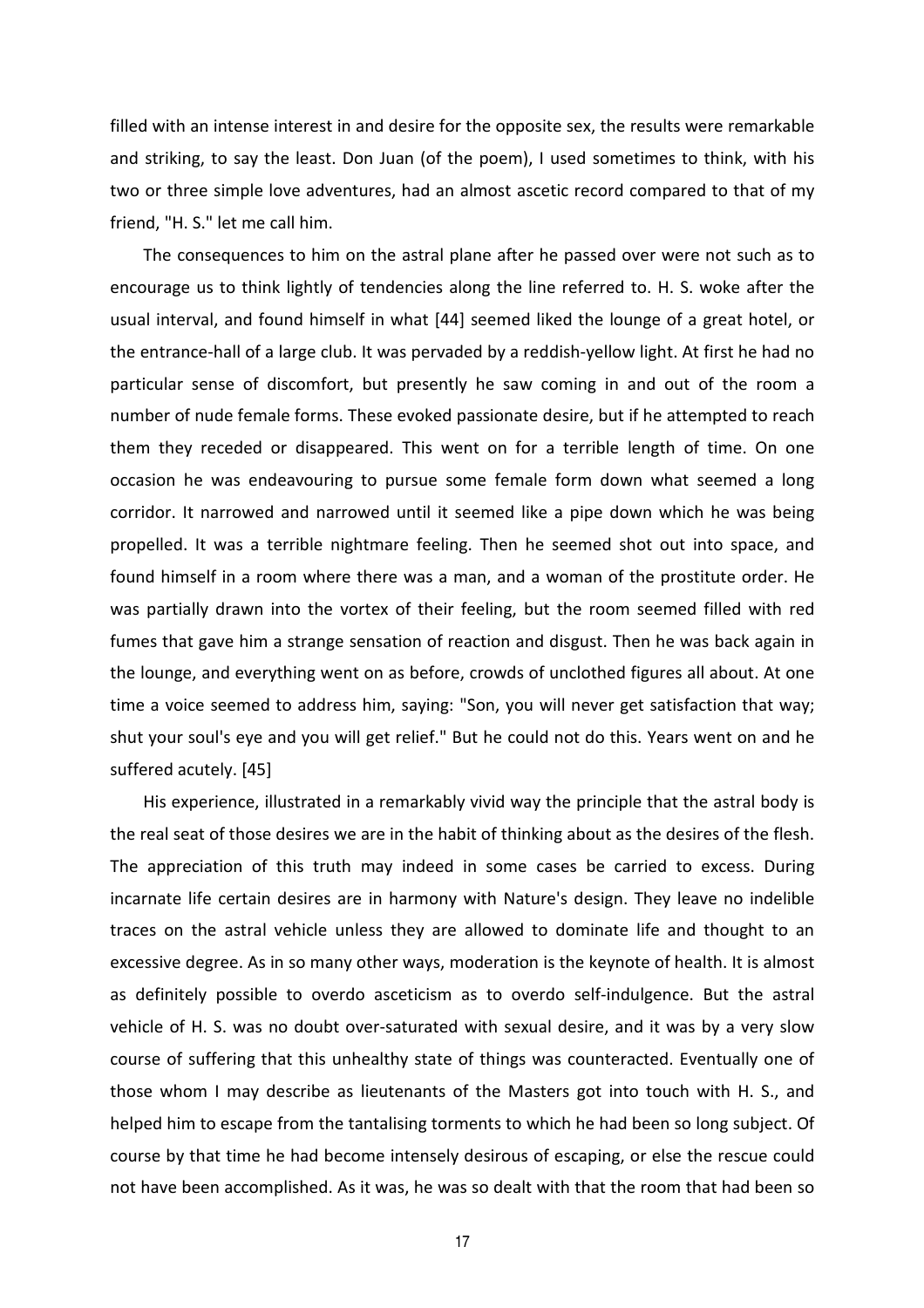filled with an intense interest in and desire for the opposite sex, the results were remarkable and striking, to say the least. Don Juan (of the poem), I used sometimes to think, with his two or three simple love adventures, had an almost ascetic record compared to that of my friend, "H. S." let me call him.

The consequences to him on the astral plane after he passed over were not such as to encourage us to think lightly of tendencies along the line referred to. H. S. woke after the usual interval, and found himself in what [44] seemed liked the lounge of a great hotel, or the entrance-hall of a large club. It was pervaded by a reddish-yellow light. At first he had no particular sense of discomfort, but presently he saw coming in and out of the room a number of nude female forms. These evoked passionate desire, but if he attempted to reach them they receded or disappeared. This went on for a terrible length of time. On one occasion he was endeavouring to pursue some female form down what seemed a long corridor. It narrowed and narrowed until it seemed like a pipe down which he was being propelled. It was a terrible nightmare feeling. Then he seemed shot out into space, and found himself in a room where there was a man, and a woman of the prostitute order. He was partially drawn into the vortex of their feeling, but the room seemed filled with red fumes that gave him a strange sensation of reaction and disgust. Then he was back again in the lounge, and everything went on as before, crowds of unclothed figures all about. At one time a voice seemed to address him, saying: "Son, you will never get satisfaction that way; shut your soul's eye and you will get relief." But he could not do this. Years went on and he suffered acutely. [45]

His experience, illustrated in a remarkably vivid way the principle that the astral body is the real seat of those desires we are in the habit of thinking about as the desires of the flesh. The appreciation of this truth may indeed in some cases be carried to excess. During incarnate life certain desires are in harmony with Nature's design. They leave no indelible traces on the astral vehicle unless they are allowed to dominate life and thought to an excessive degree. As in so many other ways, moderation is the keynote of health. It is almost as definitely possible to overdo asceticism as to overdo self-indulgence. But the astral vehicle of H. S. was no doubt over-saturated with sexual desire, and it was by a very slow course of suffering that this unhealthy state of things was counteracted. Eventually one of those whom I may describe as lieutenants of the Masters got into touch with H. S., and helped him to escape from the tantalising torments to which he had been so long subject. Of course by that time he had become intensely desirous of escaping, or else the rescue could not have been accomplished. As it was, he was so dealt with that the room that had been so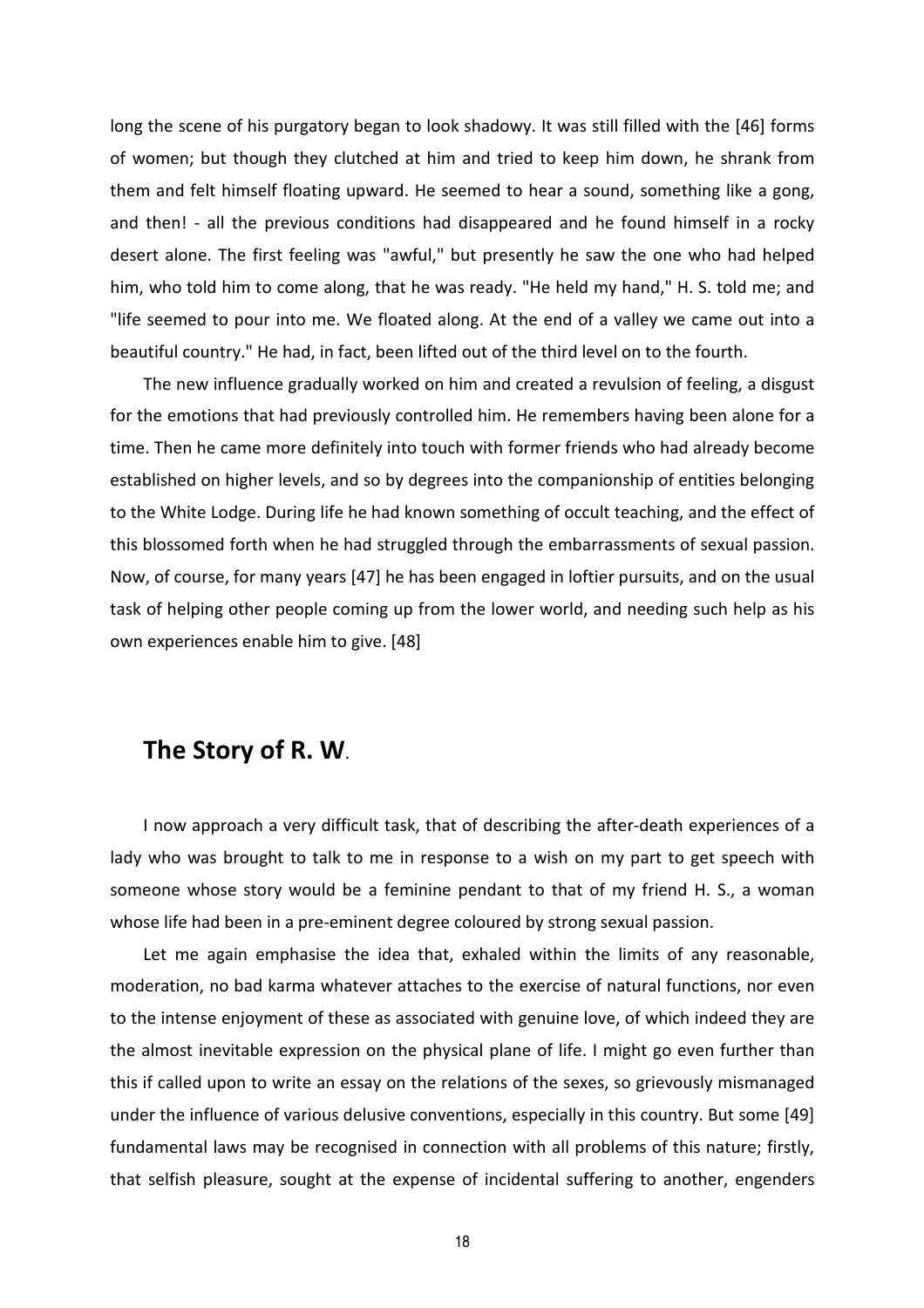long the scene of his purgatory began to look shadowy. It was still filled with the [46] forms of women; but though they clutched at him and tried to keep him down, he shrank from them and felt himself floating upward. He seemed to hear a sound, something like a gong, and then! - all the previous conditions had disappeared and he found himself in a rocky desert alone. The first feeling was "awful," but presently he saw the one who had helped him, who told him to come along, that he was ready. "He held my hand," H. S. told me; and "life seemed to pour into me. We floated along. At the end of a valley we came out into a beautiful country." He had, in fact, been lifted out of the third level on to the fourth.

The new influence gradually worked on him and created a revulsion of feeling, a disgust for the emotions that had previously controlled him. He remembers having been alone for a time. Then he came more definitely into touch with former friends who had already become established on higher levels, and so by degrees into the companionship of entities belonging to the White Lodge. During life he had known something of occult teaching, and the effect of this blossomed forth when he had struggled through the embarrassments of sexual passion. Now, of course, for many years [47] he has been engaged in loftier pursuits, and on the usual task of helping other people coming up from the lower world, and needing such help as his own experiences enable him to give. [48]

#### **The Story of R. W**.

I now approach a very difficult task, that of describing the after-death experiences of a lady who was brought to talk to me in response to a wish on my part to get speech with someone whose story would be a feminine pendant to that of my friend H. S., a woman whose life had been in a pre-eminent degree coloured by strong sexual passion.

Let me again emphasise the idea that, exhaled within the limits of any reasonable, moderation, no bad karma whatever attaches to the exercise of natural functions, nor even to the intense enjoyment of these as associated with genuine love, of which indeed they are the almost inevitable expression on the physical plane of life. I might go even further than this if called upon to write an essay on the relations of the sexes, so grievously mismanaged under the influence of various delusive conventions, especially in this country. But some [49] fundamental laws may be recognised in connection with all problems of this nature; firstly, that selfish pleasure, sought at the expense of incidental suffering to another, engenders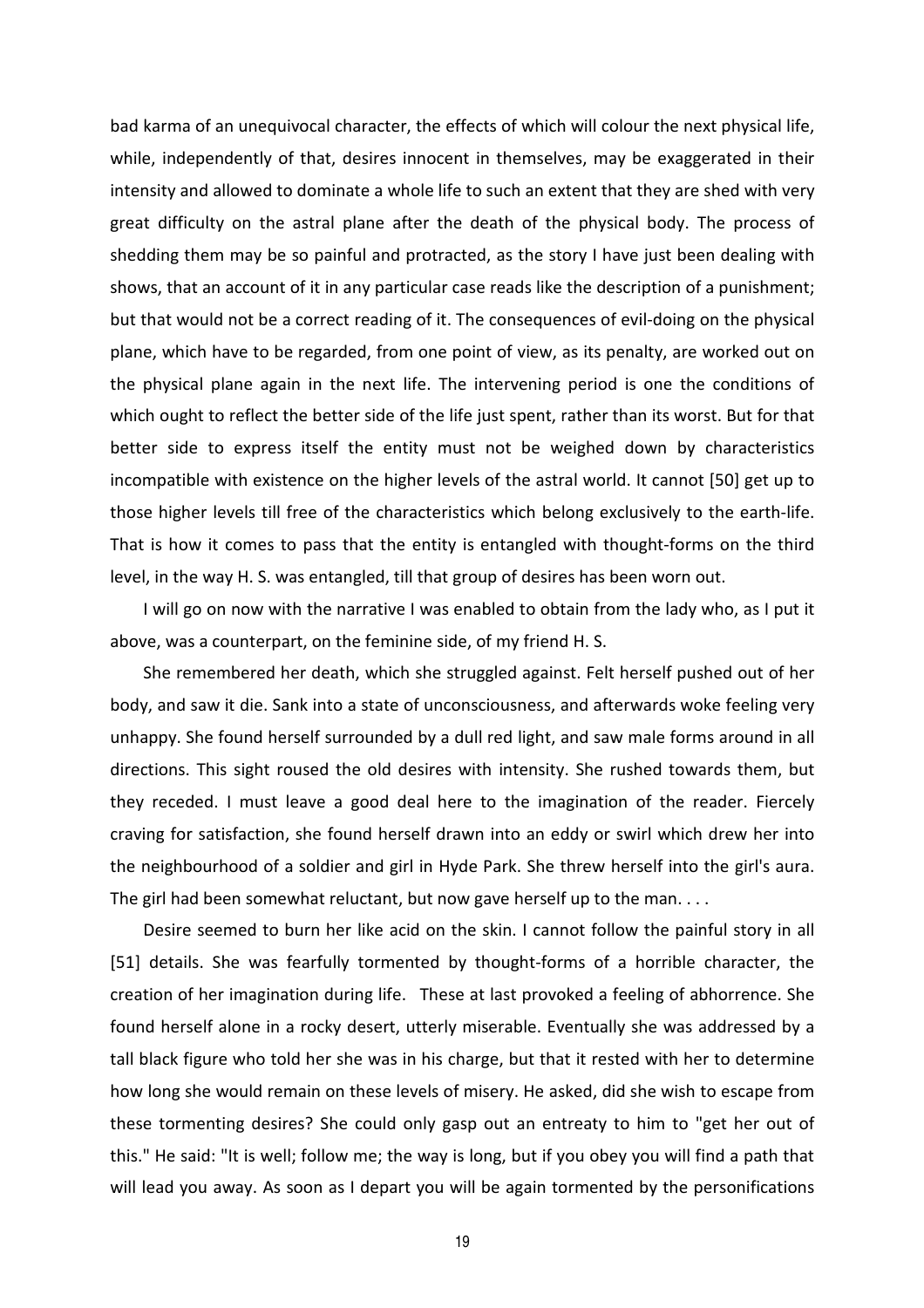bad karma of an unequivocal character, the effects of which will colour the next physical life, while, independently of that, desires innocent in themselves, may be exaggerated in their intensity and allowed to dominate a whole life to such an extent that they are shed with very great difficulty on the astral plane after the death of the physical body. The process of shedding them may be so painful and protracted, as the story I have just been dealing with shows, that an account of it in any particular case reads like the description of a punishment; but that would not be a correct reading of it. The consequences of evil-doing on the physical plane, which have to be regarded, from one point of view, as its penalty, are worked out on the physical plane again in the next life. The intervening period is one the conditions of which ought to reflect the better side of the life just spent, rather than its worst. But for that better side to express itself the entity must not be weighed down by characteristics incompatible with existence on the higher levels of the astral world. It cannot [50] get up to those higher levels till free of the characteristics which belong exclusively to the earth-life. That is how it comes to pass that the entity is entangled with thought-forms on the third level, in the way H. S. was entangled, till that group of desires has been worn out.

I will go on now with the narrative I was enabled to obtain from the lady who, as I put it above, was a counterpart, on the feminine side, of my friend H. S.

She remembered her death, which she struggled against. Felt herself pushed out of her body, and saw it die. Sank into a state of unconsciousness, and afterwards woke feeling very unhappy. She found herself surrounded by a dull red light, and saw male forms around in all directions. This sight roused the old desires with intensity. She rushed towards them, but they receded. I must leave a good deal here to the imagination of the reader. Fiercely craving for satisfaction, she found herself drawn into an eddy or swirl which drew her into the neighbourhood of a soldier and girl in Hyde Park. She threw herself into the girl's aura. The girl had been somewhat reluctant, but now gave herself up to the man. . . .

Desire seemed to burn her like acid on the skin. I cannot follow the painful story in all [51] details. She was fearfully tormented by thought-forms of a horrible character, the creation of her imagination during life. These at last provoked a feeling of abhorrence. She found herself alone in a rocky desert, utterly miserable. Eventually she was addressed by a tall black figure who told her she was in his charge, but that it rested with her to determine how long she would remain on these levels of misery. He asked, did she wish to escape from these tormenting desires? She could only gasp out an entreaty to him to "get her out of this." He said: "It is well; follow me; the way is long, but if you obey you will find a path that will lead you away. As soon as I depart you will be again tormented by the personifications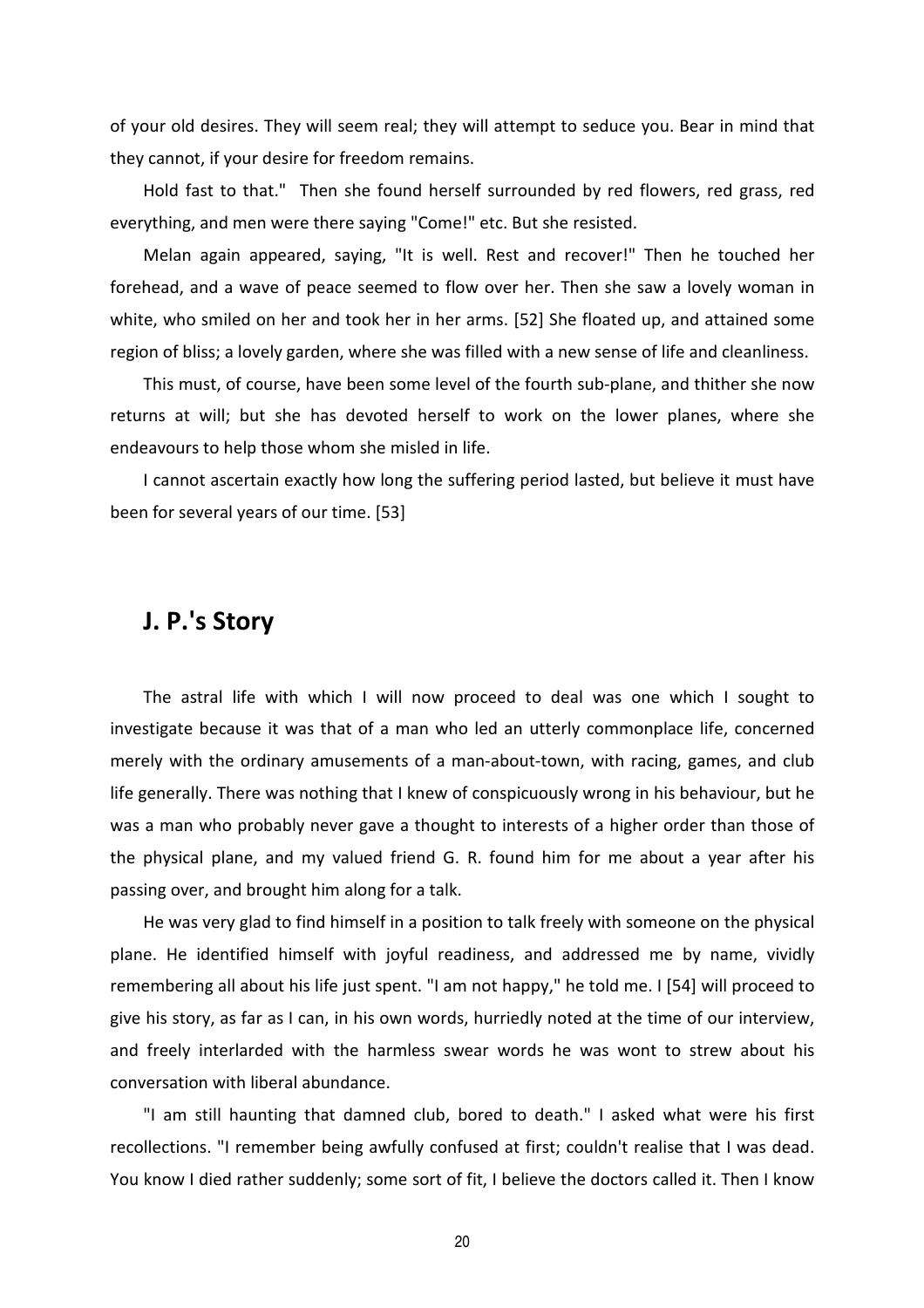of your old desires. They will seem real; they will attempt to seduce you. Bear in mind that they cannot, if your desire for freedom remains.

Hold fast to that." Then she found herself surrounded by red flowers, red grass, red everything, and men were there saying "Come!" etc. But she resisted.

Melan again appeared, saying, "It is well. Rest and recover!" Then he touched her forehead, and a wave of peace seemed to flow over her. Then she saw a lovely woman in white, who smiled on her and took her in her arms. [52] She floated up, and attained some region of bliss; a lovely garden, where she was filled with a new sense of life and cleanliness.

This must, of course, have been some level of the fourth sub-plane, and thither she now returns at will; but she has devoted herself to work on the lower planes, where she endeavours to help those whom she misled in life.

I cannot ascertain exactly how long the suffering period lasted, but believe it must have been for several years of our time. [53]

#### **J. P.'s Story**

The astral life with which I will now proceed to deal was one which I sought to investigate because it was that of a man who led an utterly commonplace life, concerned merely with the ordinary amusements of a man-about-town, with racing, games, and club life generally. There was nothing that I knew of conspicuously wrong in his behaviour, but he was a man who probably never gave a thought to interests of a higher order than those of the physical plane, and my valued friend G. R. found him for me about a year after his passing over, and brought him along for a talk.

He was very glad to find himself in a position to talk freely with someone on the physical plane. He identified himself with joyful readiness, and addressed me by name, vividly remembering all about his life just spent. "I am not happy," he told me. I [54] will proceed to give his story, as far as I can, in his own words, hurriedly noted at the time of our interview, and freely interlarded with the harmless swear words he was wont to strew about his conversation with liberal abundance.

"I am still haunting that damned club, bored to death." I asked what were his first recollections. "I remember being awfully confused at first; couldn't realise that I was dead. You know I died rather suddenly; some sort of fit, I believe the doctors called it. Then I know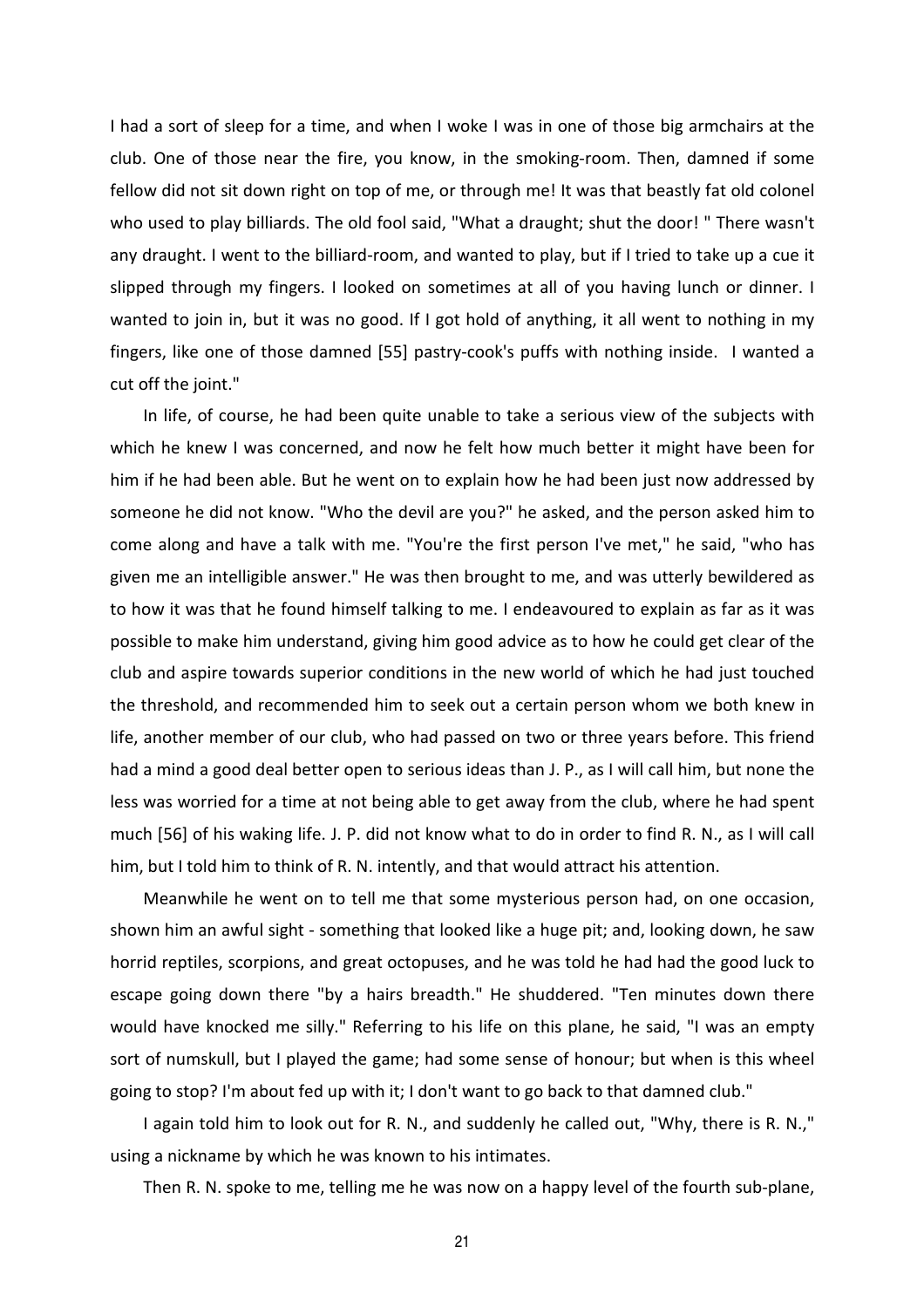I had a sort of sleep for a time, and when I woke I was in one of those big armchairs at the club. One of those near the fire, you know, in the smoking-room. Then, damned if some fellow did not sit down right on top of me, or through me! It was that beastly fat old colonel who used to play billiards. The old fool said, "What a draught; shut the door! " There wasn't any draught. I went to the billiard-room, and wanted to play, but if I tried to take up a cue it slipped through my fingers. I looked on sometimes at all of you having lunch or dinner. I wanted to join in, but it was no good. If I got hold of anything, it all went to nothing in my fingers, like one of those damned [55] pastry-cook's puffs with nothing inside. I wanted a cut off the joint."

In life, of course, he had been quite unable to take a serious view of the subjects with which he knew I was concerned, and now he felt how much better it might have been for him if he had been able. But he went on to explain how he had been just now addressed by someone he did not know. "Who the devil are you?" he asked, and the person asked him to come along and have a talk with me. "You're the first person I've met," he said, "who has given me an intelligible answer." He was then brought to me, and was utterly bewildered as to how it was that he found himself talking to me. I endeavoured to explain as far as it was possible to make him understand, giving him good advice as to how he could get clear of the club and aspire towards superior conditions in the new world of which he had just touched the threshold, and recommended him to seek out a certain person whom we both knew in life, another member of our club, who had passed on two or three years before. This friend had a mind a good deal better open to serious ideas than J. P., as I will call him, but none the less was worried for a time at not being able to get away from the club, where he had spent much [56] of his waking life. J. P. did not know what to do in order to find R. N., as I will call him, but I told him to think of R. N. intently, and that would attract his attention.

Meanwhile he went on to tell me that some mysterious person had, on one occasion, shown him an awful sight - something that looked like a huge pit; and, looking down, he saw horrid reptiles, scorpions, and great octopuses, and he was told he had had the good luck to escape going down there "by a hairs breadth." He shuddered. "Ten minutes down there would have knocked me silly." Referring to his life on this plane, he said, "I was an empty sort of numskull, but I played the game; had some sense of honour; but when is this wheel going to stop? I'm about fed up with it; I don't want to go back to that damned club."

I again told him to look out for R. N., and suddenly he called out, "Why, there is R. N.," using a nickname by which he was known to his intimates.

Then R. N. spoke to me, telling me he was now on a happy level of the fourth sub-plane,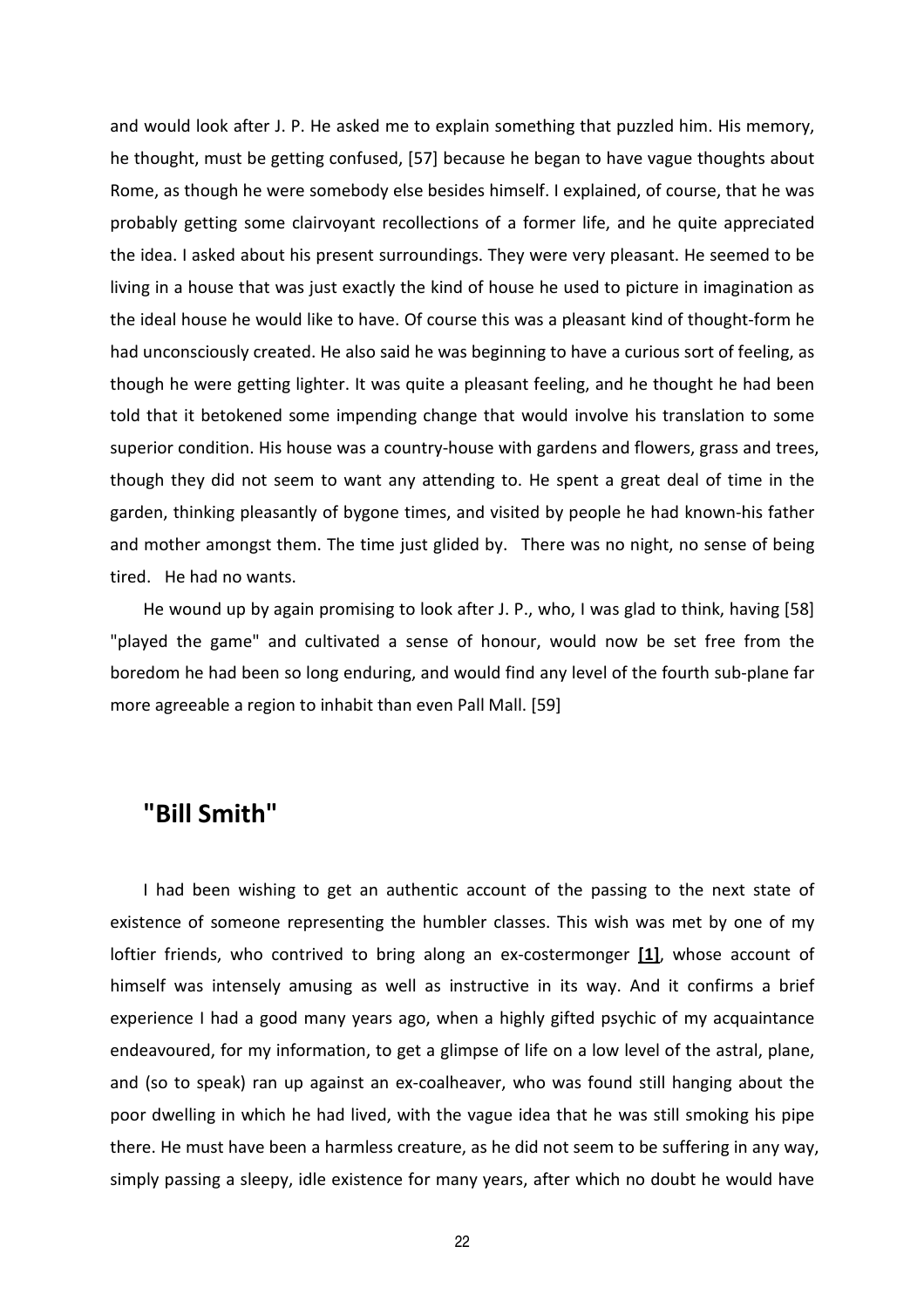and would look after J. P. He asked me to explain something that puzzled him. His memory, he thought, must be getting confused, [57] because he began to have vague thoughts about Rome, as though he were somebody else besides himself. I explained, of course, that he was probably getting some clairvoyant recollections of a former life, and he quite appreciated the idea. I asked about his present surroundings. They were very pleasant. He seemed to be living in a house that was just exactly the kind of house he used to picture in imagination as the ideal house he would like to have. Of course this was a pleasant kind of thought-form he had unconsciously created. He also said he was beginning to have a curious sort of feeling, as though he were getting lighter. It was quite a pleasant feeling, and he thought he had been told that it betokened some impending change that would involve his translation to some superior condition. His house was a country-house with gardens and flowers, grass and trees, though they did not seem to want any attending to. He spent a great deal of time in the garden, thinking pleasantly of bygone times, and visited by people he had known-his father and mother amongst them. The time just glided by. There was no night, no sense of being tired. He had no wants.

He wound up by again promising to look after J. P., who, I was glad to think, having [58] "played the game" and cultivated a sense of honour, would now be set free from the boredom he had been so long enduring, and would find any level of the fourth sub-plane far more agreeable a region to inhabit than even Pall Mall. [59]

#### **"Bill Smith"**

I had been wishing to get an authentic account of the passing to the next state of existence of someone representing the humbler classes. This wish was met by one of my loftier friends, who contrived to bring along an ex-costermonger **[1]**, whose account of himself was intensely amusing as well as instructive in its way. And it confirms a brief experience I had a good many years ago, when a highly gifted psychic of my acquaintance endeavoured, for my information, to get a glimpse of life on a low level of the astral, plane, and (so to speak) ran up against an ex-coalheaver, who was found still hanging about the poor dwelling in which he had lived, with the vague idea that he was still smoking his pipe there. He must have been a harmless creature, as he did not seem to be suffering in any way, simply passing a sleepy, idle existence for many years, after which no doubt he would have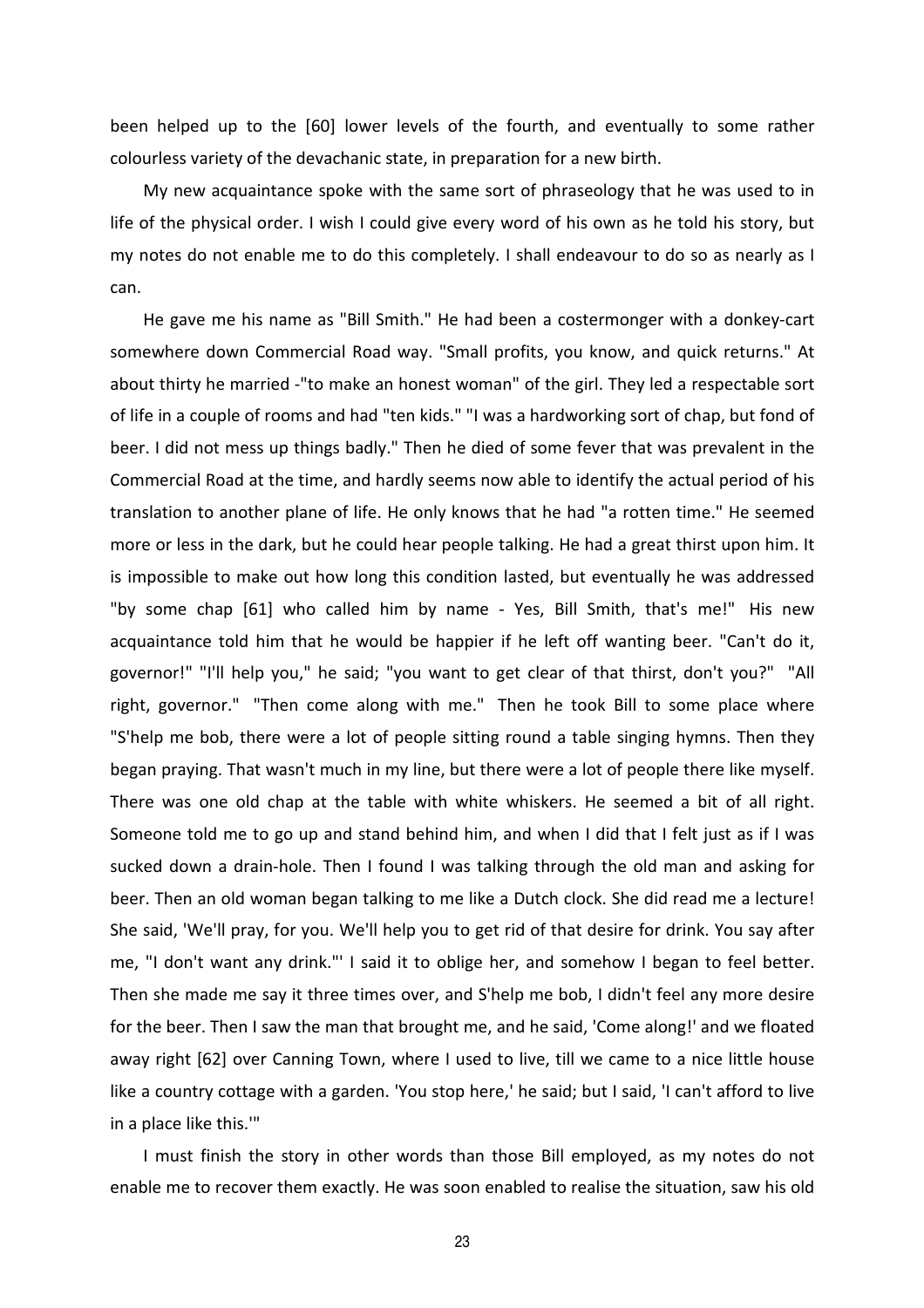been helped up to the [60] lower levels of the fourth, and eventually to some rather colourless variety of the devachanic state, in preparation for a new birth.

My new acquaintance spoke with the same sort of phraseology that he was used to in life of the physical order. I wish I could give every word of his own as he told his story, but my notes do not enable me to do this completely. I shall endeavour to do so as nearly as I can.

He gave me his name as "Bill Smith." He had been a costermonger with a donkey-cart somewhere down Commercial Road way. "Small profits, you know, and quick returns." At about thirty he married -"to make an honest woman" of the girl. They led a respectable sort of life in a couple of rooms and had "ten kids." "I was a hardworking sort of chap, but fond of beer. I did not mess up things badly." Then he died of some fever that was prevalent in the Commercial Road at the time, and hardly seems now able to identify the actual period of his translation to another plane of life. He only knows that he had "a rotten time." He seemed more or less in the dark, but he could hear people talking. He had a great thirst upon him. It is impossible to make out how long this condition lasted, but eventually he was addressed "by some chap [61] who called him by name - Yes, Bill Smith, that's me!" His new acquaintance told him that he would be happier if he left off wanting beer. "Can't do it, governor!" "I'll help you," he said; "you want to get clear of that thirst, don't you?" "All right, governor." "Then come along with me." Then he took Bill to some place where "S'help me bob, there were a lot of people sitting round a table singing hymns. Then they began praying. That wasn't much in my line, but there were a lot of people there like myself. There was one old chap at the table with white whiskers. He seemed a bit of all right. Someone told me to go up and stand behind him, and when I did that I felt just as if I was sucked down a drain-hole. Then I found I was talking through the old man and asking for beer. Then an old woman began talking to me like a Dutch clock. She did read me a lecture! She said, 'We'll pray, for you. We'll help you to get rid of that desire for drink. You say after me, "I don't want any drink."' I said it to oblige her, and somehow I began to feel better. Then she made me say it three times over, and S'help me bob, I didn't feel any more desire for the beer. Then I saw the man that brought me, and he said, 'Come along!' and we floated away right [62] over Canning Town, where I used to live, till we came to a nice little house like a country cottage with a garden. 'You stop here,' he said; but I said, 'I can't afford to live in a place like this.'"

I must finish the story in other words than those Bill employed, as my notes do not enable me to recover them exactly. He was soon enabled to realise the situation, saw his old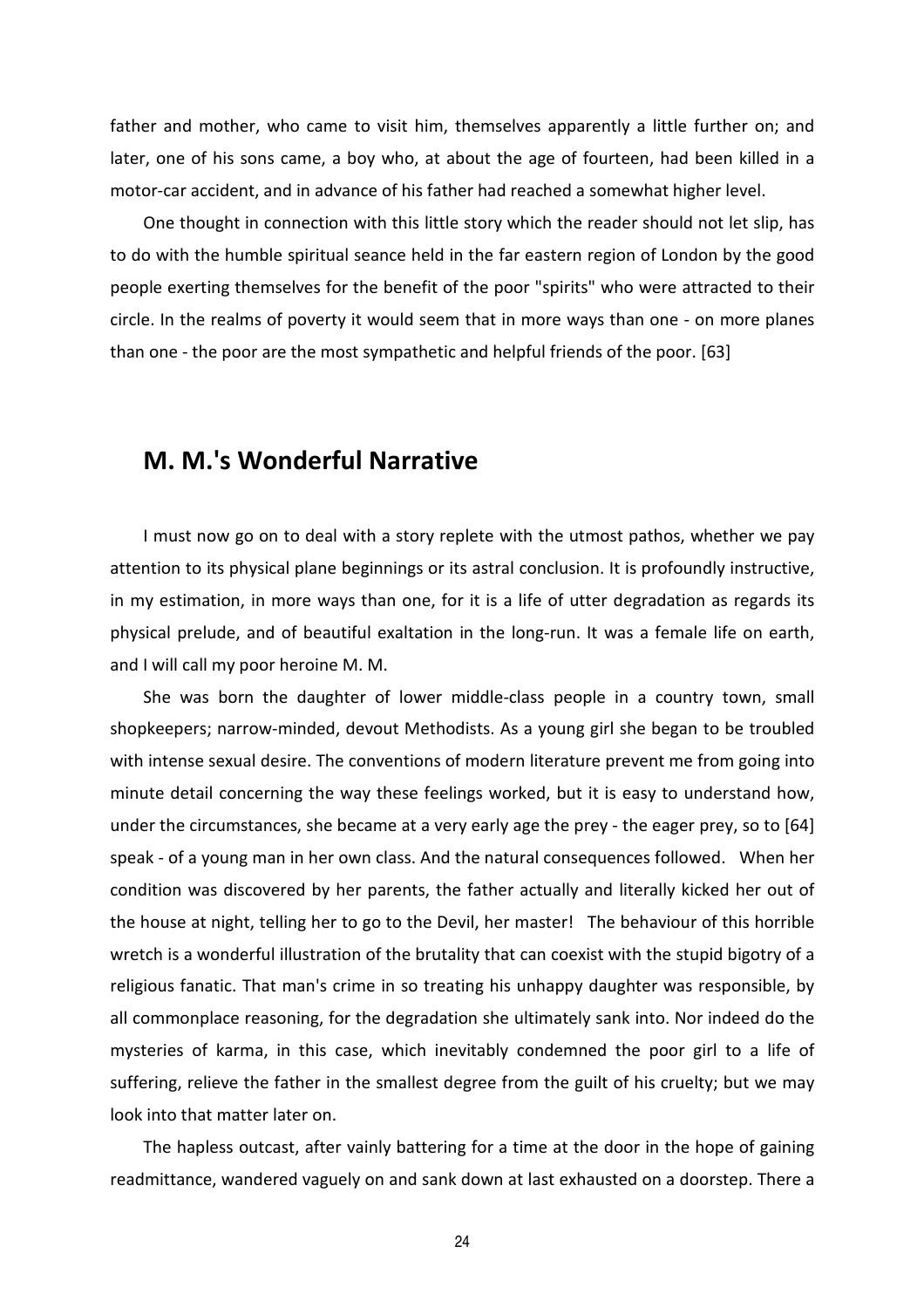father and mother, who came to visit him, themselves apparently a little further on; and later, one of his sons came, a boy who, at about the age of fourteen, had been killed in a motor-car accident, and in advance of his father had reached a somewhat higher level.

One thought in connection with this little story which the reader should not let slip, has to do with the humble spiritual seance held in the far eastern region of London by the good people exerting themselves for the benefit of the poor "spirits" who were attracted to their circle. In the realms of poverty it would seem that in more ways than one - on more planes than one - the poor are the most sympathetic and helpful friends of the poor. [63]

#### **M. M.'s Wonderful Narrative**

I must now go on to deal with a story replete with the utmost pathos, whether we pay attention to its physical plane beginnings or its astral conclusion. It is profoundly instructive, in my estimation, in more ways than one, for it is a life of utter degradation as regards its physical prelude, and of beautiful exaltation in the long-run. It was a female life on earth, and I will call my poor heroine M. M.

She was born the daughter of lower middle-class people in a country town, small shopkeepers; narrow-minded, devout Methodists. As a young girl she began to be troubled with intense sexual desire. The conventions of modern literature prevent me from going into minute detail concerning the way these feelings worked, but it is easy to understand how, under the circumstances, she became at a very early age the prey - the eager prey, so to [64] speak - of a young man in her own class. And the natural consequences followed. When her condition was discovered by her parents, the father actually and literally kicked her out of the house at night, telling her to go to the Devil, her master! The behaviour of this horrible wretch is a wonderful illustration of the brutality that can coexist with the stupid bigotry of a religious fanatic. That man's crime in so treating his unhappy daughter was responsible, by all commonplace reasoning, for the degradation she ultimately sank into. Nor indeed do the mysteries of karma, in this case, which inevitably condemned the poor girl to a life of suffering, relieve the father in the smallest degree from the guilt of his cruelty; but we may look into that matter later on.

The hapless outcast, after vainly battering for a time at the door in the hope of gaining readmittance, wandered vaguely on and sank down at last exhausted on a doorstep. There a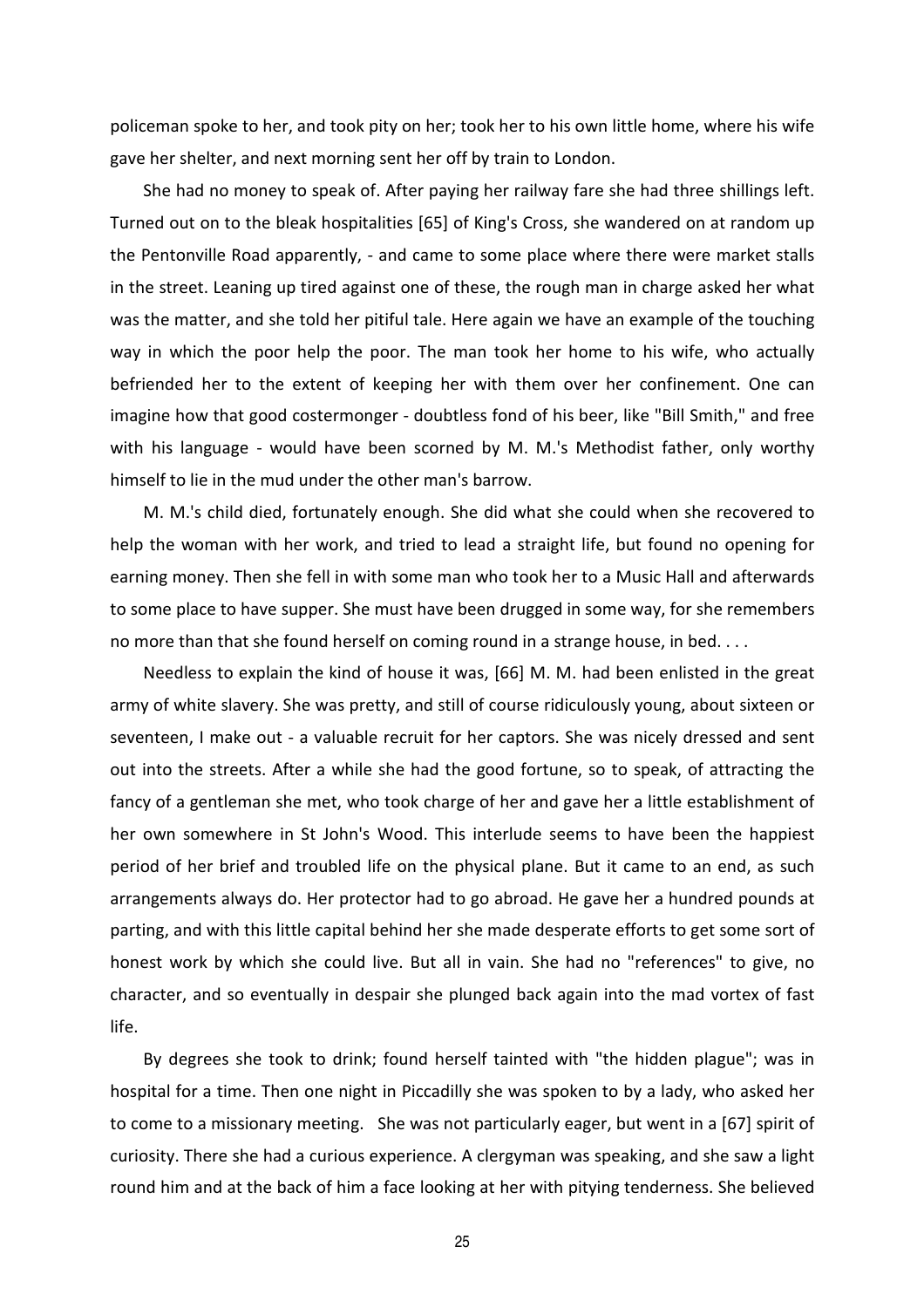policeman spoke to her, and took pity on her; took her to his own little home, where his wife gave her shelter, and next morning sent her off by train to London.

She had no money to speak of. After paying her railway fare she had three shillings left. Turned out on to the bleak hospitalities [65] of King's Cross, she wandered on at random up the Pentonville Road apparently, - and came to some place where there were market stalls in the street. Leaning up tired against one of these, the rough man in charge asked her what was the matter, and she told her pitiful tale. Here again we have an example of the touching way in which the poor help the poor. The man took her home to his wife, who actually befriended her to the extent of keeping her with them over her confinement. One can imagine how that good costermonger - doubtless fond of his beer, like "Bill Smith," and free with his language - would have been scorned by M. M.'s Methodist father, only worthy himself to lie in the mud under the other man's barrow.

M. M.'s child died, fortunately enough. She did what she could when she recovered to help the woman with her work, and tried to lead a straight life, but found no opening for earning money. Then she fell in with some man who took her to a Music Hall and afterwards to some place to have supper. She must have been drugged in some way, for she remembers no more than that she found herself on coming round in a strange house, in bed. . . .

Needless to explain the kind of house it was, [66] M. M. had been enlisted in the great army of white slavery. She was pretty, and still of course ridiculously young, about sixteen or seventeen, I make out - a valuable recruit for her captors. She was nicely dressed and sent out into the streets. After a while she had the good fortune, so to speak, of attracting the fancy of a gentleman she met, who took charge of her and gave her a little establishment of her own somewhere in St John's Wood. This interlude seems to have been the happiest period of her brief and troubled life on the physical plane. But it came to an end, as such arrangements always do. Her protector had to go abroad. He gave her a hundred pounds at parting, and with this little capital behind her she made desperate efforts to get some sort of honest work by which she could live. But all in vain. She had no "references" to give, no character, and so eventually in despair she plunged back again into the mad vortex of fast life.

By degrees she took to drink; found herself tainted with "the hidden plague"; was in hospital for a time. Then one night in Piccadilly she was spoken to by a lady, who asked her to come to a missionary meeting. She was not particularly eager, but went in a [67] spirit of curiosity. There she had a curious experience. A clergyman was speaking, and she saw a light round him and at the back of him a face looking at her with pitying tenderness. She believed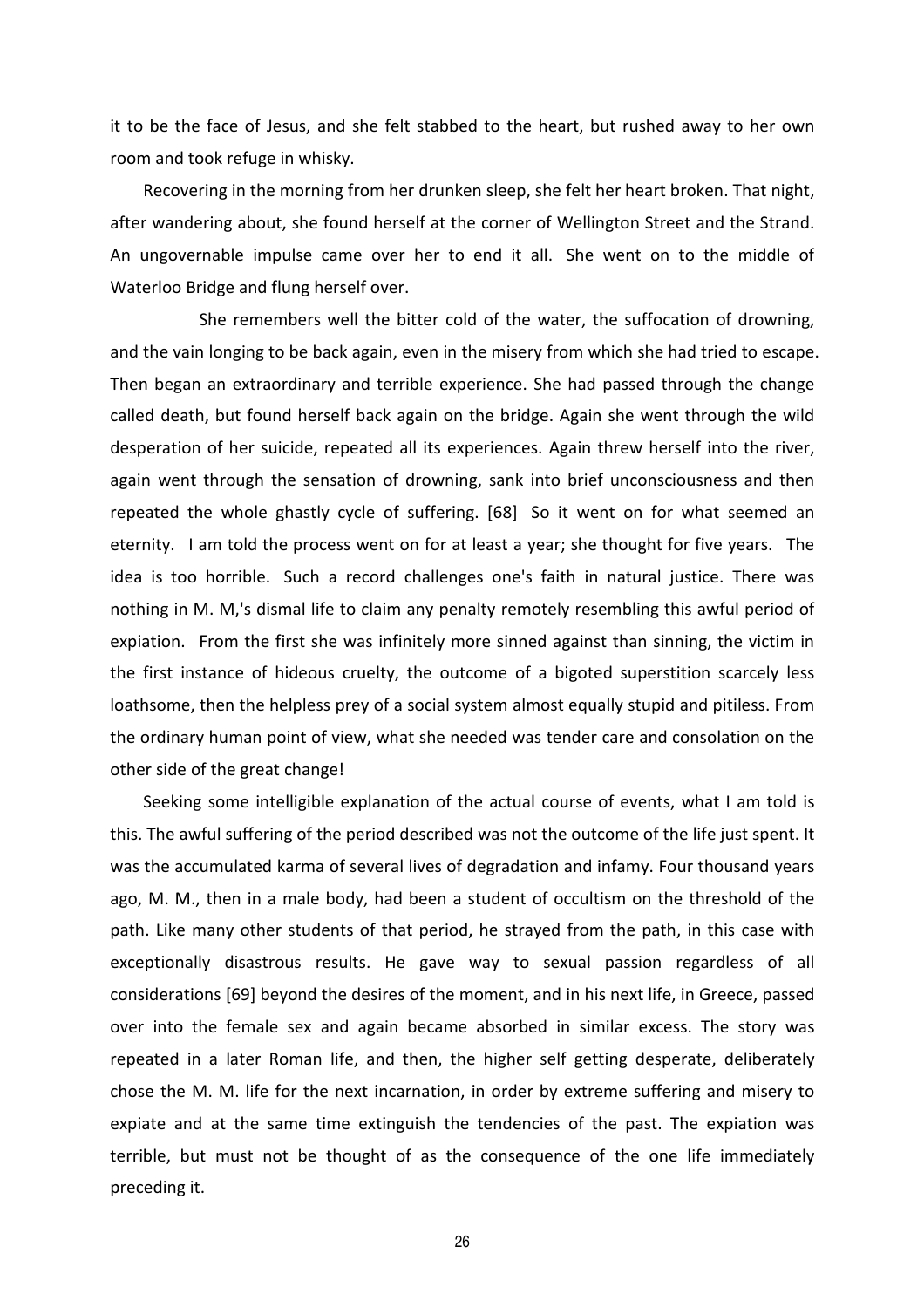it to be the face of Jesus, and she felt stabbed to the heart, but rushed away to her own room and took refuge in whisky.

Recovering in the morning from her drunken sleep, she felt her heart broken. That night, after wandering about, she found herself at the corner of Wellington Street and the Strand. An ungovernable impulse came over her to end it all. She went on to the middle of Waterloo Bridge and flung herself over.

 She remembers well the bitter cold of the water, the suffocation of drowning, and the vain longing to be back again, even in the misery from which she had tried to escape. Then began an extraordinary and terrible experience. She had passed through the change called death, but found herself back again on the bridge. Again she went through the wild desperation of her suicide, repeated all its experiences. Again threw herself into the river, again went through the sensation of drowning, sank into brief unconsciousness and then repeated the whole ghastly cycle of suffering. [68] So it went on for what seemed an eternity. I am told the process went on for at least a year; she thought for five years. The idea is too horrible. Such a record challenges one's faith in natural justice. There was nothing in M. M,'s dismal life to claim any penalty remotely resembling this awful period of expiation. From the first she was infinitely more sinned against than sinning, the victim in the first instance of hideous cruelty, the outcome of a bigoted superstition scarcely less loathsome, then the helpless prey of a social system almost equally stupid and pitiless. From the ordinary human point of view, what she needed was tender care and consolation on the other side of the great change!

Seeking some intelligible explanation of the actual course of events, what I am told is this. The awful suffering of the period described was not the outcome of the life just spent. It was the accumulated karma of several lives of degradation and infamy. Four thousand years ago, M. M., then in a male body, had been a student of occultism on the threshold of the path. Like many other students of that period, he strayed from the path, in this case with exceptionally disastrous results. He gave way to sexual passion regardless of all considerations [69] beyond the desires of the moment, and in his next life, in Greece, passed over into the female sex and again became absorbed in similar excess. The story was repeated in a later Roman life, and then, the higher self getting desperate, deliberately chose the M. M. life for the next incarnation, in order by extreme suffering and misery to expiate and at the same time extinguish the tendencies of the past. The expiation was terrible, but must not be thought of as the consequence of the one life immediately preceding it.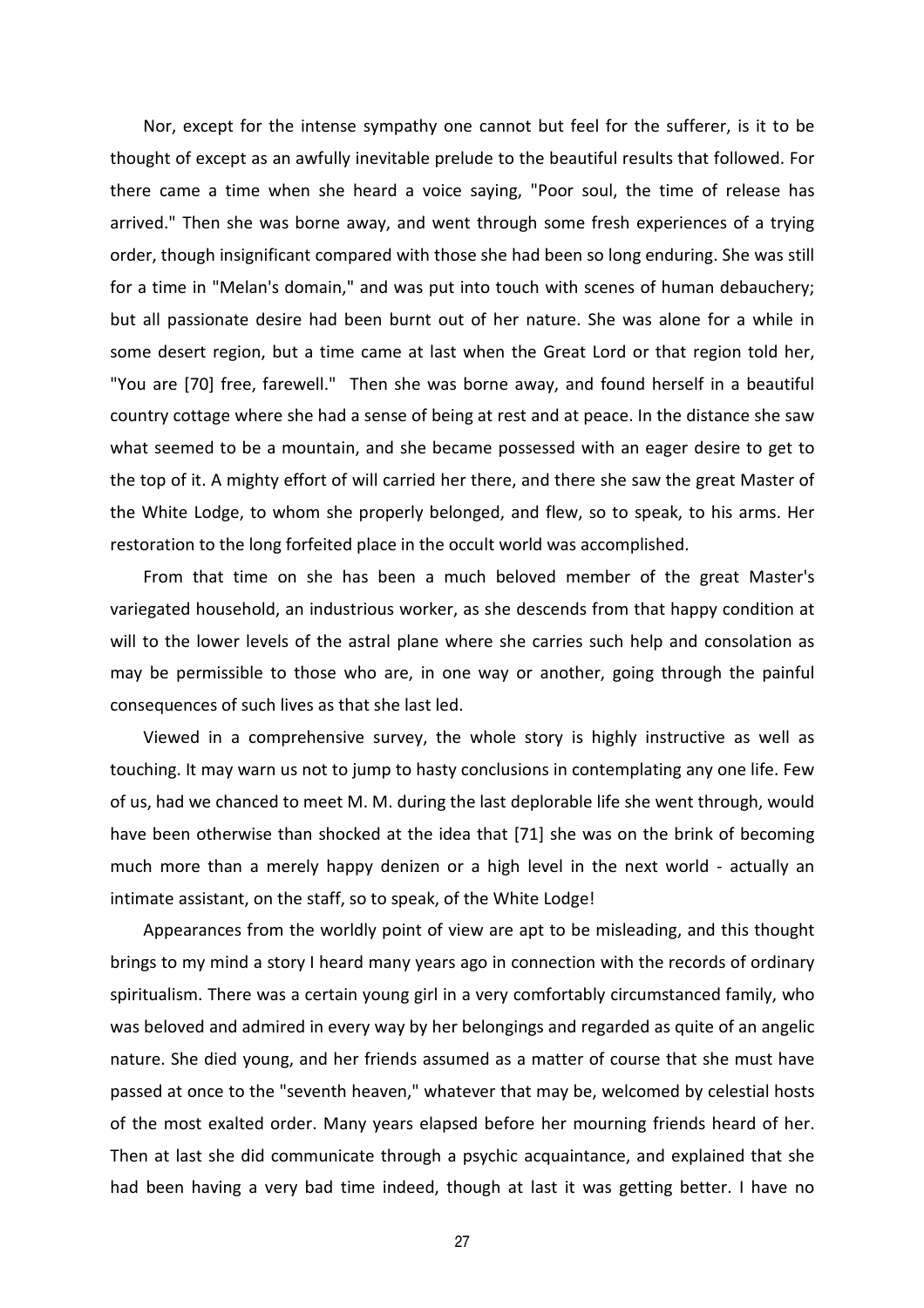Nor, except for the intense sympathy one cannot but feel for the sufferer, is it to be thought of except as an awfully inevitable prelude to the beautiful results that followed. For there came a time when she heard a voice saying, "Poor soul, the time of release has arrived." Then she was borne away, and went through some fresh experiences of a trying order, though insignificant compared with those she had been so long enduring. She was still for a time in "Melan's domain," and was put into touch with scenes of human debauchery; but all passionate desire had been burnt out of her nature. She was alone for a while in some desert region, but a time came at last when the Great Lord or that region told her, "You are [70] free, farewell." Then she was borne away, and found herself in a beautiful country cottage where she had a sense of being at rest and at peace. In the distance she saw what seemed to be a mountain, and she became possessed with an eager desire to get to the top of it. A mighty effort of will carried her there, and there she saw the great Master of the White Lodge, to whom she properly belonged, and flew, so to speak, to his arms. Her restoration to the long forfeited place in the occult world was accomplished.

From that time on she has been a much beloved member of the great Master's variegated household, an industrious worker, as she descends from that happy condition at will to the lower levels of the astral plane where she carries such help and consolation as may be permissible to those who are, in one way or another, going through the painful consequences of such lives as that she last led.

Viewed in a comprehensive survey, the whole story is highly instructive as well as touching. It may warn us not to jump to hasty conclusions in contemplating any one life. Few of us, had we chanced to meet M. M. during the last deplorable life she went through, would have been otherwise than shocked at the idea that [71] she was on the brink of becoming much more than a merely happy denizen or a high level in the next world - actually an intimate assistant, on the staff, so to speak, of the White Lodge!

Appearances from the worldly point of view are apt to be misleading, and this thought brings to my mind a story I heard many years ago in connection with the records of ordinary spiritualism. There was a certain young girl in a very comfortably circumstanced family, who was beloved and admired in every way by her belongings and regarded as quite of an angelic nature. She died young, and her friends assumed as a matter of course that she must have passed at once to the "seventh heaven," whatever that may be, welcomed by celestial hosts of the most exalted order. Many years elapsed before her mourning friends heard of her. Then at last she did communicate through a psychic acquaintance, and explained that she had been having a very bad time indeed, though at last it was getting better. I have no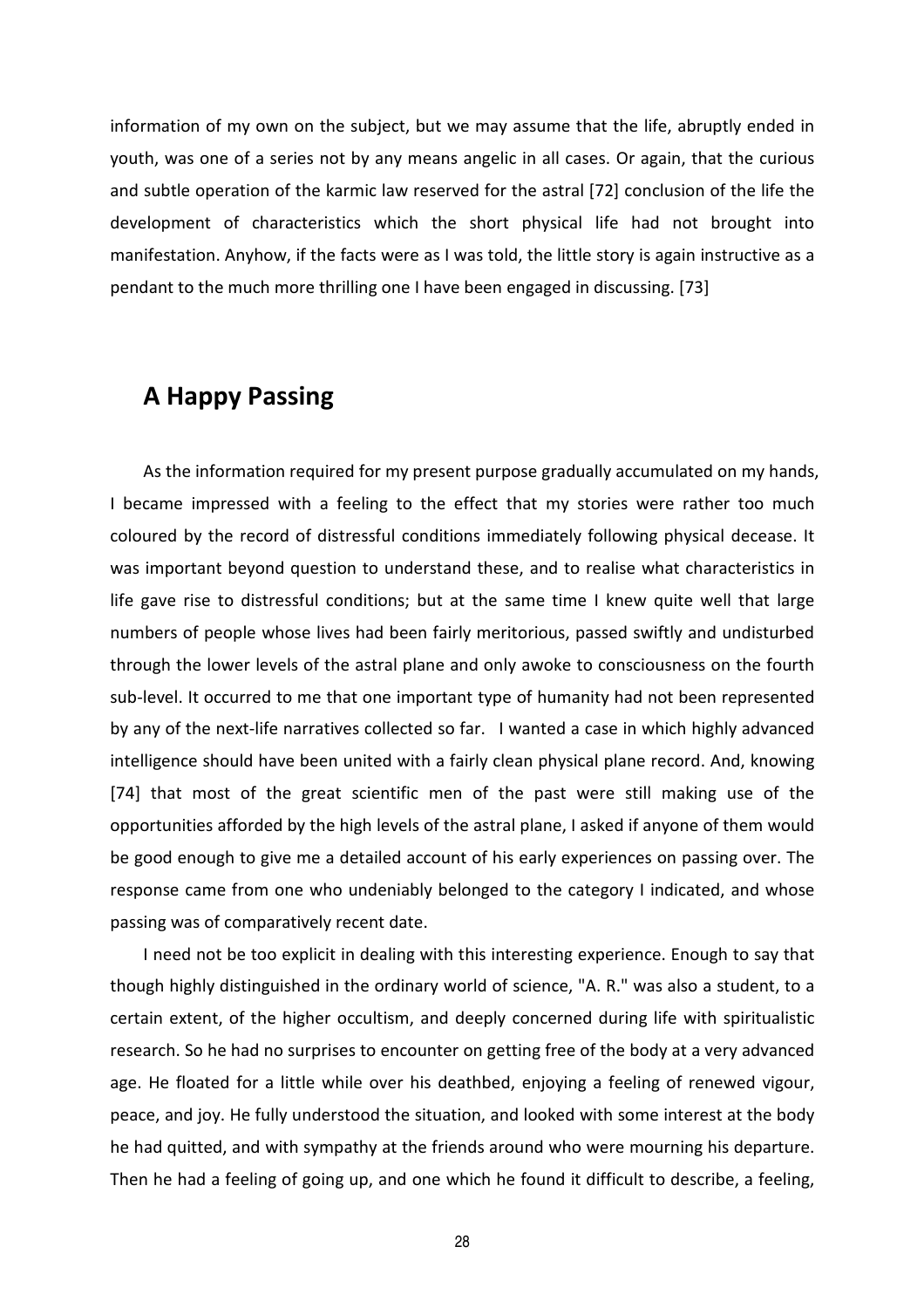information of my own on the subject, but we may assume that the life, abruptly ended in youth, was one of a series not by any means angelic in all cases. Or again, that the curious and subtle operation of the karmic law reserved for the astral [72] conclusion of the life the development of characteristics which the short physical life had not brought into manifestation. Anyhow, if the facts were as I was told, the little story is again instructive as a pendant to the much more thrilling one I have been engaged in discussing. [73]

#### **A Happy Passing**

As the information required for my present purpose gradually accumulated on my hands, I became impressed with a feeling to the effect that my stories were rather too much coloured by the record of distressful conditions immediately following physical decease. It was important beyond question to understand these, and to realise what characteristics in life gave rise to distressful conditions; but at the same time I knew quite well that large numbers of people whose lives had been fairly meritorious, passed swiftly and undisturbed through the lower levels of the astral plane and only awoke to consciousness on the fourth sub-level. It occurred to me that one important type of humanity had not been represented by any of the next-life narratives collected so far. I wanted a case in which highly advanced intelligence should have been united with a fairly clean physical plane record. And, knowing [74] that most of the great scientific men of the past were still making use of the opportunities afforded by the high levels of the astral plane, I asked if anyone of them would be good enough to give me a detailed account of his early experiences on passing over. The response came from one who undeniably belonged to the category I indicated, and whose passing was of comparatively recent date.

I need not be too explicit in dealing with this interesting experience. Enough to say that though highly distinguished in the ordinary world of science, "A. R." was also a student, to a certain extent, of the higher occultism, and deeply concerned during life with spiritualistic research. So he had no surprises to encounter on getting free of the body at a very advanced age. He floated for a little while over his deathbed, enjoying a feeling of renewed vigour, peace, and joy. He fully understood the situation, and looked with some interest at the body he had quitted, and with sympathy at the friends around who were mourning his departure. Then he had a feeling of going up, and one which he found it difficult to describe, a feeling,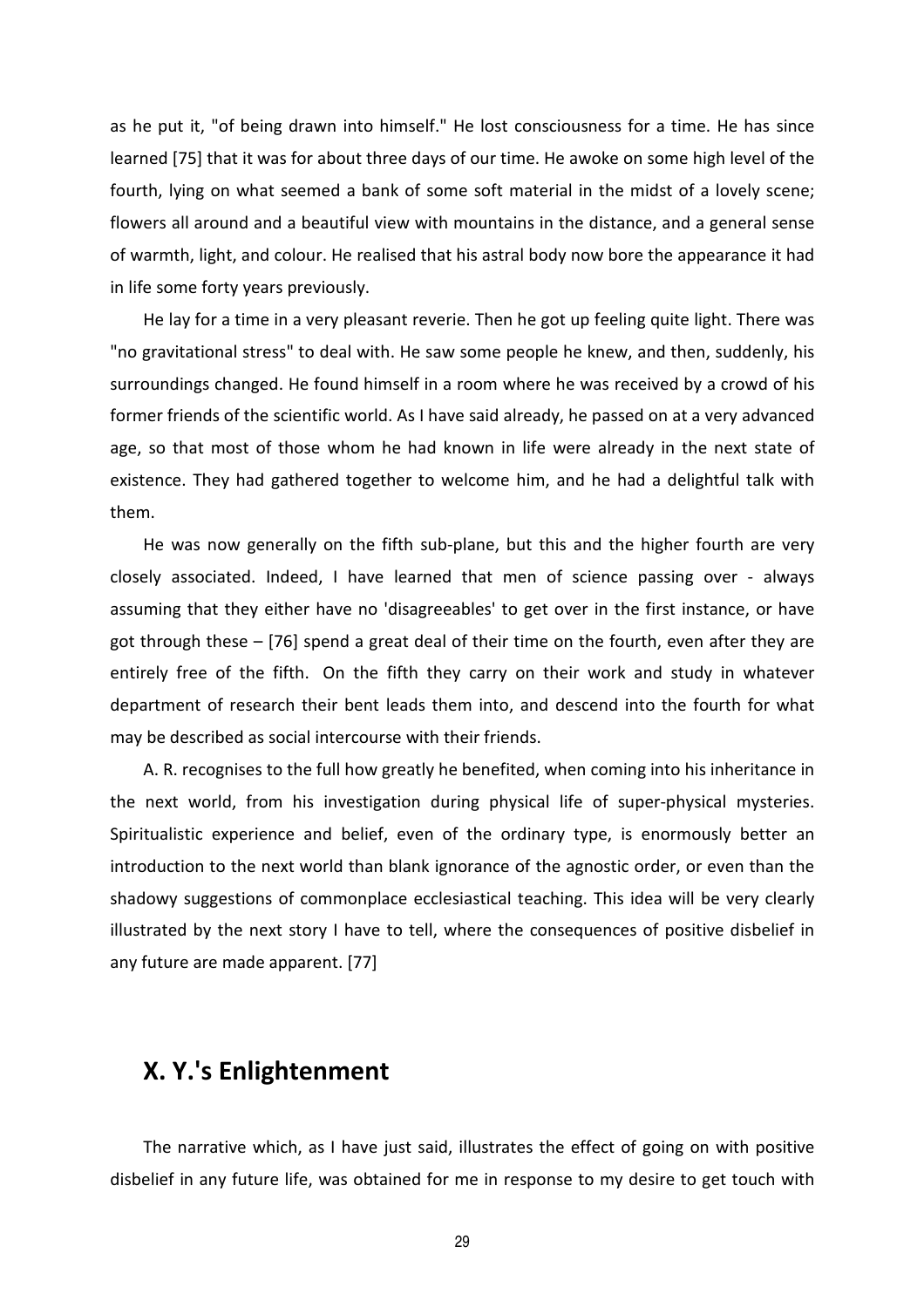as he put it, "of being drawn into himself." He lost consciousness for a time. He has since learned [75] that it was for about three days of our time. He awoke on some high level of the fourth, lying on what seemed a bank of some soft material in the midst of a lovely scene; flowers all around and a beautiful view with mountains in the distance, and a general sense of warmth, light, and colour. He realised that his astral body now bore the appearance it had in life some forty years previously.

He lay for a time in a very pleasant reverie. Then he got up feeling quite light. There was "no gravitational stress" to deal with. He saw some people he knew, and then, suddenly, his surroundings changed. He found himself in a room where he was received by a crowd of his former friends of the scientific world. As I have said already, he passed on at a very advanced age, so that most of those whom he had known in life were already in the next state of existence. They had gathered together to welcome him, and he had a delightful talk with them.

He was now generally on the fifth sub-plane, but this and the higher fourth are very closely associated. Indeed, I have learned that men of science passing over - always assuming that they either have no 'disagreeables' to get over in the first instance, or have got through these – [76] spend a great deal of their time on the fourth, even after they are entirely free of the fifth. On the fifth they carry on their work and study in whatever department of research their bent leads them into, and descend into the fourth for what may be described as social intercourse with their friends.

A. R. recognises to the full how greatly he benefited, when coming into his inheritance in the next world, from his investigation during physical life of super-physical mysteries. Spiritualistic experience and belief, even of the ordinary type, is enormously better an introduction to the next world than blank ignorance of the agnostic order, or even than the shadowy suggestions of commonplace ecclesiastical teaching. This idea will be very clearly illustrated by the next story I have to tell, where the consequences of positive disbelief in any future are made apparent. [77]

#### **X. Y.'s Enlightenment**

The narrative which, as I have just said, illustrates the effect of going on with positive disbelief in any future life, was obtained for me in response to my desire to get touch with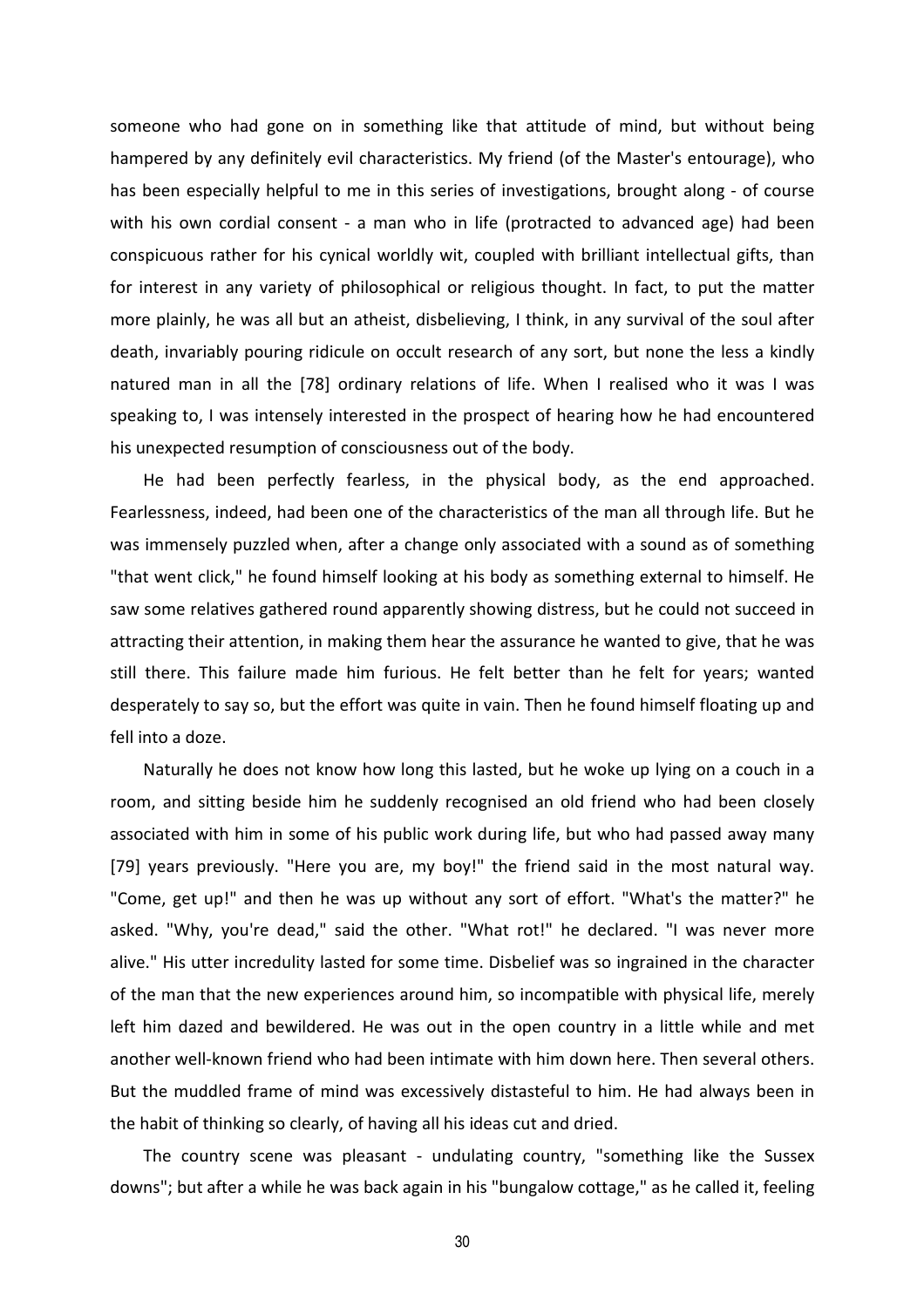someone who had gone on in something like that attitude of mind, but without being hampered by any definitely evil characteristics. My friend (of the Master's entourage), who has been especially helpful to me in this series of investigations, brought along - of course with his own cordial consent - a man who in life (protracted to advanced age) had been conspicuous rather for his cynical worldly wit, coupled with brilliant intellectual gifts, than for interest in any variety of philosophical or religious thought. In fact, to put the matter more plainly, he was all but an atheist, disbelieving, I think, in any survival of the soul after death, invariably pouring ridicule on occult research of any sort, but none the less a kindly natured man in all the [78] ordinary relations of life. When I realised who it was I was speaking to, I was intensely interested in the prospect of hearing how he had encountered his unexpected resumption of consciousness out of the body.

He had been perfectly fearless, in the physical body, as the end approached. Fearlessness, indeed, had been one of the characteristics of the man all through life. But he was immensely puzzled when, after a change only associated with a sound as of something "that went click," he found himself looking at his body as something external to himself. He saw some relatives gathered round apparently showing distress, but he could not succeed in attracting their attention, in making them hear the assurance he wanted to give, that he was still there. This failure made him furious. He felt better than he felt for years; wanted desperately to say so, but the effort was quite in vain. Then he found himself floating up and fell into a doze.

Naturally he does not know how long this lasted, but he woke up lying on a couch in a room, and sitting beside him he suddenly recognised an old friend who had been closely associated with him in some of his public work during life, but who had passed away many [79] years previously. "Here you are, my boy!" the friend said in the most natural way. "Come, get up!" and then he was up without any sort of effort. "What's the matter?" he asked. "Why, you're dead," said the other. "What rot!" he declared. "I was never more alive." His utter incredulity lasted for some time. Disbelief was so ingrained in the character of the man that the new experiences around him, so incompatible with physical life, merely left him dazed and bewildered. He was out in the open country in a little while and met another well-known friend who had been intimate with him down here. Then several others. But the muddled frame of mind was excessively distasteful to him. He had always been in the habit of thinking so clearly, of having all his ideas cut and dried.

The country scene was pleasant - undulating country, "something like the Sussex downs"; but after a while he was back again in his "bungalow cottage," as he called it, feeling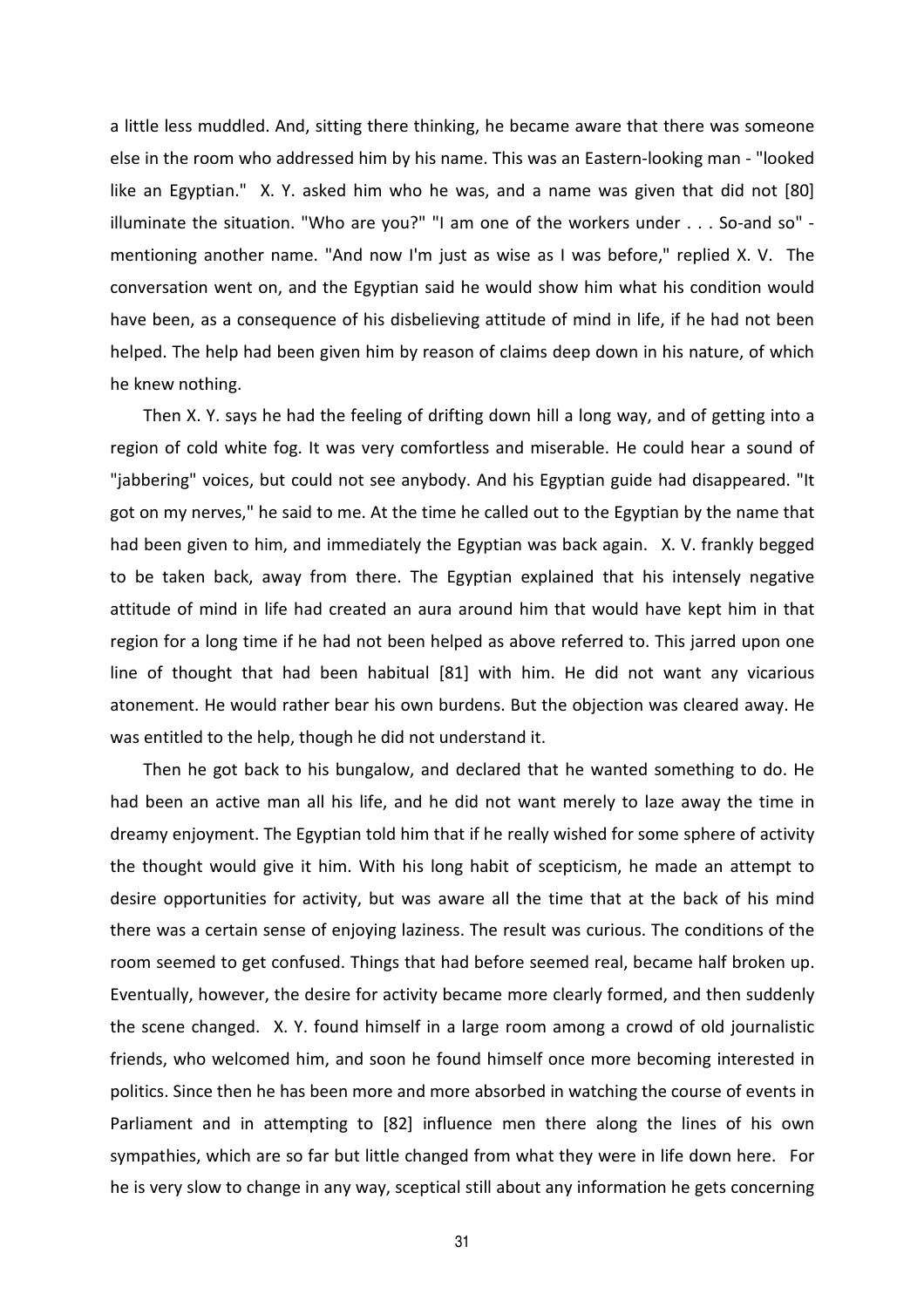a little less muddled. And, sitting there thinking, he became aware that there was someone else in the room who addressed him by his name. This was an Eastern-looking man - "looked like an Egyptian." X. Y. asked him who he was, and a name was given that did not [80] illuminate the situation. "Who are you?" "I am one of the workers under . . . So-and so" mentioning another name. "And now I'm just as wise as I was before," replied X. V. The conversation went on, and the Egyptian said he would show him what his condition would have been, as a consequence of his disbelieving attitude of mind in life, if he had not been helped. The help had been given him by reason of claims deep down in his nature, of which he knew nothing.

Then X. Y. says he had the feeling of drifting down hill a long way, and of getting into a region of cold white fog. It was very comfortless and miserable. He could hear a sound of "jabbering" voices, but could not see anybody. And his Egyptian guide had disappeared. "It got on my nerves," he said to me. At the time he called out to the Egyptian by the name that had been given to him, and immediately the Egyptian was back again. X. V. frankly begged to be taken back, away from there. The Egyptian explained that his intensely negative attitude of mind in life had created an aura around him that would have kept him in that region for a long time if he had not been helped as above referred to. This jarred upon one line of thought that had been habitual [81] with him. He did not want any vicarious atonement. He would rather bear his own burdens. But the objection was cleared away. He was entitled to the help, though he did not understand it.

Then he got back to his bungalow, and declared that he wanted something to do. He had been an active man all his life, and he did not want merely to laze away the time in dreamy enjoyment. The Egyptian told him that if he really wished for some sphere of activity the thought would give it him. With his long habit of scepticism, he made an attempt to desire opportunities for activity, but was aware all the time that at the back of his mind there was a certain sense of enjoying laziness. The result was curious. The conditions of the room seemed to get confused. Things that had before seemed real, became half broken up. Eventually, however, the desire for activity became more clearly formed, and then suddenly the scene changed. X. Y. found himself in a large room among a crowd of old journalistic friends, who welcomed him, and soon he found himself once more becoming interested in politics. Since then he has been more and more absorbed in watching the course of events in Parliament and in attempting to [82] influence men there along the lines of his own sympathies, which are so far but little changed from what they were in life down here. For he is very slow to change in any way, sceptical still about any information he gets concerning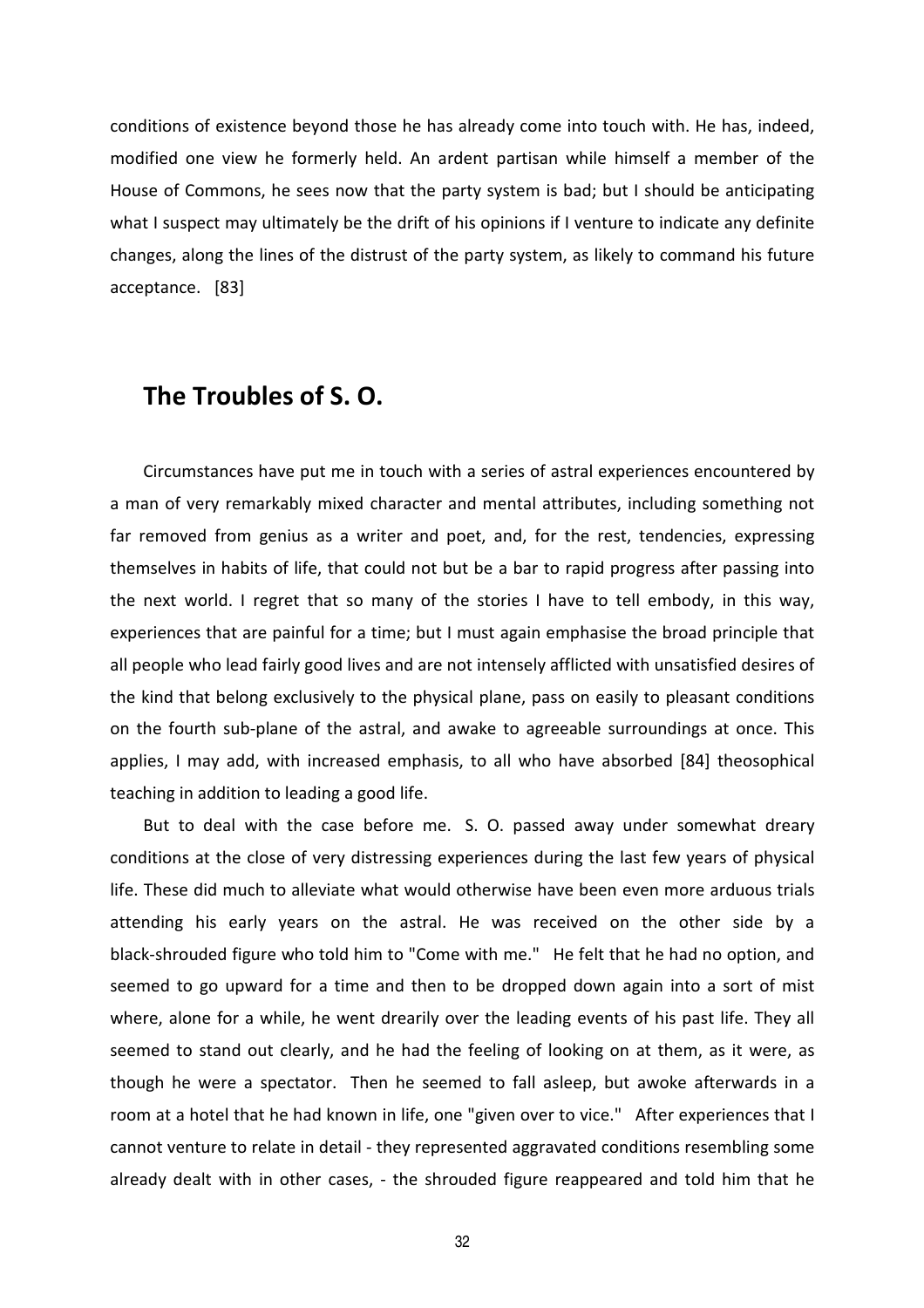conditions of existence beyond those he has already come into touch with. He has, indeed, modified one view he formerly held. An ardent partisan while himself a member of the House of Commons, he sees now that the party system is bad; but I should be anticipating what I suspect may ultimately be the drift of his opinions if I venture to indicate any definite changes, along the lines of the distrust of the party system, as likely to command his future acceptance. [83]

#### **The Troubles of S. O.**

Circumstances have put me in touch with a series of astral experiences encountered by a man of very remarkably mixed character and mental attributes, including something not far removed from genius as a writer and poet, and, for the rest, tendencies, expressing themselves in habits of life, that could not but be a bar to rapid progress after passing into the next world. I regret that so many of the stories I have to tell embody, in this way, experiences that are painful for a time; but I must again emphasise the broad principle that all people who lead fairly good lives and are not intensely afflicted with unsatisfied desires of the kind that belong exclusively to the physical plane, pass on easily to pleasant conditions on the fourth sub-plane of the astral, and awake to agreeable surroundings at once. This applies, I may add, with increased emphasis, to all who have absorbed [84] theosophical teaching in addition to leading a good life.

But to deal with the case before me. S. O. passed away under somewhat dreary conditions at the close of very distressing experiences during the last few years of physical life. These did much to alleviate what would otherwise have been even more arduous trials attending his early years on the astral. He was received on the other side by a black-shrouded figure who told him to "Come with me." He felt that he had no option, and seemed to go upward for a time and then to be dropped down again into a sort of mist where, alone for a while, he went drearily over the leading events of his past life. They all seemed to stand out clearly, and he had the feeling of looking on at them, as it were, as though he were a spectator. Then he seemed to fall asleep, but awoke afterwards in a room at a hotel that he had known in life, one "given over to vice." After experiences that I cannot venture to relate in detail - they represented aggravated conditions resembling some already dealt with in other cases, - the shrouded figure reappeared and told him that he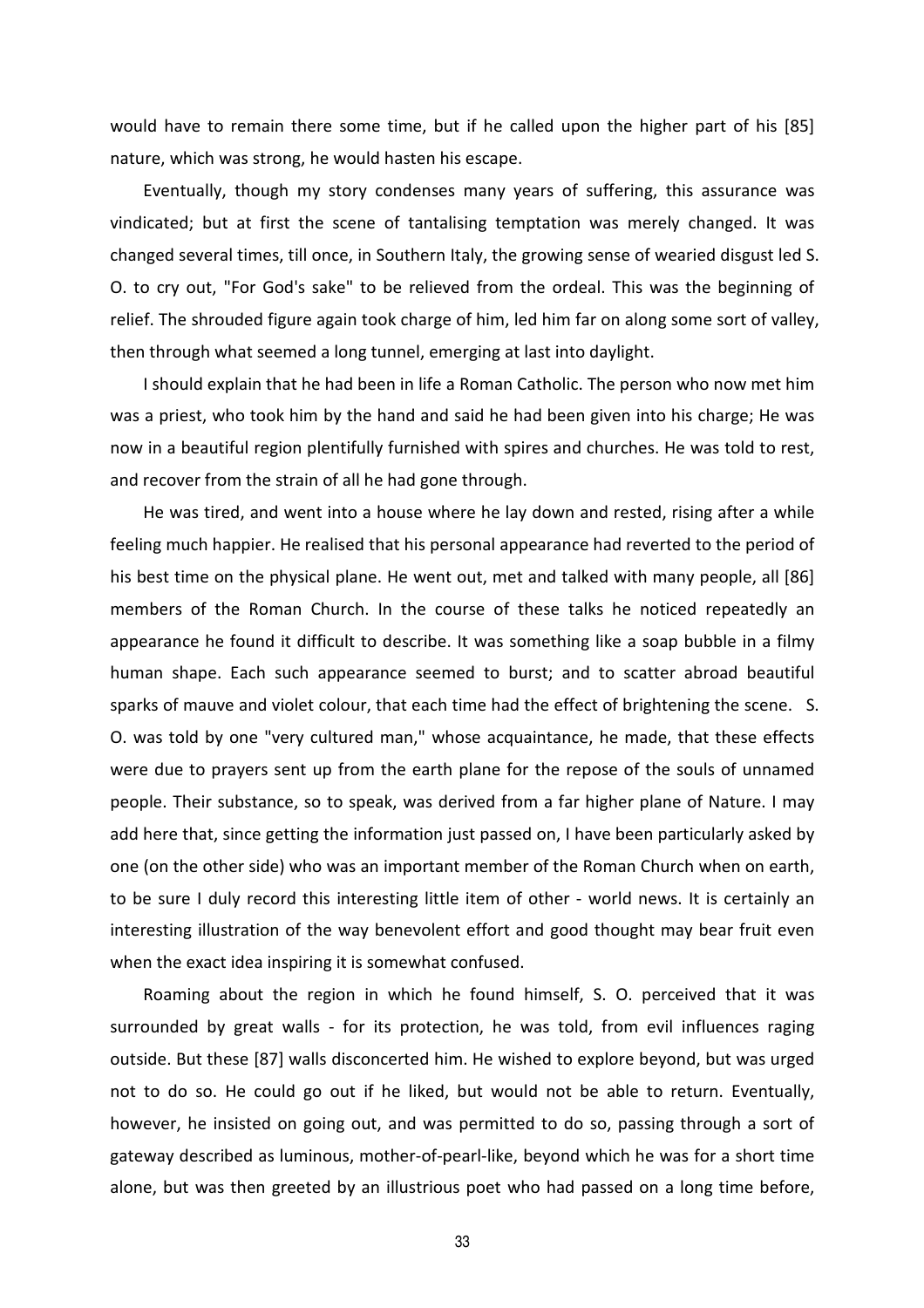would have to remain there some time, but if he called upon the higher part of his [85] nature, which was strong, he would hasten his escape.

Eventually, though my story condenses many years of suffering, this assurance was vindicated; but at first the scene of tantalising temptation was merely changed. It was changed several times, till once, in Southern Italy, the growing sense of wearied disgust led S. O. to cry out, "For God's sake" to be relieved from the ordeal. This was the beginning of relief. The shrouded figure again took charge of him, led him far on along some sort of valley, then through what seemed a long tunnel, emerging at last into daylight.

I should explain that he had been in life a Roman Catholic. The person who now met him was a priest, who took him by the hand and said he had been given into his charge; He was now in a beautiful region plentifully furnished with spires and churches. He was told to rest, and recover from the strain of all he had gone through.

He was tired, and went into a house where he lay down and rested, rising after a while feeling much happier. He realised that his personal appearance had reverted to the period of his best time on the physical plane. He went out, met and talked with many people, all [86] members of the Roman Church. In the course of these talks he noticed repeatedly an appearance he found it difficult to describe. It was something like a soap bubble in a filmy human shape. Each such appearance seemed to burst; and to scatter abroad beautiful sparks of mauve and violet colour, that each time had the effect of brightening the scene. S. O. was told by one "very cultured man," whose acquaintance, he made, that these effects were due to prayers sent up from the earth plane for the repose of the souls of unnamed people. Their substance, so to speak, was derived from a far higher plane of Nature. I may add here that, since getting the information just passed on, I have been particularly asked by one (on the other side) who was an important member of the Roman Church when on earth, to be sure I duly record this interesting little item of other - world news. It is certainly an interesting illustration of the way benevolent effort and good thought may bear fruit even when the exact idea inspiring it is somewhat confused.

Roaming about the region in which he found himself, S. O. perceived that it was surrounded by great walls - for its protection, he was told, from evil influences raging outside. But these [87] walls disconcerted him. He wished to explore beyond, but was urged not to do so. He could go out if he liked, but would not be able to return. Eventually, however, he insisted on going out, and was permitted to do so, passing through a sort of gateway described as luminous, mother-of-pearl-like, beyond which he was for a short time alone, but was then greeted by an illustrious poet who had passed on a long time before,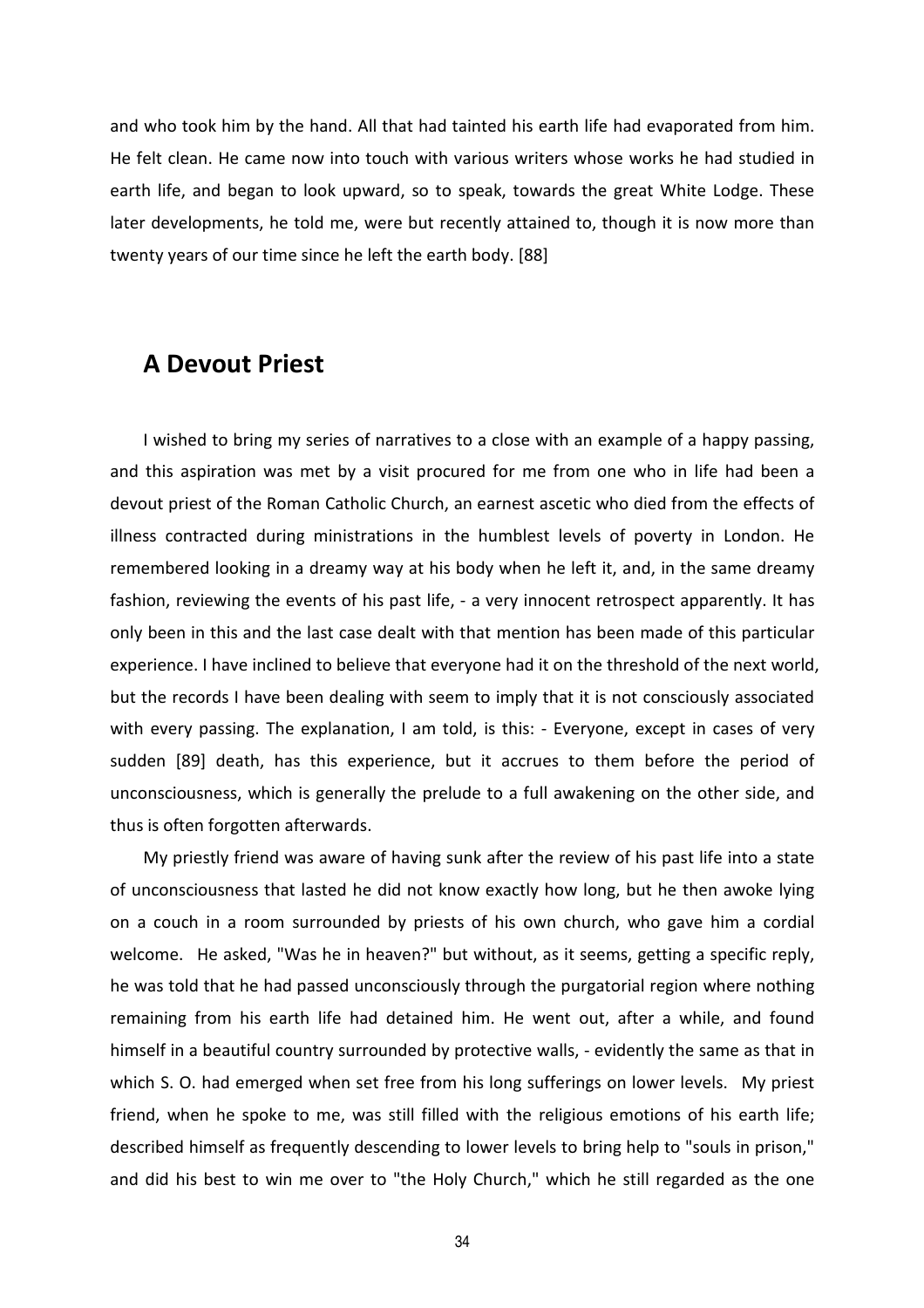and who took him by the hand. All that had tainted his earth life had evaporated from him. He felt clean. He came now into touch with various writers whose works he had studied in earth life, and began to look upward, so to speak, towards the great White Lodge. These later developments, he told me, were but recently attained to, though it is now more than twenty years of our time since he left the earth body. [88]

#### **A Devout Priest**

I wished to bring my series of narratives to a close with an example of a happy passing, and this aspiration was met by a visit procured for me from one who in life had been a devout priest of the Roman Catholic Church, an earnest ascetic who died from the effects of illness contracted during ministrations in the humblest levels of poverty in London. He remembered looking in a dreamy way at his body when he left it, and, in the same dreamy fashion, reviewing the events of his past life, - a very innocent retrospect apparently. It has only been in this and the last case dealt with that mention has been made of this particular experience. I have inclined to believe that everyone had it on the threshold of the next world, but the records I have been dealing with seem to imply that it is not consciously associated with every passing. The explanation, I am told, is this: - Everyone, except in cases of very sudden [89] death, has this experience, but it accrues to them before the period of unconsciousness, which is generally the prelude to a full awakening on the other side, and thus is often forgotten afterwards.

My priestly friend was aware of having sunk after the review of his past life into a state of unconsciousness that lasted he did not know exactly how long, but he then awoke lying on a couch in a room surrounded by priests of his own church, who gave him a cordial welcome. He asked, "Was he in heaven?" but without, as it seems, getting a specific reply, he was told that he had passed unconsciously through the purgatorial region where nothing remaining from his earth life had detained him. He went out, after a while, and found himself in a beautiful country surrounded by protective walls, - evidently the same as that in which S. O. had emerged when set free from his long sufferings on lower levels. My priest friend, when he spoke to me, was still filled with the religious emotions of his earth life; described himself as frequently descending to lower levels to bring help to "souls in prison," and did his best to win me over to "the Holy Church," which he still regarded as the one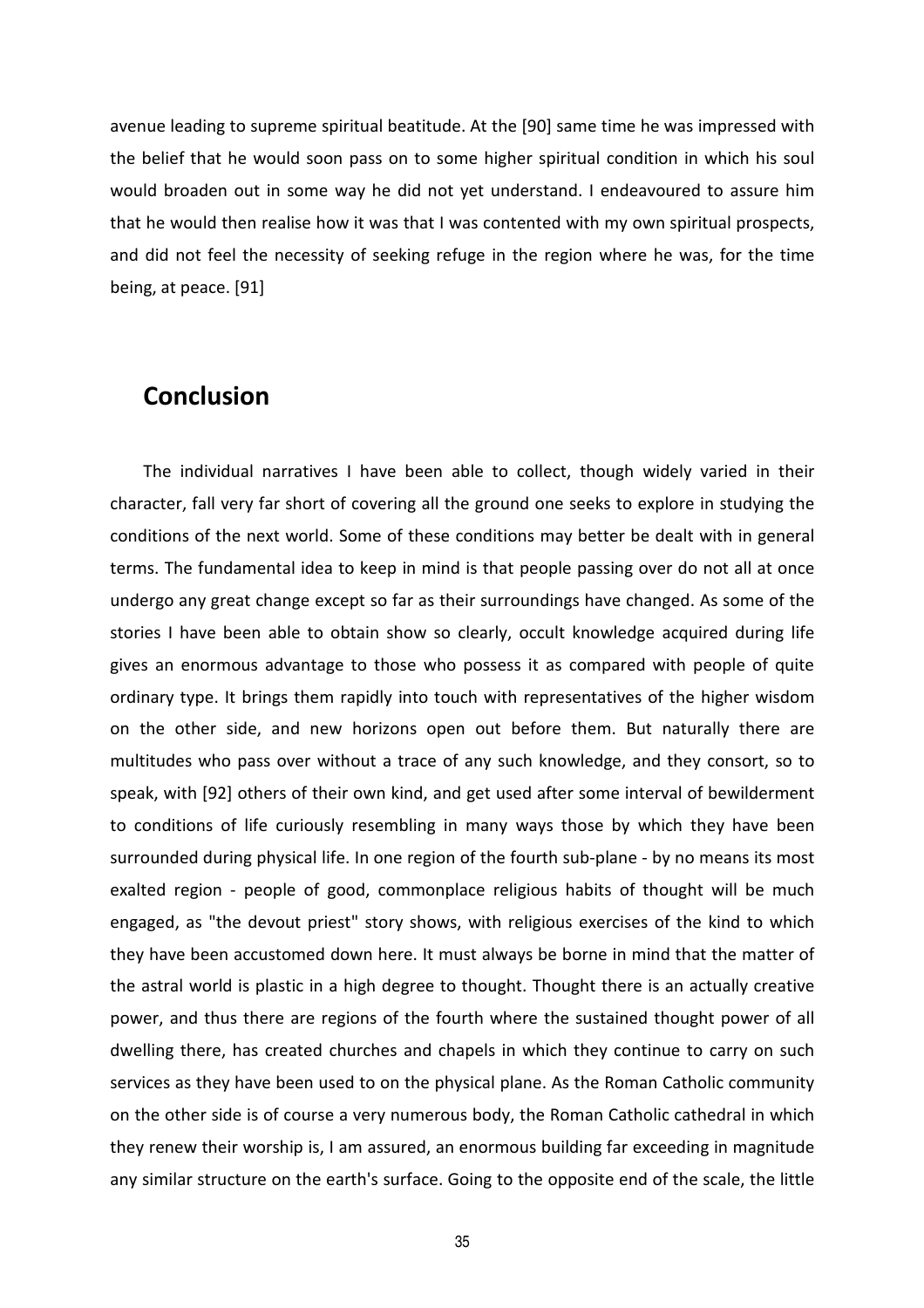avenue leading to supreme spiritual beatitude. At the [90] same time he was impressed with the belief that he would soon pass on to some higher spiritual condition in which his soul would broaden out in some way he did not yet understand. I endeavoured to assure him that he would then realise how it was that I was contented with my own spiritual prospects, and did not feel the necessity of seeking refuge in the region where he was, for the time being, at peace. [91]

#### **Conclusion**

The individual narratives I have been able to collect, though widely varied in their character, fall very far short of covering all the ground one seeks to explore in studying the conditions of the next world. Some of these conditions may better be dealt with in general terms. The fundamental idea to keep in mind is that people passing over do not all at once undergo any great change except so far as their surroundings have changed. As some of the stories I have been able to obtain show so clearly, occult knowledge acquired during life gives an enormous advantage to those who possess it as compared with people of quite ordinary type. It brings them rapidly into touch with representatives of the higher wisdom on the other side, and new horizons open out before them. But naturally there are multitudes who pass over without a trace of any such knowledge, and they consort, so to speak, with [92] others of their own kind, and get used after some interval of bewilderment to conditions of life curiously resembling in many ways those by which they have been surrounded during physical life. In one region of the fourth sub-plane - by no means its most exalted region - people of good, commonplace religious habits of thought will be much engaged, as "the devout priest" story shows, with religious exercises of the kind to which they have been accustomed down here. It must always be borne in mind that the matter of the astral world is plastic in a high degree to thought. Thought there is an actually creative power, and thus there are regions of the fourth where the sustained thought power of all dwelling there, has created churches and chapels in which they continue to carry on such services as they have been used to on the physical plane. As the Roman Catholic community on the other side is of course a very numerous body, the Roman Catholic cathedral in which they renew their worship is, I am assured, an enormous building far exceeding in magnitude any similar structure on the earth's surface. Going to the opposite end of the scale, the little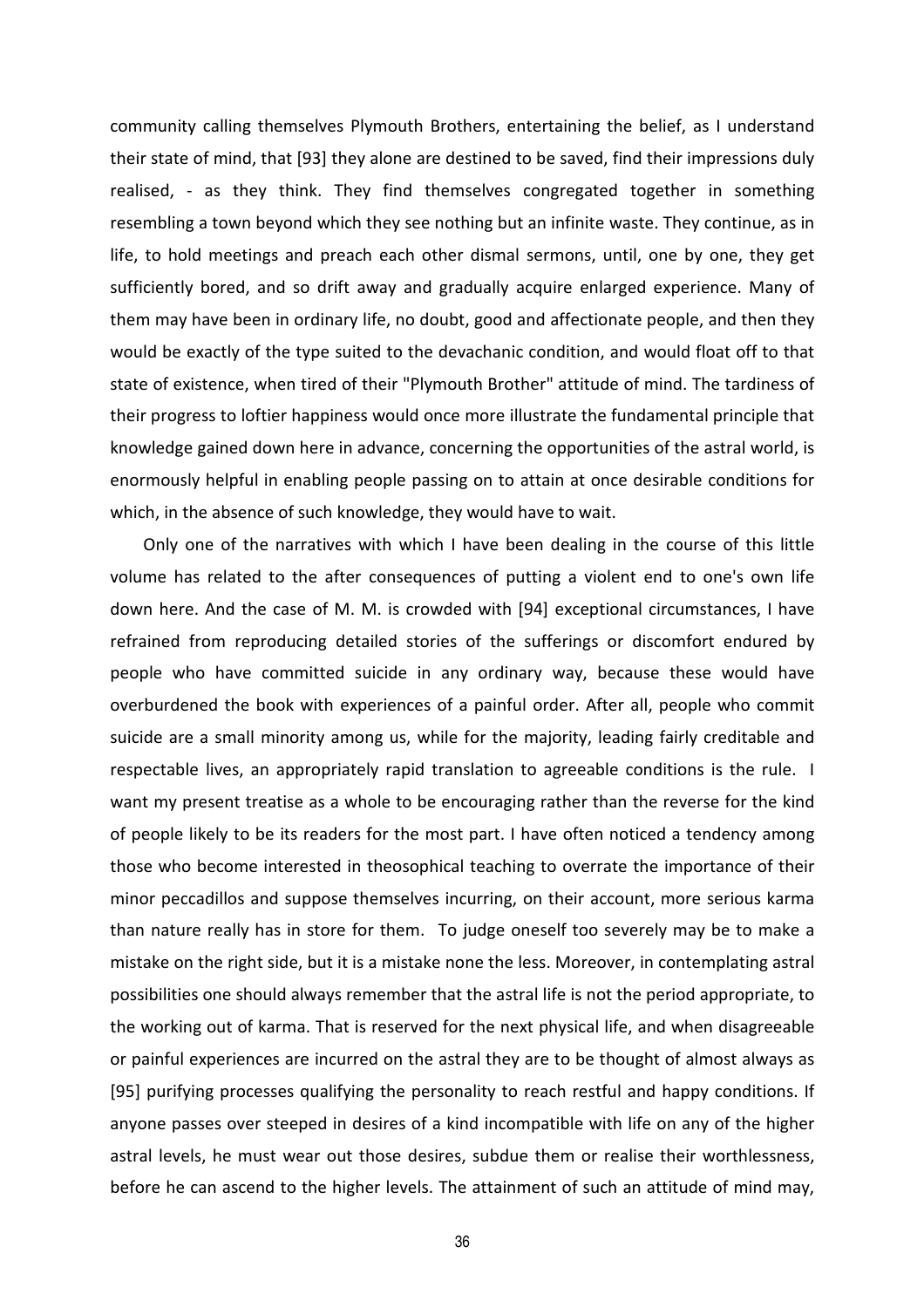community calling themselves Plymouth Brothers, entertaining the belief, as I understand their state of mind, that [93] they alone are destined to be saved, find their impressions duly realised, - as they think. They find themselves congregated together in something resembling a town beyond which they see nothing but an infinite waste. They continue, as in life, to hold meetings and preach each other dismal sermons, until, one by one, they get sufficiently bored, and so drift away and gradually acquire enlarged experience. Many of them may have been in ordinary life, no doubt, good and affectionate people, and then they would be exactly of the type suited to the devachanic condition, and would float off to that state of existence, when tired of their "Plymouth Brother" attitude of mind. The tardiness of their progress to loftier happiness would once more illustrate the fundamental principle that knowledge gained down here in advance, concerning the opportunities of the astral world, is enormously helpful in enabling people passing on to attain at once desirable conditions for which, in the absence of such knowledge, they would have to wait.

Only one of the narratives with which I have been dealing in the course of this little volume has related to the after consequences of putting a violent end to one's own life down here. And the case of M. M. is crowded with [94] exceptional circumstances, I have refrained from reproducing detailed stories of the sufferings or discomfort endured by people who have committed suicide in any ordinary way, because these would have overburdened the book with experiences of a painful order. After all, people who commit suicide are a small minority among us, while for the majority, leading fairly creditable and respectable lives, an appropriately rapid translation to agreeable conditions is the rule. I want my present treatise as a whole to be encouraging rather than the reverse for the kind of people likely to be its readers for the most part. I have often noticed a tendency among those who become interested in theosophical teaching to overrate the importance of their minor peccadillos and suppose themselves incurring, on their account, more serious karma than nature really has in store for them. To judge oneself too severely may be to make a mistake on the right side, but it is a mistake none the less. Moreover, in contemplating astral possibilities one should always remember that the astral life is not the period appropriate, to the working out of karma. That is reserved for the next physical life, and when disagreeable or painful experiences are incurred on the astral they are to be thought of almost always as [95] purifying processes qualifying the personality to reach restful and happy conditions. If anyone passes over steeped in desires of a kind incompatible with life on any of the higher astral levels, he must wear out those desires, subdue them or realise their worthlessness, before he can ascend to the higher levels. The attainment of such an attitude of mind may,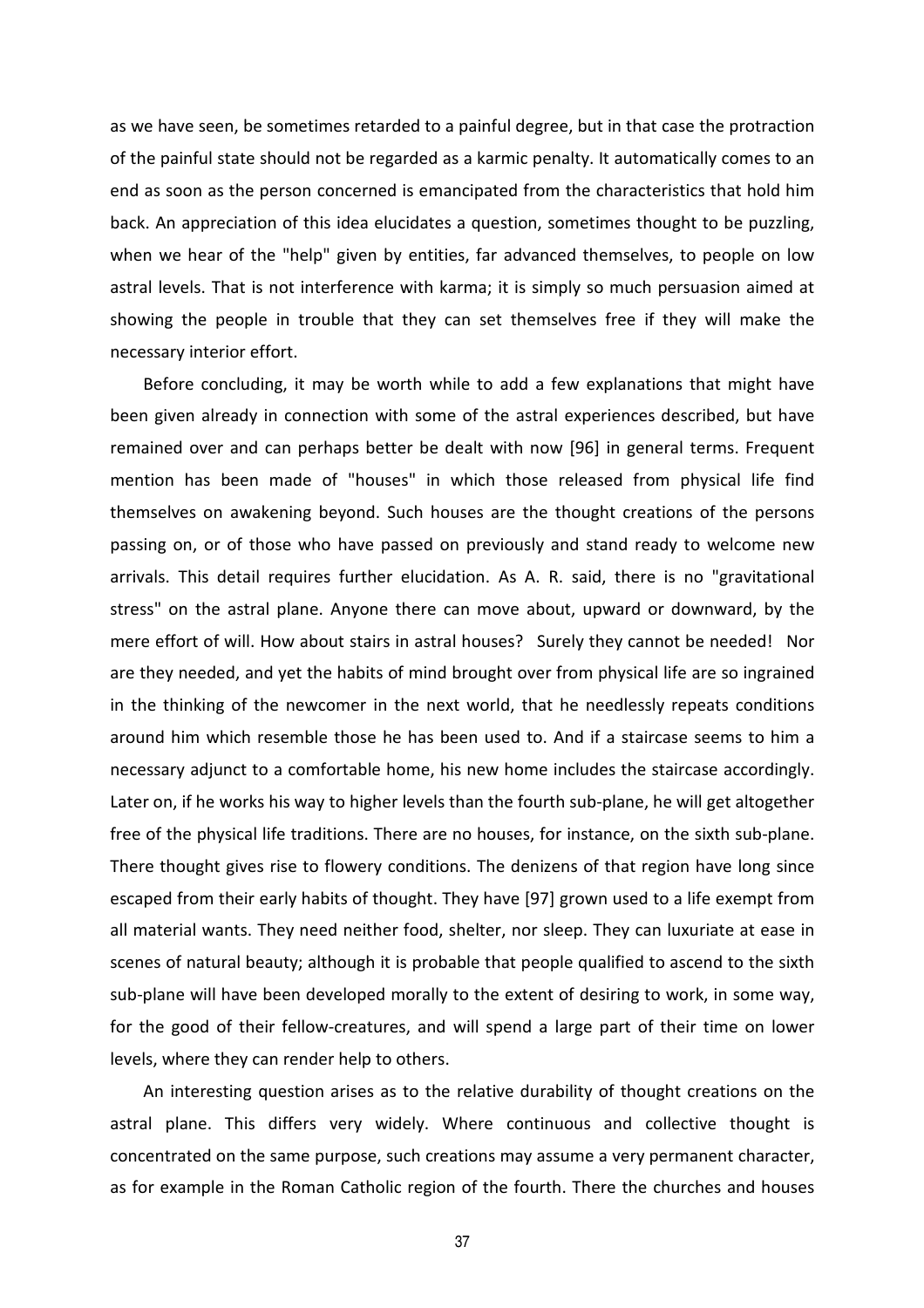as we have seen, be sometimes retarded to a painful degree, but in that case the protraction of the painful state should not be regarded as a karmic penalty. It automatically comes to an end as soon as the person concerned is emancipated from the characteristics that hold him back. An appreciation of this idea elucidates a question, sometimes thought to be puzzling, when we hear of the "help" given by entities, far advanced themselves, to people on low astral levels. That is not interference with karma; it is simply so much persuasion aimed at showing the people in trouble that they can set themselves free if they will make the necessary interior effort.

Before concluding, it may be worth while to add a few explanations that might have been given already in connection with some of the astral experiences described, but have remained over and can perhaps better be dealt with now [96] in general terms. Frequent mention has been made of "houses" in which those released from physical life find themselves on awakening beyond. Such houses are the thought creations of the persons passing on, or of those who have passed on previously and stand ready to welcome new arrivals. This detail requires further elucidation. As A. R. said, there is no "gravitational stress" on the astral plane. Anyone there can move about, upward or downward, by the mere effort of will. How about stairs in astral houses? Surely they cannot be needed! Nor are they needed, and yet the habits of mind brought over from physical life are so ingrained in the thinking of the newcomer in the next world, that he needlessly repeats conditions around him which resemble those he has been used to. And if a staircase seems to him a necessary adjunct to a comfortable home, his new home includes the staircase accordingly. Later on, if he works his way to higher levels than the fourth sub-plane, he will get altogether free of the physical life traditions. There are no houses, for instance, on the sixth sub-plane. There thought gives rise to flowery conditions. The denizens of that region have long since escaped from their early habits of thought. They have [97] grown used to a life exempt from all material wants. They need neither food, shelter, nor sleep. They can luxuriate at ease in scenes of natural beauty; although it is probable that people qualified to ascend to the sixth sub-plane will have been developed morally to the extent of desiring to work, in some way, for the good of their fellow-creatures, and will spend a large part of their time on lower levels, where they can render help to others.

An interesting question arises as to the relative durability of thought creations on the astral plane. This differs very widely. Where continuous and collective thought is concentrated on the same purpose, such creations may assume a very permanent character, as for example in the Roman Catholic region of the fourth. There the churches and houses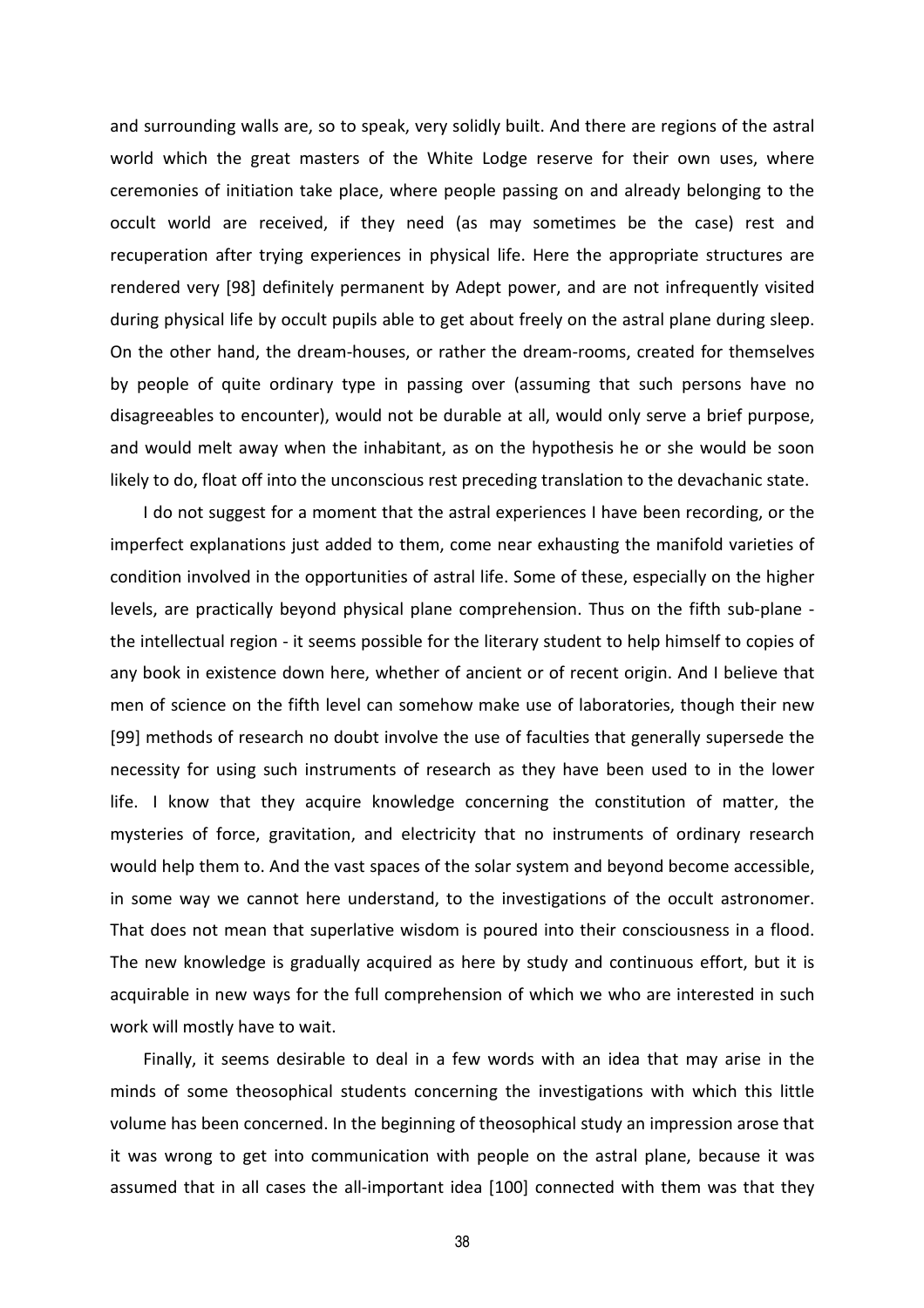and surrounding walls are, so to speak, very solidly built. And there are regions of the astral world which the great masters of the White Lodge reserve for their own uses, where ceremonies of initiation take place, where people passing on and already belonging to the occult world are received, if they need (as may sometimes be the case) rest and recuperation after trying experiences in physical life. Here the appropriate structures are rendered very [98] definitely permanent by Adept power, and are not infrequently visited during physical life by occult pupils able to get about freely on the astral plane during sleep. On the other hand, the dream-houses, or rather the dream-rooms, created for themselves by people of quite ordinary type in passing over (assuming that such persons have no disagreeables to encounter), would not be durable at all, would only serve a brief purpose, and would melt away when the inhabitant, as on the hypothesis he or she would be soon likely to do, float off into the unconscious rest preceding translation to the devachanic state.

I do not suggest for a moment that the astral experiences I have been recording, or the imperfect explanations just added to them, come near exhausting the manifold varieties of condition involved in the opportunities of astral life. Some of these, especially on the higher levels, are practically beyond physical plane comprehension. Thus on the fifth sub-plane the intellectual region - it seems possible for the literary student to help himself to copies of any book in existence down here, whether of ancient or of recent origin. And I believe that men of science on the fifth level can somehow make use of laboratories, though their new [99] methods of research no doubt involve the use of faculties that generally supersede the necessity for using such instruments of research as they have been used to in the lower life. I know that they acquire knowledge concerning the constitution of matter, the mysteries of force, gravitation, and electricity that no instruments of ordinary research would help them to. And the vast spaces of the solar system and beyond become accessible, in some way we cannot here understand, to the investigations of the occult astronomer. That does not mean that superlative wisdom is poured into their consciousness in a flood. The new knowledge is gradually acquired as here by study and continuous effort, but it is acquirable in new ways for the full comprehension of which we who are interested in such work will mostly have to wait.

Finally, it seems desirable to deal in a few words with an idea that may arise in the minds of some theosophical students concerning the investigations with which this little volume has been concerned. In the beginning of theosophical study an impression arose that it was wrong to get into communication with people on the astral plane, because it was assumed that in all cases the all-important idea [100] connected with them was that they